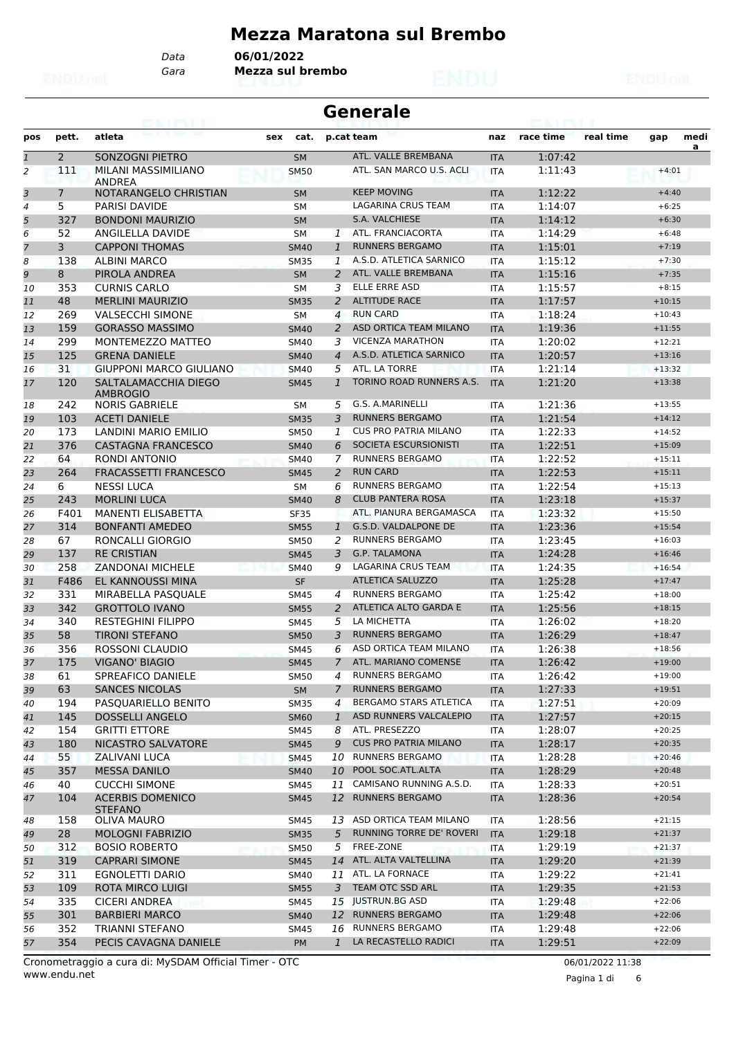### **Mezza Maratona sul Brembo**

*Gara* **Mezza sul brembo** *Data* **06/01/2022**

|                | <b>Generale</b><br>63. I KBL |                                          |             |                |                              |                   |           |           |          |           |  |  |
|----------------|------------------------------|------------------------------------------|-------------|----------------|------------------------------|-------------------|-----------|-----------|----------|-----------|--|--|
| pos            | pett.                        | atleta                                   | cat.<br>sex |                | p.cat team                   | naz               | race time | real time | gap      | medi<br>a |  |  |
| $\mathbf{1}$   | $\overline{2}$               | SONZOGNI PIETRO                          | <b>SM</b>   |                | ATL. VALLE BREMBANA          | <b>ITA</b>        | 1:07:42   |           |          |           |  |  |
| 2              | 111                          | MILANI MASSIMILIANO<br>ANDREA            | <b>SM50</b> |                | ATL. SAN MARCO U.S. ACLI     | <b>ITA</b>        | 1:11:43   |           | $+4:01$  |           |  |  |
| 3              | $\overline{7}$               | NOTARANGELO CHRISTIAN                    | <b>SM</b>   |                | <b>KEEP MOVING</b>           | <b>ITA</b>        | 1:12:22   |           | $+4:40$  |           |  |  |
| 4              | 5                            | <b>PARISI DAVIDE</b>                     | <b>SM</b>   |                | LAGARINA CRUS TEAM           | <b>ITA</b>        | 1:14:07   |           | $+6:25$  |           |  |  |
| 5              | 327                          | <b>BONDONI MAURIZIO</b>                  | <b>SM</b>   |                | S.A. VALCHIESE               | <b>ITA</b>        | 1:14:12   |           | $+6:30$  |           |  |  |
| 6              | 52                           | ANGILELLA DAVIDE                         | <b>SM</b>   | 1              | ATL. FRANCIACORTA            | <b>ITA</b>        | 1:14:29   |           | $+6:48$  |           |  |  |
| $\overline{7}$ | 3                            | <b>CAPPONI THOMAS</b>                    | <b>SM40</b> | $\mathbf{1}$   | <b>RUNNERS BERGAMO</b>       | <b>ITA</b>        | 1:15:01   |           | $+7:19$  |           |  |  |
| 8              | 138                          | <b>ALBINI MARCO</b>                      | <b>SM35</b> | 1              | A.S.D. ATLETICA SARNICO      | <b>ITA</b>        | 1:15:12   |           | $+7:30$  |           |  |  |
| 9              | 8                            | PIROLA ANDREA                            | <b>SM</b>   | 2              | ATL. VALLE BREMBANA          | <b>ITA</b>        | 1:15:16   |           | $+7:35$  |           |  |  |
| 10             | 353                          | <b>CURNIS CARLO</b>                      | SΜ          | 3              | <b>ELLE ERRE ASD</b>         | <b>ITA</b>        | 1:15:57   |           | $+8:15$  |           |  |  |
| 11             | 48                           | <b>MERLINI MAURIZIO</b>                  | <b>SM35</b> | 2              | <b>ALTITUDE RACE</b>         | <b>ITA</b>        | 1:17:57   |           | $+10:15$ |           |  |  |
| 12             | 269                          | <b>VALSECCHI SIMONE</b>                  | <b>SM</b>   | 4              | <b>RUN CARD</b>              | <b>ITA</b>        | 1:18:24   |           | $+10:43$ |           |  |  |
| 13             | 159                          | <b>GORASSO MASSIMO</b>                   | <b>SM40</b> | 2              | ASD ORTICA TEAM MILANO       | <b>ITA</b>        | 1:19:36   |           | $+11:55$ |           |  |  |
| 14             | 299                          | MONTEMEZZO MATTEO                        | <b>SM40</b> | 3              | <b>VICENZA MARATHON</b>      | <b>ITA</b>        | 1:20:02   |           | $+12:21$ |           |  |  |
| 15             | 125                          | <b>GRENA DANIELE</b>                     | <b>SM40</b> | 4              | A.S.D. ATLETICA SARNICO      | <b>ITA</b>        | 1:20:57   |           | $+13:16$ |           |  |  |
| 16             | 31                           | <b>GIUPPONI MARCO GIULIANO</b>           | <b>SM40</b> | 5              | ATL. LA TORRE                | <b>ITA</b>        | 1:21:14   |           | $+13:32$ |           |  |  |
| 17             | 120                          | SALTALAMACCHIA DIEGO                     | <b>SM45</b> | 1              | TORINO ROAD RUNNERS A.S.     | <b>ITA</b>        | 1:21:20   |           | $+13:38$ |           |  |  |
| 18             | 242                          | <b>AMBROGIO</b><br><b>NORIS GABRIELE</b> | <b>SM</b>   | 5              | G.S. A.MARINELLI             | <b>ITA</b>        | 1:21:36   |           | $+13:55$ |           |  |  |
| 19             | 103                          | <b>ACETI DANIELE</b>                     | <b>SM35</b> | 3              | <b>RUNNERS BERGAMO</b>       | <b>ITA</b>        | 1:21:54   |           | $+14:12$ |           |  |  |
| 20             | 173                          | LANDINI MARIO EMILIO                     | <b>SM50</b> | 1              | <b>CUS PRO PATRIA MILANO</b> | <b>ITA</b>        | 1:22:33   |           | $+14:52$ |           |  |  |
| 21             | 376                          | <b>CASTAGNA FRANCESCO</b>                | <b>SM40</b> | 6              | SOCIETA ESCURSIONISTI        | <b>ITA</b>        | 1:22:51   |           | $+15:09$ |           |  |  |
| 22             | 64                           | <b>RONDI ANTONIO</b>                     | <b>SM40</b> | 7              | <b>RUNNERS BERGAMO</b>       | <b>ITA</b>        | 1:22:52   |           | $+15:11$ |           |  |  |
| 23             | 264                          | <b>FRACASSETTI FRANCESCO</b>             | <b>SM45</b> | 2              | <b>RUN CARD</b>              | <b>ITA</b>        | 1:22:53   |           | $+15:11$ |           |  |  |
| 24             | 6                            | <b>NESSI LUCA</b>                        | <b>SM</b>   | 6              | <b>RUNNERS BERGAMO</b>       | <b>ITA</b>        | 1:22:54   |           | $+15:13$ |           |  |  |
| 25             | 243                          | <b>MORLINI LUCA</b>                      | <b>SM40</b> | 8              | <b>CLUB PANTERA ROSA</b>     | <b>ITA</b>        | 1:23:18   |           | $+15:37$ |           |  |  |
| 26             | F401                         | MANENTI ELISABETTA                       | <b>SF35</b> |                | ATL. PIANURA BERGAMASCA      | <b>ITA</b>        | 1:23:32   |           | $+15:50$ |           |  |  |
| 27             | 314                          | <b>BONFANTI AMEDEO</b>                   | <b>SM55</b> | $\mathbf{1}$   | G.S.D. VALDALPONE DE         | <b>ITA</b>        | 1:23:36   |           | $+15:54$ |           |  |  |
| 28             | 67                           | RONCALLI GIORGIO                         | <b>SM50</b> | 2              | <b>RUNNERS BERGAMO</b>       | <b>ITA</b>        | 1:23:45   |           | $+16:03$ |           |  |  |
| 29             | 137                          | <b>RE CRISTIAN</b>                       | <b>SM45</b> | 3              | <b>G.P. TALAMONA</b>         | <b>ITA</b>        | 1:24:28   |           | $+16:46$ |           |  |  |
| 30             | 258                          | <b>ZANDONAI MICHELE</b>                  | <b>SM40</b> | 9              | <b>LAGARINA CRUS TEAM</b>    | <b>ITA</b>        | 1:24:35   |           | $+16:54$ |           |  |  |
| 31             | F486                         | <b>EL KANNOUSSI MINA</b>                 | <b>SF</b>   |                | <b>ATLETICA SALUZZO</b>      | <b>ITA</b>        | 1:25:28   |           | $+17:47$ |           |  |  |
| 32             | 331                          | MIRABELLA PASOUALE                       | SM45        | 4              | <b>RUNNERS BERGAMO</b>       | <b>ITA</b>        | 1:25:42   |           | $+18:00$ |           |  |  |
| 33             | 342                          | <b>GROTTOLO IVANO</b>                    | <b>SM55</b> | $\overline{2}$ | ATLETICA ALTO GARDA E        | <b>ITA</b>        | 1:25:56   |           | $+18:15$ |           |  |  |
| 34             | 340                          | <b>RESTEGHINI FILIPPO</b>                | <b>SM45</b> | 5              | LA MICHETTA                  | <b>ITA</b>        | 1:26:02   |           | $+18:20$ |           |  |  |
| 35             | 58                           | TIRONI STEFANO                           | <b>SM50</b> | 3              | <b>RUNNERS BERGAMO</b>       | <b>ITA</b>        | 1:26:29   |           | $+18:47$ |           |  |  |
| 36             | 356                          | ROSSONI CLAUDIO                          | <b>SM45</b> | 6              | ASD ORTICA TEAM MILANO       | <b>ITA</b>        | 1:26:38   |           | $+18:56$ |           |  |  |
| 37             | 175                          | <b>VIGANO' BIAGIO</b>                    | <b>SM45</b> | $\overline{7}$ | ATL. MARIANO COMENSE         | <b>ITA</b>        | 1:26:42   |           | $+19:00$ |           |  |  |
|                | 61                           | SPREAFICO DANIELE                        | <b>SM50</b> | 4              | RUNNERS BERGAMO              |                   | 1:26:42   |           | $+19:00$ |           |  |  |
| 38<br>39       | 63                           | <b>SANCES NICOLAS</b>                    | SM          | $\mathcal{I}$  | <b>RUNNERS BERGAMO</b>       | ITA<br><b>ITA</b> | 1:27:33   |           | $+19:51$ |           |  |  |
| 40             | 194                          | PASQUARIELLO BENITO                      | <b>SM35</b> | 4              | BERGAMO STARS ATLETICA       | ITA               | 1:27:51   |           | $+20:09$ |           |  |  |
| 41             | 145                          | <b>DOSSELLI ANGELO</b>                   | <b>SM60</b> | $\mathbf{1}$   | ASD RUNNERS VALCALEPIO       | <b>ITA</b>        | 1:27:57   |           | $+20:15$ |           |  |  |
| 42             | 154                          | <b>GRITTI ETTORE</b>                     | SM45        | 8              | ATL. PRESEZZO                | ITA               | 1:28:07   |           | $+20:25$ |           |  |  |
| 43             | 180                          | <b>NICASTRO SALVATORE</b>                | <b>SM45</b> | 9              | <b>CUS PRO PATRIA MILANO</b> | <b>ITA</b>        | 1:28:17   |           | $+20:35$ |           |  |  |
| 44             | 55                           | ZALIVANI LUCA                            | <b>SM45</b> | 10             | <b>RUNNERS BERGAMO</b>       | <b>ITA</b>        | 1:28:28   |           | $+20:46$ |           |  |  |
| 45             | 357                          | <b>MESSA DANILO</b>                      | <b>SM40</b> |                | 10 POOL SOC.ATL.ALTA         | <b>ITA</b>        | 1:28:29   |           | $+20:48$ |           |  |  |
|                | 40                           | <b>CUCCHI SIMONE</b>                     | SM45        | 11             | CAMISANO RUNNING A.S.D.      |                   | 1:28:33   |           | $+20:51$ |           |  |  |
| 46<br>47       | 104                          | <b>ACERBIS DOMENICO</b>                  | <b>SM45</b> |                | 12 RUNNERS BERGAMO           | ITA<br><b>ITA</b> | 1:28:36   |           | $+20:54$ |           |  |  |
| 48             | 158                          | <b>STEFANO</b><br><b>OLIVA MAURO</b>     | SM45        | 13             | ASD ORTICA TEAM MILANO       | ITA               | 1:28:56   |           | $+21:15$ |           |  |  |
| 49             | 28                           | <b>MOLOGNI FABRIZIO</b>                  | <b>SM35</b> | 5              | RUNNING TORRE DE' ROVERI     | <b>ITA</b>        | 1:29:18   |           | $+21:37$ |           |  |  |
| 50             | 312                          | <b>BOSIO ROBERTO</b>                     | <b>SM50</b> | 5              | FREE-ZONE                    | ITA               | 1:29:19   |           | $+21:37$ |           |  |  |
| 51             | 319                          | <b>CAPRARI SIMONE</b>                    | <b>SM45</b> |                | 14 ATL. ALTA VALTELLINA      | <b>ITA</b>        | 1:29:20   |           | $+21:39$ |           |  |  |
| 52             | 311                          | EGNOLETTI DARIO                          | SM40        |                | 11 ATL. LA FORNACE           | ITA               | 1:29:22   |           | $+21:41$ |           |  |  |
| 53             | 109                          | <b>ROTA MIRCO LUIGI</b>                  | <b>SM55</b> | 3              | TEAM OTC SSD ARL             | <b>ITA</b>        | 1:29:35   |           | $+21:53$ |           |  |  |
| 54             | 335                          | <b>CICERI ANDREA</b>                     | SM45        | 15             | <b>JUSTRUN.BG ASD</b>        | ITA               | 1:29:48   |           | $+22:06$ |           |  |  |
| 55             | 301                          | <b>BARBIERI MARCO</b>                    | <b>SM40</b> |                | 12 RUNNERS BERGAMO           | <b>ITA</b>        | 1:29:48   |           | $+22:06$ |           |  |  |
| 56             | 352                          | <b>TRIANNI STEFANO</b>                   | <b>SM45</b> | 16             | <b>RUNNERS BERGAMO</b>       | <b>ITA</b>        | 1:29:48   |           | $+22:06$ |           |  |  |
| 57             | 354                          | PECIS CAVAGNA DANIELE                    | PM          | $\mathbf{1}$   | LA RECASTELLO RADICI         | <b>ITA</b>        | 1:29:51   |           | $+22:09$ |           |  |  |
|                |                              |                                          |             |                |                              |                   |           |           |          |           |  |  |

www.endu.net Cronometraggio a cura di: MySDAM Official Timer - OTC 06/01/2022 11:38

Pagina 1 di 6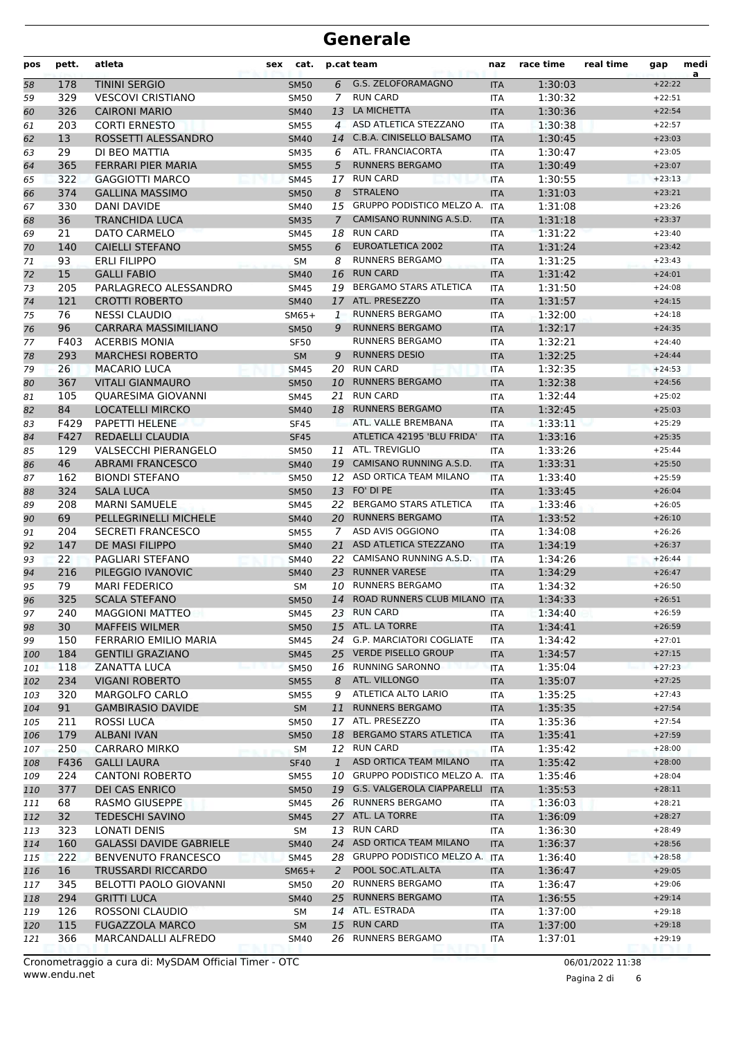| <b>G.S. ZELOFORAMAGNO</b><br><b>TININI SERGIO</b><br>6<br>1:30:03<br>$+22:22$<br>178<br><b>SM50</b><br><b>ITA</b><br>58<br><b>RUN CARD</b><br>329<br>$\overline{7}$<br>1:30:32<br>59<br><b>VESCOVI CRISTIANO</b><br><b>SM50</b><br>ITA<br>$+22:51$<br>326<br>LA MICHETTA<br><b>CAIRONI MARIO</b><br>13<br>1:30:36<br>$+22:54$<br>60<br><b>SM40</b><br><b>ITA</b><br>203<br><b>CORTI ERNESTO</b><br>ASD ATLETICA STEZZANO<br>1:30:38<br>$+22:57$<br>61<br><b>SM55</b><br>$\overline{4}$<br><b>ITA</b><br>C.B.A. CINISELLO BALSAMO<br>13<br>ROSSETTI ALESSANDRO<br><b>SM40</b><br><b>ITA</b><br>1:30:45<br>62<br>14<br>$+23:03$<br>ATL. FRANCIACORTA<br>29<br>DI BEO MATTIA<br>1:30:47<br>63<br><b>SM35</b><br>6<br><b>ITA</b><br>$+23:05$<br><b>RUNNERS BERGAMO</b><br>365<br><b>FERRARI PIER MARIA</b><br>5<br><b>SM55</b><br><b>ITA</b><br>1:30:49<br>$+23:07$<br>64<br><b>RUN CARD</b><br>322<br><b>GAGGIOTTI MARCO</b><br>1:30:55<br>17<br><b>ITA</b><br>$+23:13$<br>65<br><b>SM45</b><br>374<br><b>STRALENO</b><br><b>GALLINA MASSIMO</b><br>1:31:03<br>$+23:21$<br>66<br><b>SM50</b><br>8<br><b>ITA</b><br>GRUPPO PODISTICO MELZO A.<br>330<br>1:31:08<br>$+23:26$<br>67<br><b>DANI DAVIDE</b><br><b>SM40</b><br>15<br><b>ITA</b><br>CAMISANO RUNNING A.S.D.<br>36<br>1:31:18<br><b>TRANCHIDA LUCA</b><br>$\overline{7}$<br>$+23:37$<br><b>SM35</b><br><b>ITA</b><br>68<br><b>RUN CARD</b><br>21<br>DATO CARMELO<br>1:31:22<br>69<br>SM45<br>18<br><b>ITA</b><br>$+23:40$<br><b>CAIELLI STEFANO</b><br>EUROATLETICA 2002<br>1:31:24<br>$+23:42$<br>140<br><b>SM55</b><br>6<br>70<br><b>ITA</b><br>71<br>93<br><b>ERLI FILIPPO</b><br><b>RUNNERS BERGAMO</b><br>1:31:25<br><b>SM</b><br>8<br>$+23:43$<br>ITA<br>15<br><b>GALLI FABIO</b><br><b>RUN CARD</b><br>16<br>1:31:42<br>72<br>$+24:01$<br><b>SM40</b><br><b>ITA</b><br><b>BERGAMO STARS ATLETICA</b><br>PARLAGRECO ALESSANDRO<br>1:31:50<br>$+24:08$<br>73<br>205<br>19<br><b>SM45</b><br><b>ITA</b><br>121<br><b>CROTTI ROBERTO</b><br>ATL. PRESEZZO<br>1:31:57<br>74<br><b>SM40</b><br>17<br><b>ITA</b><br>$+24:15$<br>76<br><b>RUNNERS BERGAMO</b><br><b>NESSI CLAUDIO</b><br>1:32:00<br>75<br>$SM65+$<br>1<br>$+24:18$<br><b>ITA</b><br>96<br><b>CARRARA MASSIMILIANO</b><br><b>RUNNERS BERGAMO</b><br>1:32:17<br>76<br><b>SM50</b><br>9<br><b>ITA</b><br>$+24:35$<br>F403<br><b>ACERBIS MONIA</b><br><b>RUNNERS BERGAMO</b><br>1:32:21<br>77<br><b>ITA</b><br><b>SF50</b><br>$+24:40$<br><b>MARCHESI ROBERTO</b><br><b>RUNNERS DESIO</b><br>1:32:25<br>293<br><b>SM</b><br>9<br>$+24:44$<br>78<br><b>ITA</b><br><b>RUN CARD</b><br>26<br><b>MACARIO LUCA</b><br>1:32:35<br>79<br><b>SM45</b><br>20<br>$+24:53$<br><b>ITA</b><br><b>RUNNERS BERGAMO</b><br>1:32:38<br>367<br><b>VITALI GIANMAURO</b><br>10<br>$+24:56$<br>80<br><b>SM50</b><br><b>ITA</b><br><b>RUN CARD</b><br>105<br>QUARESIMA GIOVANNI<br>1:32:44<br>$+25:02$<br><b>SM45</b><br>21<br><b>ITA</b><br>81<br>84<br><b>LOCATELLI MIRCKO</b><br>18 RUNNERS BERGAMO<br>1:32:45<br>$+25:03$<br>82<br><b>SM40</b><br><b>ITA</b><br>F429<br>PAPETTI HELENE<br>ATL. VALLE BREMBANA<br>1:33:11<br>83<br>$+25:29$<br><b>SF45</b><br><b>ITA</b><br>ATLETICA 42195 'BLU FRIDA'<br>1:33:16<br>F427<br>REDAELLI CLAUDIA<br><b>SF45</b><br>$+25:35$<br>84<br><b>ITA</b><br>ATL. TREVIGLIO<br>129<br><b>VALSECCHI PIERANGELO</b><br>1:33:26<br>$+25:44$<br>85<br><b>SM50</b><br>11<br><b>ITA</b><br>46<br><b>ABRAMI FRANCESCO</b><br>CAMISANO RUNNING A.S.D.<br>1:33:31<br><b>SM40</b><br>$+25:50$<br>86<br>19<br><b>ITA</b><br>12 ASD ORTICA TEAM MILANO<br>162<br><b>BIONDI STEFANO</b><br>1:33:40<br>$+25:59$<br><b>SM50</b><br><b>ITA</b><br>87<br>13 FO' DI PE<br>324<br><b>SALA LUCA</b><br>1:33:45<br><b>SM50</b><br><b>ITA</b><br>$+26:04$<br>88<br>208<br><b>MARNI SAMUELE</b><br>22 BERGAMO STARS ATLETICA<br>1:33:46<br>$+26:05$<br>89<br>SM45<br><b>ITA</b><br>69<br><b>PELLEGRINELLI MICHELE</b><br><b>RUNNERS BERGAMO</b><br>1:33:52<br><b>SM40</b><br>20<br>$+26:10$<br>90<br><b>ITA</b><br>204<br><b>SECRETI FRANCESCO</b><br>ASD AVIS OGGIONO<br>1:34:08<br>91<br><b>SM55</b><br>$\overline{7}$<br><b>ITA</b><br>$+26:26$<br>147<br>DE MASI FILIPPO<br>ASD ATLETICA STEZZANO<br>1:34:19<br>$+26:37$<br>92<br><b>SM40</b><br>21<br><b>ITA</b><br>CAMISANO RUNNING A.S.D.<br>22<br><b>PAGLIARI STEFANO</b><br>1:34:26<br>$+26:44$<br>93<br>22<br><b>ITA</b><br><b>SM40</b><br><b>RUNNER VARESE</b><br>PILEGGIO IVANOVIC<br>23<br>1:34:29<br>94<br>216<br><b>SM40</b><br><b>ITA</b><br>$+26:47$<br>79<br><b>RUNNERS BERGAMO</b><br><b>MARI FEDERICO</b><br>1:34:32<br>95<br><b>SM</b><br>10<br><b>ITA</b><br>$+26:50$<br>325<br>ROAD RUNNERS CLUB MILANO<br>96<br><b>SCALA STEFANO</b><br>14<br>1:34:33<br>$+26:51$<br><b>SM50</b><br><b>ITA</b><br>23 RUN CARD<br><b>MAGGIONI MATTEO</b><br>240<br>1:34:40<br>SM45<br>ITA<br>$+26:59$<br>97<br>15 ATL. LA TORRE<br>30<br><b>MAFFEIS WILMER</b><br><b>SM50</b><br>1:34:41<br>$+26:59$<br><b>ITA</b><br>98<br>24 G.P. MARCIATORI COGLIATE<br>$+27:01$<br>150<br>FERRARIO EMILIO MARIA<br>1:34:42<br>99<br>SM45<br><b>ITA</b><br>25 VERDE PISELLO GROUP<br>184<br><b>GENTILI GRAZIANO</b><br>1:34:57<br>$+27:15$<br><b>SM45</b><br><b>ITA</b><br>100<br>16 RUNNING SARONNO<br>118<br><b>ZANATTA LUCA</b><br>1:35:04<br>$+27:23$<br><b>SM50</b><br><b>ITA</b><br>101<br>234<br>ATL. VILLONGO<br><b>VIGANI ROBERTO</b><br>1:35:07<br>$+27:25$<br>102<br><b>SM55</b><br>8<br><b>ITA</b><br>320<br>ATLETICA ALTO LARIO<br><b>MARGOLFO CARLO</b><br>1:35:25<br>$+27:43$<br>103<br><b>SM55</b><br>9<br>ITA<br><b>RUNNERS BERGAMO</b><br>91<br><b>GAMBIRASIO DAVIDE</b><br>1:35:35<br>$+27:54$<br>104<br><b>SM</b><br>11<br><b>ITA</b><br>17 ATL. PRESEZZO<br>$+27:54$<br>211<br>ROSSI LUCA<br>1:35:36<br>105<br><b>SM50</b><br>ITA<br>179<br>BERGAMO STARS ATLETICA<br>1:35:41<br><b>ALBANI IVAN</b><br>18<br>$+27:59$<br>106<br><b>SM50</b><br><b>ITA</b><br>250<br>12 RUN CARD<br><b>SM</b><br>1:35:42<br>$+28:00$<br>107<br><b>CARRARO MIRKO</b><br>ITA<br>ASD ORTICA TEAM MILANO<br>$+28:00$<br>F436<br><b>GALLI LAURA</b><br>$\mathbf{1}$<br>1:35:42<br>108<br><b>SF40</b><br><b>ITA</b><br><b>CANTONI ROBERTO</b><br>GRUPPO PODISTICO MELZO A.<br>224<br>10<br>1:35:46<br>$+28:04$<br>109<br><b>SM55</b><br><b>ITA</b><br>377<br><b>DEI CAS ENRICO</b><br>19 G.S. VALGEROLA CIAPPARELLI<br>1:35:53<br>$+28:11$<br><b>SM50</b><br><b>ITA</b><br>110<br>26 RUNNERS BERGAMO<br>$+28:21$<br>68<br><b>RASMO GIUSEPPE</b><br>1:36:03<br>111<br>SM45<br>ITA<br>32<br>27 ATL. LA TORRE<br><b>TEDESCHI SAVINO</b><br>1:36:09<br>$+28:27$<br>112<br><b>SM45</b><br><b>ITA</b><br>13 RUN CARD<br>323<br>LONATI DENIS<br>1:36:30<br>$+28:49$<br>113<br>SM<br>ITA<br>24 ASD ORTICA TEAM MILANO<br><b>GALASSI DAVIDE GABRIELE</b><br>160<br>1:36:37<br>$+28:56$<br>114<br><b>SM40</b><br><b>ITA</b><br>222<br><b>GRUPPO PODISTICO MELZO A.</b><br><b>BENVENUTO FRANCESCO</b><br>28<br>1:36:40<br>$+28:58$<br>115<br><b>SM45</b><br>ITA<br>16<br><b>TRUSSARDI RICCARDO</b><br>POOL SOC.ATL.ALTA<br>1:36:47<br>$+29:05$<br>$SM65+$<br>2<br>116<br><b>ITA</b><br>20 RUNNERS BERGAMO<br>$+29:06$<br>345<br>BELOTTI PAOLO GIOVANNI<br>1:36:47<br>117<br><b>SM50</b><br>ITA<br>25 RUNNERS BERGAMO<br>294<br><b>GRITTI LUCA</b><br>1:36:55<br>$+29:14$<br>118<br><b>SM40</b><br><b>ITA</b><br>14 ATL. ESTRADA<br>126<br>ROSSONI CLAUDIO<br>1:37:00<br>$+29:18$<br>119<br>SM<br>ITA<br><b>RUN CARD</b><br><b>FUGAZZOLA MARCO</b><br>$+29:18$<br>115<br>15<br>1:37:00<br>120<br><b>SM</b><br><b>ITA</b><br><b>RUNNERS BERGAMO</b><br>366<br>MARCANDALLI ALFREDO<br>26<br>1:37:01<br>SM40<br>$+29:19$<br>121<br>ITA | pos | pett. | atleta | cat.<br>sex | p.cat team | naz | race time | real time | gap | medi<br>a |
|--------------------------------------------------------------------------------------------------------------------------------------------------------------------------------------------------------------------------------------------------------------------------------------------------------------------------------------------------------------------------------------------------------------------------------------------------------------------------------------------------------------------------------------------------------------------------------------------------------------------------------------------------------------------------------------------------------------------------------------------------------------------------------------------------------------------------------------------------------------------------------------------------------------------------------------------------------------------------------------------------------------------------------------------------------------------------------------------------------------------------------------------------------------------------------------------------------------------------------------------------------------------------------------------------------------------------------------------------------------------------------------------------------------------------------------------------------------------------------------------------------------------------------------------------------------------------------------------------------------------------------------------------------------------------------------------------------------------------------------------------------------------------------------------------------------------------------------------------------------------------------------------------------------------------------------------------------------------------------------------------------------------------------------------------------------------------------------------------------------------------------------------------------------------------------------------------------------------------------------------------------------------------------------------------------------------------------------------------------------------------------------------------------------------------------------------------------------------------------------------------------------------------------------------------------------------------------------------------------------------------------------------------------------------------------------------------------------------------------------------------------------------------------------------------------------------------------------------------------------------------------------------------------------------------------------------------------------------------------------------------------------------------------------------------------------------------------------------------------------------------------------------------------------------------------------------------------------------------------------------------------------------------------------------------------------------------------------------------------------------------------------------------------------------------------------------------------------------------------------------------------------------------------------------------------------------------------------------------------------------------------------------------------------------------------------------------------------------------------------------------------------------------------------------------------------------------------------------------------------------------------------------------------------------------------------------------------------------------------------------------------------------------------------------------------------------------------------------------------------------------------------------------------------------------------------------------------------------------------------------------------------------------------------------------------------------------------------------------------------------------------------------------------------------------------------------------------------------------------------------------------------------------------------------------------------------------------------------------------------------------------------------------------------------------------------------------------------------------------------------------------------------------------------------------------------------------------------------------------------------------------------------------------------------------------------------------------------------------------------------------------------------------------------------------------------------------------------------------------------------------------------------------------------------------------------------------------------------------------------------------------------------------------------------------------------------------------------------------------------------------------------------------------------------------------------------------------------------------------------------------------------------------------------------------------------------------------------------------------------------------------------------------------------------------------------------------------------------------------------------------------------------------------------------------------------------------------------------------------------------------------------------------------------------------------------------------------------------------------------------------------------------------------------------------------------------------------------------------------------------------------------------------------------------------------------------------------------------------------------------------------------------------------------------------------------------------------------------------------------------------------------------------------------------------------------------------------------------------------------------------------------------------------------------------------------------------------------------------------------------------------------------------------------------------------------------------------------------------------------------------------------------------------------------------------------------------------------------------------------------------------------------------------------------------------------------------------------------------------------------------------------------------------------------------------------------------------------------------------------------------------------------------------------------------------------------------------------------------------------------------------------------------------------------------------------------------------------------------------------------------------------------------------------------------------------------------------------------------------------------------------------------------------------------------------------------------------------------------------------------------------------------------------------------------|-----|-------|--------|-------------|------------|-----|-----------|-----------|-----|-----------|
|                                                                                                                                                                                                                                                                                                                                                                                                                                                                                                                                                                                                                                                                                                                                                                                                                                                                                                                                                                                                                                                                                                                                                                                                                                                                                                                                                                                                                                                                                                                                                                                                                                                                                                                                                                                                                                                                                                                                                                                                                                                                                                                                                                                                                                                                                                                                                                                                                                                                                                                                                                                                                                                                                                                                                                                                                                                                                                                                                                                                                                                                                                                                                                                                                                                                                                                                                                                                                                                                                                                                                                                                                                                                                                                                                                                                                                                                                                                                                                                                                                                                                                                                                                                                                                                                                                                                                                                                                                                                                                                                                                                                                                                                                                                                                                                                                                                                                                                                                                                                                                                                                                                                                                                                                                                                                                                                                                                                                                                                                                                                                                                                                                                                                                                                                                                                                                                                                                                                                                                                                                                                                                                                                                                                                                                                                                                                                                                                                                                                                                                                                                                                                                                                                                                                                                                                                                                                                                                                                                                                                                                                                                                                                                                                                                                                                                                                                                                                                                                                                                                                                                                                                                                                          |     |       |        |             |            |     |           |           |     |           |
|                                                                                                                                                                                                                                                                                                                                                                                                                                                                                                                                                                                                                                                                                                                                                                                                                                                                                                                                                                                                                                                                                                                                                                                                                                                                                                                                                                                                                                                                                                                                                                                                                                                                                                                                                                                                                                                                                                                                                                                                                                                                                                                                                                                                                                                                                                                                                                                                                                                                                                                                                                                                                                                                                                                                                                                                                                                                                                                                                                                                                                                                                                                                                                                                                                                                                                                                                                                                                                                                                                                                                                                                                                                                                                                                                                                                                                                                                                                                                                                                                                                                                                                                                                                                                                                                                                                                                                                                                                                                                                                                                                                                                                                                                                                                                                                                                                                                                                                                                                                                                                                                                                                                                                                                                                                                                                                                                                                                                                                                                                                                                                                                                                                                                                                                                                                                                                                                                                                                                                                                                                                                                                                                                                                                                                                                                                                                                                                                                                                                                                                                                                                                                                                                                                                                                                                                                                                                                                                                                                                                                                                                                                                                                                                                                                                                                                                                                                                                                                                                                                                                                                                                                                                                          |     |       |        |             |            |     |           |           |     |           |
|                                                                                                                                                                                                                                                                                                                                                                                                                                                                                                                                                                                                                                                                                                                                                                                                                                                                                                                                                                                                                                                                                                                                                                                                                                                                                                                                                                                                                                                                                                                                                                                                                                                                                                                                                                                                                                                                                                                                                                                                                                                                                                                                                                                                                                                                                                                                                                                                                                                                                                                                                                                                                                                                                                                                                                                                                                                                                                                                                                                                                                                                                                                                                                                                                                                                                                                                                                                                                                                                                                                                                                                                                                                                                                                                                                                                                                                                                                                                                                                                                                                                                                                                                                                                                                                                                                                                                                                                                                                                                                                                                                                                                                                                                                                                                                                                                                                                                                                                                                                                                                                                                                                                                                                                                                                                                                                                                                                                                                                                                                                                                                                                                                                                                                                                                                                                                                                                                                                                                                                                                                                                                                                                                                                                                                                                                                                                                                                                                                                                                                                                                                                                                                                                                                                                                                                                                                                                                                                                                                                                                                                                                                                                                                                                                                                                                                                                                                                                                                                                                                                                                                                                                                                                          |     |       |        |             |            |     |           |           |     |           |
|                                                                                                                                                                                                                                                                                                                                                                                                                                                                                                                                                                                                                                                                                                                                                                                                                                                                                                                                                                                                                                                                                                                                                                                                                                                                                                                                                                                                                                                                                                                                                                                                                                                                                                                                                                                                                                                                                                                                                                                                                                                                                                                                                                                                                                                                                                                                                                                                                                                                                                                                                                                                                                                                                                                                                                                                                                                                                                                                                                                                                                                                                                                                                                                                                                                                                                                                                                                                                                                                                                                                                                                                                                                                                                                                                                                                                                                                                                                                                                                                                                                                                                                                                                                                                                                                                                                                                                                                                                                                                                                                                                                                                                                                                                                                                                                                                                                                                                                                                                                                                                                                                                                                                                                                                                                                                                                                                                                                                                                                                                                                                                                                                                                                                                                                                                                                                                                                                                                                                                                                                                                                                                                                                                                                                                                                                                                                                                                                                                                                                                                                                                                                                                                                                                                                                                                                                                                                                                                                                                                                                                                                                                                                                                                                                                                                                                                                                                                                                                                                                                                                                                                                                                                                          |     |       |        |             |            |     |           |           |     |           |
|                                                                                                                                                                                                                                                                                                                                                                                                                                                                                                                                                                                                                                                                                                                                                                                                                                                                                                                                                                                                                                                                                                                                                                                                                                                                                                                                                                                                                                                                                                                                                                                                                                                                                                                                                                                                                                                                                                                                                                                                                                                                                                                                                                                                                                                                                                                                                                                                                                                                                                                                                                                                                                                                                                                                                                                                                                                                                                                                                                                                                                                                                                                                                                                                                                                                                                                                                                                                                                                                                                                                                                                                                                                                                                                                                                                                                                                                                                                                                                                                                                                                                                                                                                                                                                                                                                                                                                                                                                                                                                                                                                                                                                                                                                                                                                                                                                                                                                                                                                                                                                                                                                                                                                                                                                                                                                                                                                                                                                                                                                                                                                                                                                                                                                                                                                                                                                                                                                                                                                                                                                                                                                                                                                                                                                                                                                                                                                                                                                                                                                                                                                                                                                                                                                                                                                                                                                                                                                                                                                                                                                                                                                                                                                                                                                                                                                                                                                                                                                                                                                                                                                                                                                                                          |     |       |        |             |            |     |           |           |     |           |
|                                                                                                                                                                                                                                                                                                                                                                                                                                                                                                                                                                                                                                                                                                                                                                                                                                                                                                                                                                                                                                                                                                                                                                                                                                                                                                                                                                                                                                                                                                                                                                                                                                                                                                                                                                                                                                                                                                                                                                                                                                                                                                                                                                                                                                                                                                                                                                                                                                                                                                                                                                                                                                                                                                                                                                                                                                                                                                                                                                                                                                                                                                                                                                                                                                                                                                                                                                                                                                                                                                                                                                                                                                                                                                                                                                                                                                                                                                                                                                                                                                                                                                                                                                                                                                                                                                                                                                                                                                                                                                                                                                                                                                                                                                                                                                                                                                                                                                                                                                                                                                                                                                                                                                                                                                                                                                                                                                                                                                                                                                                                                                                                                                                                                                                                                                                                                                                                                                                                                                                                                                                                                                                                                                                                                                                                                                                                                                                                                                                                                                                                                                                                                                                                                                                                                                                                                                                                                                                                                                                                                                                                                                                                                                                                                                                                                                                                                                                                                                                                                                                                                                                                                                                                          |     |       |        |             |            |     |           |           |     |           |
|                                                                                                                                                                                                                                                                                                                                                                                                                                                                                                                                                                                                                                                                                                                                                                                                                                                                                                                                                                                                                                                                                                                                                                                                                                                                                                                                                                                                                                                                                                                                                                                                                                                                                                                                                                                                                                                                                                                                                                                                                                                                                                                                                                                                                                                                                                                                                                                                                                                                                                                                                                                                                                                                                                                                                                                                                                                                                                                                                                                                                                                                                                                                                                                                                                                                                                                                                                                                                                                                                                                                                                                                                                                                                                                                                                                                                                                                                                                                                                                                                                                                                                                                                                                                                                                                                                                                                                                                                                                                                                                                                                                                                                                                                                                                                                                                                                                                                                                                                                                                                                                                                                                                                                                                                                                                                                                                                                                                                                                                                                                                                                                                                                                                                                                                                                                                                                                                                                                                                                                                                                                                                                                                                                                                                                                                                                                                                                                                                                                                                                                                                                                                                                                                                                                                                                                                                                                                                                                                                                                                                                                                                                                                                                                                                                                                                                                                                                                                                                                                                                                                                                                                                                                                          |     |       |        |             |            |     |           |           |     |           |
|                                                                                                                                                                                                                                                                                                                                                                                                                                                                                                                                                                                                                                                                                                                                                                                                                                                                                                                                                                                                                                                                                                                                                                                                                                                                                                                                                                                                                                                                                                                                                                                                                                                                                                                                                                                                                                                                                                                                                                                                                                                                                                                                                                                                                                                                                                                                                                                                                                                                                                                                                                                                                                                                                                                                                                                                                                                                                                                                                                                                                                                                                                                                                                                                                                                                                                                                                                                                                                                                                                                                                                                                                                                                                                                                                                                                                                                                                                                                                                                                                                                                                                                                                                                                                                                                                                                                                                                                                                                                                                                                                                                                                                                                                                                                                                                                                                                                                                                                                                                                                                                                                                                                                                                                                                                                                                                                                                                                                                                                                                                                                                                                                                                                                                                                                                                                                                                                                                                                                                                                                                                                                                                                                                                                                                                                                                                                                                                                                                                                                                                                                                                                                                                                                                                                                                                                                                                                                                                                                                                                                                                                                                                                                                                                                                                                                                                                                                                                                                                                                                                                                                                                                                                                          |     |       |        |             |            |     |           |           |     |           |
|                                                                                                                                                                                                                                                                                                                                                                                                                                                                                                                                                                                                                                                                                                                                                                                                                                                                                                                                                                                                                                                                                                                                                                                                                                                                                                                                                                                                                                                                                                                                                                                                                                                                                                                                                                                                                                                                                                                                                                                                                                                                                                                                                                                                                                                                                                                                                                                                                                                                                                                                                                                                                                                                                                                                                                                                                                                                                                                                                                                                                                                                                                                                                                                                                                                                                                                                                                                                                                                                                                                                                                                                                                                                                                                                                                                                                                                                                                                                                                                                                                                                                                                                                                                                                                                                                                                                                                                                                                                                                                                                                                                                                                                                                                                                                                                                                                                                                                                                                                                                                                                                                                                                                                                                                                                                                                                                                                                                                                                                                                                                                                                                                                                                                                                                                                                                                                                                                                                                                                                                                                                                                                                                                                                                                                                                                                                                                                                                                                                                                                                                                                                                                                                                                                                                                                                                                                                                                                                                                                                                                                                                                                                                                                                                                                                                                                                                                                                                                                                                                                                                                                                                                                                                          |     |       |        |             |            |     |           |           |     |           |
|                                                                                                                                                                                                                                                                                                                                                                                                                                                                                                                                                                                                                                                                                                                                                                                                                                                                                                                                                                                                                                                                                                                                                                                                                                                                                                                                                                                                                                                                                                                                                                                                                                                                                                                                                                                                                                                                                                                                                                                                                                                                                                                                                                                                                                                                                                                                                                                                                                                                                                                                                                                                                                                                                                                                                                                                                                                                                                                                                                                                                                                                                                                                                                                                                                                                                                                                                                                                                                                                                                                                                                                                                                                                                                                                                                                                                                                                                                                                                                                                                                                                                                                                                                                                                                                                                                                                                                                                                                                                                                                                                                                                                                                                                                                                                                                                                                                                                                                                                                                                                                                                                                                                                                                                                                                                                                                                                                                                                                                                                                                                                                                                                                                                                                                                                                                                                                                                                                                                                                                                                                                                                                                                                                                                                                                                                                                                                                                                                                                                                                                                                                                                                                                                                                                                                                                                                                                                                                                                                                                                                                                                                                                                                                                                                                                                                                                                                                                                                                                                                                                                                                                                                                                                          |     |       |        |             |            |     |           |           |     |           |
|                                                                                                                                                                                                                                                                                                                                                                                                                                                                                                                                                                                                                                                                                                                                                                                                                                                                                                                                                                                                                                                                                                                                                                                                                                                                                                                                                                                                                                                                                                                                                                                                                                                                                                                                                                                                                                                                                                                                                                                                                                                                                                                                                                                                                                                                                                                                                                                                                                                                                                                                                                                                                                                                                                                                                                                                                                                                                                                                                                                                                                                                                                                                                                                                                                                                                                                                                                                                                                                                                                                                                                                                                                                                                                                                                                                                                                                                                                                                                                                                                                                                                                                                                                                                                                                                                                                                                                                                                                                                                                                                                                                                                                                                                                                                                                                                                                                                                                                                                                                                                                                                                                                                                                                                                                                                                                                                                                                                                                                                                                                                                                                                                                                                                                                                                                                                                                                                                                                                                                                                                                                                                                                                                                                                                                                                                                                                                                                                                                                                                                                                                                                                                                                                                                                                                                                                                                                                                                                                                                                                                                                                                                                                                                                                                                                                                                                                                                                                                                                                                                                                                                                                                                                                          |     |       |        |             |            |     |           |           |     |           |
|                                                                                                                                                                                                                                                                                                                                                                                                                                                                                                                                                                                                                                                                                                                                                                                                                                                                                                                                                                                                                                                                                                                                                                                                                                                                                                                                                                                                                                                                                                                                                                                                                                                                                                                                                                                                                                                                                                                                                                                                                                                                                                                                                                                                                                                                                                                                                                                                                                                                                                                                                                                                                                                                                                                                                                                                                                                                                                                                                                                                                                                                                                                                                                                                                                                                                                                                                                                                                                                                                                                                                                                                                                                                                                                                                                                                                                                                                                                                                                                                                                                                                                                                                                                                                                                                                                                                                                                                                                                                                                                                                                                                                                                                                                                                                                                                                                                                                                                                                                                                                                                                                                                                                                                                                                                                                                                                                                                                                                                                                                                                                                                                                                                                                                                                                                                                                                                                                                                                                                                                                                                                                                                                                                                                                                                                                                                                                                                                                                                                                                                                                                                                                                                                                                                                                                                                                                                                                                                                                                                                                                                                                                                                                                                                                                                                                                                                                                                                                                                                                                                                                                                                                                                                          |     |       |        |             |            |     |           |           |     |           |
|                                                                                                                                                                                                                                                                                                                                                                                                                                                                                                                                                                                                                                                                                                                                                                                                                                                                                                                                                                                                                                                                                                                                                                                                                                                                                                                                                                                                                                                                                                                                                                                                                                                                                                                                                                                                                                                                                                                                                                                                                                                                                                                                                                                                                                                                                                                                                                                                                                                                                                                                                                                                                                                                                                                                                                                                                                                                                                                                                                                                                                                                                                                                                                                                                                                                                                                                                                                                                                                                                                                                                                                                                                                                                                                                                                                                                                                                                                                                                                                                                                                                                                                                                                                                                                                                                                                                                                                                                                                                                                                                                                                                                                                                                                                                                                                                                                                                                                                                                                                                                                                                                                                                                                                                                                                                                                                                                                                                                                                                                                                                                                                                                                                                                                                                                                                                                                                                                                                                                                                                                                                                                                                                                                                                                                                                                                                                                                                                                                                                                                                                                                                                                                                                                                                                                                                                                                                                                                                                                                                                                                                                                                                                                                                                                                                                                                                                                                                                                                                                                                                                                                                                                                                                          |     |       |        |             |            |     |           |           |     |           |
|                                                                                                                                                                                                                                                                                                                                                                                                                                                                                                                                                                                                                                                                                                                                                                                                                                                                                                                                                                                                                                                                                                                                                                                                                                                                                                                                                                                                                                                                                                                                                                                                                                                                                                                                                                                                                                                                                                                                                                                                                                                                                                                                                                                                                                                                                                                                                                                                                                                                                                                                                                                                                                                                                                                                                                                                                                                                                                                                                                                                                                                                                                                                                                                                                                                                                                                                                                                                                                                                                                                                                                                                                                                                                                                                                                                                                                                                                                                                                                                                                                                                                                                                                                                                                                                                                                                                                                                                                                                                                                                                                                                                                                                                                                                                                                                                                                                                                                                                                                                                                                                                                                                                                                                                                                                                                                                                                                                                                                                                                                                                                                                                                                                                                                                                                                                                                                                                                                                                                                                                                                                                                                                                                                                                                                                                                                                                                                                                                                                                                                                                                                                                                                                                                                                                                                                                                                                                                                                                                                                                                                                                                                                                                                                                                                                                                                                                                                                                                                                                                                                                                                                                                                                                          |     |       |        |             |            |     |           |           |     |           |
|                                                                                                                                                                                                                                                                                                                                                                                                                                                                                                                                                                                                                                                                                                                                                                                                                                                                                                                                                                                                                                                                                                                                                                                                                                                                                                                                                                                                                                                                                                                                                                                                                                                                                                                                                                                                                                                                                                                                                                                                                                                                                                                                                                                                                                                                                                                                                                                                                                                                                                                                                                                                                                                                                                                                                                                                                                                                                                                                                                                                                                                                                                                                                                                                                                                                                                                                                                                                                                                                                                                                                                                                                                                                                                                                                                                                                                                                                                                                                                                                                                                                                                                                                                                                                                                                                                                                                                                                                                                                                                                                                                                                                                                                                                                                                                                                                                                                                                                                                                                                                                                                                                                                                                                                                                                                                                                                                                                                                                                                                                                                                                                                                                                                                                                                                                                                                                                                                                                                                                                                                                                                                                                                                                                                                                                                                                                                                                                                                                                                                                                                                                                                                                                                                                                                                                                                                                                                                                                                                                                                                                                                                                                                                                                                                                                                                                                                                                                                                                                                                                                                                                                                                                                                          |     |       |        |             |            |     |           |           |     |           |
|                                                                                                                                                                                                                                                                                                                                                                                                                                                                                                                                                                                                                                                                                                                                                                                                                                                                                                                                                                                                                                                                                                                                                                                                                                                                                                                                                                                                                                                                                                                                                                                                                                                                                                                                                                                                                                                                                                                                                                                                                                                                                                                                                                                                                                                                                                                                                                                                                                                                                                                                                                                                                                                                                                                                                                                                                                                                                                                                                                                                                                                                                                                                                                                                                                                                                                                                                                                                                                                                                                                                                                                                                                                                                                                                                                                                                                                                                                                                                                                                                                                                                                                                                                                                                                                                                                                                                                                                                                                                                                                                                                                                                                                                                                                                                                                                                                                                                                                                                                                                                                                                                                                                                                                                                                                                                                                                                                                                                                                                                                                                                                                                                                                                                                                                                                                                                                                                                                                                                                                                                                                                                                                                                                                                                                                                                                                                                                                                                                                                                                                                                                                                                                                                                                                                                                                                                                                                                                                                                                                                                                                                                                                                                                                                                                                                                                                                                                                                                                                                                                                                                                                                                                                                          |     |       |        |             |            |     |           |           |     |           |
|                                                                                                                                                                                                                                                                                                                                                                                                                                                                                                                                                                                                                                                                                                                                                                                                                                                                                                                                                                                                                                                                                                                                                                                                                                                                                                                                                                                                                                                                                                                                                                                                                                                                                                                                                                                                                                                                                                                                                                                                                                                                                                                                                                                                                                                                                                                                                                                                                                                                                                                                                                                                                                                                                                                                                                                                                                                                                                                                                                                                                                                                                                                                                                                                                                                                                                                                                                                                                                                                                                                                                                                                                                                                                                                                                                                                                                                                                                                                                                                                                                                                                                                                                                                                                                                                                                                                                                                                                                                                                                                                                                                                                                                                                                                                                                                                                                                                                                                                                                                                                                                                                                                                                                                                                                                                                                                                                                                                                                                                                                                                                                                                                                                                                                                                                                                                                                                                                                                                                                                                                                                                                                                                                                                                                                                                                                                                                                                                                                                                                                                                                                                                                                                                                                                                                                                                                                                                                                                                                                                                                                                                                                                                                                                                                                                                                                                                                                                                                                                                                                                                                                                                                                                                          |     |       |        |             |            |     |           |           |     |           |
|                                                                                                                                                                                                                                                                                                                                                                                                                                                                                                                                                                                                                                                                                                                                                                                                                                                                                                                                                                                                                                                                                                                                                                                                                                                                                                                                                                                                                                                                                                                                                                                                                                                                                                                                                                                                                                                                                                                                                                                                                                                                                                                                                                                                                                                                                                                                                                                                                                                                                                                                                                                                                                                                                                                                                                                                                                                                                                                                                                                                                                                                                                                                                                                                                                                                                                                                                                                                                                                                                                                                                                                                                                                                                                                                                                                                                                                                                                                                                                                                                                                                                                                                                                                                                                                                                                                                                                                                                                                                                                                                                                                                                                                                                                                                                                                                                                                                                                                                                                                                                                                                                                                                                                                                                                                                                                                                                                                                                                                                                                                                                                                                                                                                                                                                                                                                                                                                                                                                                                                                                                                                                                                                                                                                                                                                                                                                                                                                                                                                                                                                                                                                                                                                                                                                                                                                                                                                                                                                                                                                                                                                                                                                                                                                                                                                                                                                                                                                                                                                                                                                                                                                                                                                          |     |       |        |             |            |     |           |           |     |           |
|                                                                                                                                                                                                                                                                                                                                                                                                                                                                                                                                                                                                                                                                                                                                                                                                                                                                                                                                                                                                                                                                                                                                                                                                                                                                                                                                                                                                                                                                                                                                                                                                                                                                                                                                                                                                                                                                                                                                                                                                                                                                                                                                                                                                                                                                                                                                                                                                                                                                                                                                                                                                                                                                                                                                                                                                                                                                                                                                                                                                                                                                                                                                                                                                                                                                                                                                                                                                                                                                                                                                                                                                                                                                                                                                                                                                                                                                                                                                                                                                                                                                                                                                                                                                                                                                                                                                                                                                                                                                                                                                                                                                                                                                                                                                                                                                                                                                                                                                                                                                                                                                                                                                                                                                                                                                                                                                                                                                                                                                                                                                                                                                                                                                                                                                                                                                                                                                                                                                                                                                                                                                                                                                                                                                                                                                                                                                                                                                                                                                                                                                                                                                                                                                                                                                                                                                                                                                                                                                                                                                                                                                                                                                                                                                                                                                                                                                                                                                                                                                                                                                                                                                                                                                          |     |       |        |             |            |     |           |           |     |           |
|                                                                                                                                                                                                                                                                                                                                                                                                                                                                                                                                                                                                                                                                                                                                                                                                                                                                                                                                                                                                                                                                                                                                                                                                                                                                                                                                                                                                                                                                                                                                                                                                                                                                                                                                                                                                                                                                                                                                                                                                                                                                                                                                                                                                                                                                                                                                                                                                                                                                                                                                                                                                                                                                                                                                                                                                                                                                                                                                                                                                                                                                                                                                                                                                                                                                                                                                                                                                                                                                                                                                                                                                                                                                                                                                                                                                                                                                                                                                                                                                                                                                                                                                                                                                                                                                                                                                                                                                                                                                                                                                                                                                                                                                                                                                                                                                                                                                                                                                                                                                                                                                                                                                                                                                                                                                                                                                                                                                                                                                                                                                                                                                                                                                                                                                                                                                                                                                                                                                                                                                                                                                                                                                                                                                                                                                                                                                                                                                                                                                                                                                                                                                                                                                                                                                                                                                                                                                                                                                                                                                                                                                                                                                                                                                                                                                                                                                                                                                                                                                                                                                                                                                                                                                          |     |       |        |             |            |     |           |           |     |           |
|                                                                                                                                                                                                                                                                                                                                                                                                                                                                                                                                                                                                                                                                                                                                                                                                                                                                                                                                                                                                                                                                                                                                                                                                                                                                                                                                                                                                                                                                                                                                                                                                                                                                                                                                                                                                                                                                                                                                                                                                                                                                                                                                                                                                                                                                                                                                                                                                                                                                                                                                                                                                                                                                                                                                                                                                                                                                                                                                                                                                                                                                                                                                                                                                                                                                                                                                                                                                                                                                                                                                                                                                                                                                                                                                                                                                                                                                                                                                                                                                                                                                                                                                                                                                                                                                                                                                                                                                                                                                                                                                                                                                                                                                                                                                                                                                                                                                                                                                                                                                                                                                                                                                                                                                                                                                                                                                                                                                                                                                                                                                                                                                                                                                                                                                                                                                                                                                                                                                                                                                                                                                                                                                                                                                                                                                                                                                                                                                                                                                                                                                                                                                                                                                                                                                                                                                                                                                                                                                                                                                                                                                                                                                                                                                                                                                                                                                                                                                                                                                                                                                                                                                                                                                          |     |       |        |             |            |     |           |           |     |           |
|                                                                                                                                                                                                                                                                                                                                                                                                                                                                                                                                                                                                                                                                                                                                                                                                                                                                                                                                                                                                                                                                                                                                                                                                                                                                                                                                                                                                                                                                                                                                                                                                                                                                                                                                                                                                                                                                                                                                                                                                                                                                                                                                                                                                                                                                                                                                                                                                                                                                                                                                                                                                                                                                                                                                                                                                                                                                                                                                                                                                                                                                                                                                                                                                                                                                                                                                                                                                                                                                                                                                                                                                                                                                                                                                                                                                                                                                                                                                                                                                                                                                                                                                                                                                                                                                                                                                                                                                                                                                                                                                                                                                                                                                                                                                                                                                                                                                                                                                                                                                                                                                                                                                                                                                                                                                                                                                                                                                                                                                                                                                                                                                                                                                                                                                                                                                                                                                                                                                                                                                                                                                                                                                                                                                                                                                                                                                                                                                                                                                                                                                                                                                                                                                                                                                                                                                                                                                                                                                                                                                                                                                                                                                                                                                                                                                                                                                                                                                                                                                                                                                                                                                                                                                          |     |       |        |             |            |     |           |           |     |           |
|                                                                                                                                                                                                                                                                                                                                                                                                                                                                                                                                                                                                                                                                                                                                                                                                                                                                                                                                                                                                                                                                                                                                                                                                                                                                                                                                                                                                                                                                                                                                                                                                                                                                                                                                                                                                                                                                                                                                                                                                                                                                                                                                                                                                                                                                                                                                                                                                                                                                                                                                                                                                                                                                                                                                                                                                                                                                                                                                                                                                                                                                                                                                                                                                                                                                                                                                                                                                                                                                                                                                                                                                                                                                                                                                                                                                                                                                                                                                                                                                                                                                                                                                                                                                                                                                                                                                                                                                                                                                                                                                                                                                                                                                                                                                                                                                                                                                                                                                                                                                                                                                                                                                                                                                                                                                                                                                                                                                                                                                                                                                                                                                                                                                                                                                                                                                                                                                                                                                                                                                                                                                                                                                                                                                                                                                                                                                                                                                                                                                                                                                                                                                                                                                                                                                                                                                                                                                                                                                                                                                                                                                                                                                                                                                                                                                                                                                                                                                                                                                                                                                                                                                                                                                          |     |       |        |             |            |     |           |           |     |           |
|                                                                                                                                                                                                                                                                                                                                                                                                                                                                                                                                                                                                                                                                                                                                                                                                                                                                                                                                                                                                                                                                                                                                                                                                                                                                                                                                                                                                                                                                                                                                                                                                                                                                                                                                                                                                                                                                                                                                                                                                                                                                                                                                                                                                                                                                                                                                                                                                                                                                                                                                                                                                                                                                                                                                                                                                                                                                                                                                                                                                                                                                                                                                                                                                                                                                                                                                                                                                                                                                                                                                                                                                                                                                                                                                                                                                                                                                                                                                                                                                                                                                                                                                                                                                                                                                                                                                                                                                                                                                                                                                                                                                                                                                                                                                                                                                                                                                                                                                                                                                                                                                                                                                                                                                                                                                                                                                                                                                                                                                                                                                                                                                                                                                                                                                                                                                                                                                                                                                                                                                                                                                                                                                                                                                                                                                                                                                                                                                                                                                                                                                                                                                                                                                                                                                                                                                                                                                                                                                                                                                                                                                                                                                                                                                                                                                                                                                                                                                                                                                                                                                                                                                                                                                          |     |       |        |             |            |     |           |           |     |           |
|                                                                                                                                                                                                                                                                                                                                                                                                                                                                                                                                                                                                                                                                                                                                                                                                                                                                                                                                                                                                                                                                                                                                                                                                                                                                                                                                                                                                                                                                                                                                                                                                                                                                                                                                                                                                                                                                                                                                                                                                                                                                                                                                                                                                                                                                                                                                                                                                                                                                                                                                                                                                                                                                                                                                                                                                                                                                                                                                                                                                                                                                                                                                                                                                                                                                                                                                                                                                                                                                                                                                                                                                                                                                                                                                                                                                                                                                                                                                                                                                                                                                                                                                                                                                                                                                                                                                                                                                                                                                                                                                                                                                                                                                                                                                                                                                                                                                                                                                                                                                                                                                                                                                                                                                                                                                                                                                                                                                                                                                                                                                                                                                                                                                                                                                                                                                                                                                                                                                                                                                                                                                                                                                                                                                                                                                                                                                                                                                                                                                                                                                                                                                                                                                                                                                                                                                                                                                                                                                                                                                                                                                                                                                                                                                                                                                                                                                                                                                                                                                                                                                                                                                                                                                          |     |       |        |             |            |     |           |           |     |           |
|                                                                                                                                                                                                                                                                                                                                                                                                                                                                                                                                                                                                                                                                                                                                                                                                                                                                                                                                                                                                                                                                                                                                                                                                                                                                                                                                                                                                                                                                                                                                                                                                                                                                                                                                                                                                                                                                                                                                                                                                                                                                                                                                                                                                                                                                                                                                                                                                                                                                                                                                                                                                                                                                                                                                                                                                                                                                                                                                                                                                                                                                                                                                                                                                                                                                                                                                                                                                                                                                                                                                                                                                                                                                                                                                                                                                                                                                                                                                                                                                                                                                                                                                                                                                                                                                                                                                                                                                                                                                                                                                                                                                                                                                                                                                                                                                                                                                                                                                                                                                                                                                                                                                                                                                                                                                                                                                                                                                                                                                                                                                                                                                                                                                                                                                                                                                                                                                                                                                                                                                                                                                                                                                                                                                                                                                                                                                                                                                                                                                                                                                                                                                                                                                                                                                                                                                                                                                                                                                                                                                                                                                                                                                                                                                                                                                                                                                                                                                                                                                                                                                                                                                                                                                          |     |       |        |             |            |     |           |           |     |           |
|                                                                                                                                                                                                                                                                                                                                                                                                                                                                                                                                                                                                                                                                                                                                                                                                                                                                                                                                                                                                                                                                                                                                                                                                                                                                                                                                                                                                                                                                                                                                                                                                                                                                                                                                                                                                                                                                                                                                                                                                                                                                                                                                                                                                                                                                                                                                                                                                                                                                                                                                                                                                                                                                                                                                                                                                                                                                                                                                                                                                                                                                                                                                                                                                                                                                                                                                                                                                                                                                                                                                                                                                                                                                                                                                                                                                                                                                                                                                                                                                                                                                                                                                                                                                                                                                                                                                                                                                                                                                                                                                                                                                                                                                                                                                                                                                                                                                                                                                                                                                                                                                                                                                                                                                                                                                                                                                                                                                                                                                                                                                                                                                                                                                                                                                                                                                                                                                                                                                                                                                                                                                                                                                                                                                                                                                                                                                                                                                                                                                                                                                                                                                                                                                                                                                                                                                                                                                                                                                                                                                                                                                                                                                                                                                                                                                                                                                                                                                                                                                                                                                                                                                                                                                          |     |       |        |             |            |     |           |           |     |           |
|                                                                                                                                                                                                                                                                                                                                                                                                                                                                                                                                                                                                                                                                                                                                                                                                                                                                                                                                                                                                                                                                                                                                                                                                                                                                                                                                                                                                                                                                                                                                                                                                                                                                                                                                                                                                                                                                                                                                                                                                                                                                                                                                                                                                                                                                                                                                                                                                                                                                                                                                                                                                                                                                                                                                                                                                                                                                                                                                                                                                                                                                                                                                                                                                                                                                                                                                                                                                                                                                                                                                                                                                                                                                                                                                                                                                                                                                                                                                                                                                                                                                                                                                                                                                                                                                                                                                                                                                                                                                                                                                                                                                                                                                                                                                                                                                                                                                                                                                                                                                                                                                                                                                                                                                                                                                                                                                                                                                                                                                                                                                                                                                                                                                                                                                                                                                                                                                                                                                                                                                                                                                                                                                                                                                                                                                                                                                                                                                                                                                                                                                                                                                                                                                                                                                                                                                                                                                                                                                                                                                                                                                                                                                                                                                                                                                                                                                                                                                                                                                                                                                                                                                                                                                          |     |       |        |             |            |     |           |           |     |           |
|                                                                                                                                                                                                                                                                                                                                                                                                                                                                                                                                                                                                                                                                                                                                                                                                                                                                                                                                                                                                                                                                                                                                                                                                                                                                                                                                                                                                                                                                                                                                                                                                                                                                                                                                                                                                                                                                                                                                                                                                                                                                                                                                                                                                                                                                                                                                                                                                                                                                                                                                                                                                                                                                                                                                                                                                                                                                                                                                                                                                                                                                                                                                                                                                                                                                                                                                                                                                                                                                                                                                                                                                                                                                                                                                                                                                                                                                                                                                                                                                                                                                                                                                                                                                                                                                                                                                                                                                                                                                                                                                                                                                                                                                                                                                                                                                                                                                                                                                                                                                                                                                                                                                                                                                                                                                                                                                                                                                                                                                                                                                                                                                                                                                                                                                                                                                                                                                                                                                                                                                                                                                                                                                                                                                                                                                                                                                                                                                                                                                                                                                                                                                                                                                                                                                                                                                                                                                                                                                                                                                                                                                                                                                                                                                                                                                                                                                                                                                                                                                                                                                                                                                                                                                          |     |       |        |             |            |     |           |           |     |           |
|                                                                                                                                                                                                                                                                                                                                                                                                                                                                                                                                                                                                                                                                                                                                                                                                                                                                                                                                                                                                                                                                                                                                                                                                                                                                                                                                                                                                                                                                                                                                                                                                                                                                                                                                                                                                                                                                                                                                                                                                                                                                                                                                                                                                                                                                                                                                                                                                                                                                                                                                                                                                                                                                                                                                                                                                                                                                                                                                                                                                                                                                                                                                                                                                                                                                                                                                                                                                                                                                                                                                                                                                                                                                                                                                                                                                                                                                                                                                                                                                                                                                                                                                                                                                                                                                                                                                                                                                                                                                                                                                                                                                                                                                                                                                                                                                                                                                                                                                                                                                                                                                                                                                                                                                                                                                                                                                                                                                                                                                                                                                                                                                                                                                                                                                                                                                                                                                                                                                                                                                                                                                                                                                                                                                                                                                                                                                                                                                                                                                                                                                                                                                                                                                                                                                                                                                                                                                                                                                                                                                                                                                                                                                                                                                                                                                                                                                                                                                                                                                                                                                                                                                                                                                          |     |       |        |             |            |     |           |           |     |           |
|                                                                                                                                                                                                                                                                                                                                                                                                                                                                                                                                                                                                                                                                                                                                                                                                                                                                                                                                                                                                                                                                                                                                                                                                                                                                                                                                                                                                                                                                                                                                                                                                                                                                                                                                                                                                                                                                                                                                                                                                                                                                                                                                                                                                                                                                                                                                                                                                                                                                                                                                                                                                                                                                                                                                                                                                                                                                                                                                                                                                                                                                                                                                                                                                                                                                                                                                                                                                                                                                                                                                                                                                                                                                                                                                                                                                                                                                                                                                                                                                                                                                                                                                                                                                                                                                                                                                                                                                                                                                                                                                                                                                                                                                                                                                                                                                                                                                                                                                                                                                                                                                                                                                                                                                                                                                                                                                                                                                                                                                                                                                                                                                                                                                                                                                                                                                                                                                                                                                                                                                                                                                                                                                                                                                                                                                                                                                                                                                                                                                                                                                                                                                                                                                                                                                                                                                                                                                                                                                                                                                                                                                                                                                                                                                                                                                                                                                                                                                                                                                                                                                                                                                                                                                          |     |       |        |             |            |     |           |           |     |           |
|                                                                                                                                                                                                                                                                                                                                                                                                                                                                                                                                                                                                                                                                                                                                                                                                                                                                                                                                                                                                                                                                                                                                                                                                                                                                                                                                                                                                                                                                                                                                                                                                                                                                                                                                                                                                                                                                                                                                                                                                                                                                                                                                                                                                                                                                                                                                                                                                                                                                                                                                                                                                                                                                                                                                                                                                                                                                                                                                                                                                                                                                                                                                                                                                                                                                                                                                                                                                                                                                                                                                                                                                                                                                                                                                                                                                                                                                                                                                                                                                                                                                                                                                                                                                                                                                                                                                                                                                                                                                                                                                                                                                                                                                                                                                                                                                                                                                                                                                                                                                                                                                                                                                                                                                                                                                                                                                                                                                                                                                                                                                                                                                                                                                                                                                                                                                                                                                                                                                                                                                                                                                                                                                                                                                                                                                                                                                                                                                                                                                                                                                                                                                                                                                                                                                                                                                                                                                                                                                                                                                                                                                                                                                                                                                                                                                                                                                                                                                                                                                                                                                                                                                                                                                          |     |       |        |             |            |     |           |           |     |           |
|                                                                                                                                                                                                                                                                                                                                                                                                                                                                                                                                                                                                                                                                                                                                                                                                                                                                                                                                                                                                                                                                                                                                                                                                                                                                                                                                                                                                                                                                                                                                                                                                                                                                                                                                                                                                                                                                                                                                                                                                                                                                                                                                                                                                                                                                                                                                                                                                                                                                                                                                                                                                                                                                                                                                                                                                                                                                                                                                                                                                                                                                                                                                                                                                                                                                                                                                                                                                                                                                                                                                                                                                                                                                                                                                                                                                                                                                                                                                                                                                                                                                                                                                                                                                                                                                                                                                                                                                                                                                                                                                                                                                                                                                                                                                                                                                                                                                                                                                                                                                                                                                                                                                                                                                                                                                                                                                                                                                                                                                                                                                                                                                                                                                                                                                                                                                                                                                                                                                                                                                                                                                                                                                                                                                                                                                                                                                                                                                                                                                                                                                                                                                                                                                                                                                                                                                                                                                                                                                                                                                                                                                                                                                                                                                                                                                                                                                                                                                                                                                                                                                                                                                                                                                          |     |       |        |             |            |     |           |           |     |           |
|                                                                                                                                                                                                                                                                                                                                                                                                                                                                                                                                                                                                                                                                                                                                                                                                                                                                                                                                                                                                                                                                                                                                                                                                                                                                                                                                                                                                                                                                                                                                                                                                                                                                                                                                                                                                                                                                                                                                                                                                                                                                                                                                                                                                                                                                                                                                                                                                                                                                                                                                                                                                                                                                                                                                                                                                                                                                                                                                                                                                                                                                                                                                                                                                                                                                                                                                                                                                                                                                                                                                                                                                                                                                                                                                                                                                                                                                                                                                                                                                                                                                                                                                                                                                                                                                                                                                                                                                                                                                                                                                                                                                                                                                                                                                                                                                                                                                                                                                                                                                                                                                                                                                                                                                                                                                                                                                                                                                                                                                                                                                                                                                                                                                                                                                                                                                                                                                                                                                                                                                                                                                                                                                                                                                                                                                                                                                                                                                                                                                                                                                                                                                                                                                                                                                                                                                                                                                                                                                                                                                                                                                                                                                                                                                                                                                                                                                                                                                                                                                                                                                                                                                                                                                          |     |       |        |             |            |     |           |           |     |           |
|                                                                                                                                                                                                                                                                                                                                                                                                                                                                                                                                                                                                                                                                                                                                                                                                                                                                                                                                                                                                                                                                                                                                                                                                                                                                                                                                                                                                                                                                                                                                                                                                                                                                                                                                                                                                                                                                                                                                                                                                                                                                                                                                                                                                                                                                                                                                                                                                                                                                                                                                                                                                                                                                                                                                                                                                                                                                                                                                                                                                                                                                                                                                                                                                                                                                                                                                                                                                                                                                                                                                                                                                                                                                                                                                                                                                                                                                                                                                                                                                                                                                                                                                                                                                                                                                                                                                                                                                                                                                                                                                                                                                                                                                                                                                                                                                                                                                                                                                                                                                                                                                                                                                                                                                                                                                                                                                                                                                                                                                                                                                                                                                                                                                                                                                                                                                                                                                                                                                                                                                                                                                                                                                                                                                                                                                                                                                                                                                                                                                                                                                                                                                                                                                                                                                                                                                                                                                                                                                                                                                                                                                                                                                                                                                                                                                                                                                                                                                                                                                                                                                                                                                                                                                          |     |       |        |             |            |     |           |           |     |           |
|                                                                                                                                                                                                                                                                                                                                                                                                                                                                                                                                                                                                                                                                                                                                                                                                                                                                                                                                                                                                                                                                                                                                                                                                                                                                                                                                                                                                                                                                                                                                                                                                                                                                                                                                                                                                                                                                                                                                                                                                                                                                                                                                                                                                                                                                                                                                                                                                                                                                                                                                                                                                                                                                                                                                                                                                                                                                                                                                                                                                                                                                                                                                                                                                                                                                                                                                                                                                                                                                                                                                                                                                                                                                                                                                                                                                                                                                                                                                                                                                                                                                                                                                                                                                                                                                                                                                                                                                                                                                                                                                                                                                                                                                                                                                                                                                                                                                                                                                                                                                                                                                                                                                                                                                                                                                                                                                                                                                                                                                                                                                                                                                                                                                                                                                                                                                                                                                                                                                                                                                                                                                                                                                                                                                                                                                                                                                                                                                                                                                                                                                                                                                                                                                                                                                                                                                                                                                                                                                                                                                                                                                                                                                                                                                                                                                                                                                                                                                                                                                                                                                                                                                                                                                          |     |       |        |             |            |     |           |           |     |           |
|                                                                                                                                                                                                                                                                                                                                                                                                                                                                                                                                                                                                                                                                                                                                                                                                                                                                                                                                                                                                                                                                                                                                                                                                                                                                                                                                                                                                                                                                                                                                                                                                                                                                                                                                                                                                                                                                                                                                                                                                                                                                                                                                                                                                                                                                                                                                                                                                                                                                                                                                                                                                                                                                                                                                                                                                                                                                                                                                                                                                                                                                                                                                                                                                                                                                                                                                                                                                                                                                                                                                                                                                                                                                                                                                                                                                                                                                                                                                                                                                                                                                                                                                                                                                                                                                                                                                                                                                                                                                                                                                                                                                                                                                                                                                                                                                                                                                                                                                                                                                                                                                                                                                                                                                                                                                                                                                                                                                                                                                                                                                                                                                                                                                                                                                                                                                                                                                                                                                                                                                                                                                                                                                                                                                                                                                                                                                                                                                                                                                                                                                                                                                                                                                                                                                                                                                                                                                                                                                                                                                                                                                                                                                                                                                                                                                                                                                                                                                                                                                                                                                                                                                                                                                          |     |       |        |             |            |     |           |           |     |           |
|                                                                                                                                                                                                                                                                                                                                                                                                                                                                                                                                                                                                                                                                                                                                                                                                                                                                                                                                                                                                                                                                                                                                                                                                                                                                                                                                                                                                                                                                                                                                                                                                                                                                                                                                                                                                                                                                                                                                                                                                                                                                                                                                                                                                                                                                                                                                                                                                                                                                                                                                                                                                                                                                                                                                                                                                                                                                                                                                                                                                                                                                                                                                                                                                                                                                                                                                                                                                                                                                                                                                                                                                                                                                                                                                                                                                                                                                                                                                                                                                                                                                                                                                                                                                                                                                                                                                                                                                                                                                                                                                                                                                                                                                                                                                                                                                                                                                                                                                                                                                                                                                                                                                                                                                                                                                                                                                                                                                                                                                                                                                                                                                                                                                                                                                                                                                                                                                                                                                                                                                                                                                                                                                                                                                                                                                                                                                                                                                                                                                                                                                                                                                                                                                                                                                                                                                                                                                                                                                                                                                                                                                                                                                                                                                                                                                                                                                                                                                                                                                                                                                                                                                                                                                          |     |       |        |             |            |     |           |           |     |           |
|                                                                                                                                                                                                                                                                                                                                                                                                                                                                                                                                                                                                                                                                                                                                                                                                                                                                                                                                                                                                                                                                                                                                                                                                                                                                                                                                                                                                                                                                                                                                                                                                                                                                                                                                                                                                                                                                                                                                                                                                                                                                                                                                                                                                                                                                                                                                                                                                                                                                                                                                                                                                                                                                                                                                                                                                                                                                                                                                                                                                                                                                                                                                                                                                                                                                                                                                                                                                                                                                                                                                                                                                                                                                                                                                                                                                                                                                                                                                                                                                                                                                                                                                                                                                                                                                                                                                                                                                                                                                                                                                                                                                                                                                                                                                                                                                                                                                                                                                                                                                                                                                                                                                                                                                                                                                                                                                                                                                                                                                                                                                                                                                                                                                                                                                                                                                                                                                                                                                                                                                                                                                                                                                                                                                                                                                                                                                                                                                                                                                                                                                                                                                                                                                                                                                                                                                                                                                                                                                                                                                                                                                                                                                                                                                                                                                                                                                                                                                                                                                                                                                                                                                                                                                          |     |       |        |             |            |     |           |           |     |           |
|                                                                                                                                                                                                                                                                                                                                                                                                                                                                                                                                                                                                                                                                                                                                                                                                                                                                                                                                                                                                                                                                                                                                                                                                                                                                                                                                                                                                                                                                                                                                                                                                                                                                                                                                                                                                                                                                                                                                                                                                                                                                                                                                                                                                                                                                                                                                                                                                                                                                                                                                                                                                                                                                                                                                                                                                                                                                                                                                                                                                                                                                                                                                                                                                                                                                                                                                                                                                                                                                                                                                                                                                                                                                                                                                                                                                                                                                                                                                                                                                                                                                                                                                                                                                                                                                                                                                                                                                                                                                                                                                                                                                                                                                                                                                                                                                                                                                                                                                                                                                                                                                                                                                                                                                                                                                                                                                                                                                                                                                                                                                                                                                                                                                                                                                                                                                                                                                                                                                                                                                                                                                                                                                                                                                                                                                                                                                                                                                                                                                                                                                                                                                                                                                                                                                                                                                                                                                                                                                                                                                                                                                                                                                                                                                                                                                                                                                                                                                                                                                                                                                                                                                                                                                          |     |       |        |             |            |     |           |           |     |           |
|                                                                                                                                                                                                                                                                                                                                                                                                                                                                                                                                                                                                                                                                                                                                                                                                                                                                                                                                                                                                                                                                                                                                                                                                                                                                                                                                                                                                                                                                                                                                                                                                                                                                                                                                                                                                                                                                                                                                                                                                                                                                                                                                                                                                                                                                                                                                                                                                                                                                                                                                                                                                                                                                                                                                                                                                                                                                                                                                                                                                                                                                                                                                                                                                                                                                                                                                                                                                                                                                                                                                                                                                                                                                                                                                                                                                                                                                                                                                                                                                                                                                                                                                                                                                                                                                                                                                                                                                                                                                                                                                                                                                                                                                                                                                                                                                                                                                                                                                                                                                                                                                                                                                                                                                                                                                                                                                                                                                                                                                                                                                                                                                                                                                                                                                                                                                                                                                                                                                                                                                                                                                                                                                                                                                                                                                                                                                                                                                                                                                                                                                                                                                                                                                                                                                                                                                                                                                                                                                                                                                                                                                                                                                                                                                                                                                                                                                                                                                                                                                                                                                                                                                                                                                          |     |       |        |             |            |     |           |           |     |           |
|                                                                                                                                                                                                                                                                                                                                                                                                                                                                                                                                                                                                                                                                                                                                                                                                                                                                                                                                                                                                                                                                                                                                                                                                                                                                                                                                                                                                                                                                                                                                                                                                                                                                                                                                                                                                                                                                                                                                                                                                                                                                                                                                                                                                                                                                                                                                                                                                                                                                                                                                                                                                                                                                                                                                                                                                                                                                                                                                                                                                                                                                                                                                                                                                                                                                                                                                                                                                                                                                                                                                                                                                                                                                                                                                                                                                                                                                                                                                                                                                                                                                                                                                                                                                                                                                                                                                                                                                                                                                                                                                                                                                                                                                                                                                                                                                                                                                                                                                                                                                                                                                                                                                                                                                                                                                                                                                                                                                                                                                                                                                                                                                                                                                                                                                                                                                                                                                                                                                                                                                                                                                                                                                                                                                                                                                                                                                                                                                                                                                                                                                                                                                                                                                                                                                                                                                                                                                                                                                                                                                                                                                                                                                                                                                                                                                                                                                                                                                                                                                                                                                                                                                                                                                          |     |       |        |             |            |     |           |           |     |           |
|                                                                                                                                                                                                                                                                                                                                                                                                                                                                                                                                                                                                                                                                                                                                                                                                                                                                                                                                                                                                                                                                                                                                                                                                                                                                                                                                                                                                                                                                                                                                                                                                                                                                                                                                                                                                                                                                                                                                                                                                                                                                                                                                                                                                                                                                                                                                                                                                                                                                                                                                                                                                                                                                                                                                                                                                                                                                                                                                                                                                                                                                                                                                                                                                                                                                                                                                                                                                                                                                                                                                                                                                                                                                                                                                                                                                                                                                                                                                                                                                                                                                                                                                                                                                                                                                                                                                                                                                                                                                                                                                                                                                                                                                                                                                                                                                                                                                                                                                                                                                                                                                                                                                                                                                                                                                                                                                                                                                                                                                                                                                                                                                                                                                                                                                                                                                                                                                                                                                                                                                                                                                                                                                                                                                                                                                                                                                                                                                                                                                                                                                                                                                                                                                                                                                                                                                                                                                                                                                                                                                                                                                                                                                                                                                                                                                                                                                                                                                                                                                                                                                                                                                                                                                          |     |       |        |             |            |     |           |           |     |           |
|                                                                                                                                                                                                                                                                                                                                                                                                                                                                                                                                                                                                                                                                                                                                                                                                                                                                                                                                                                                                                                                                                                                                                                                                                                                                                                                                                                                                                                                                                                                                                                                                                                                                                                                                                                                                                                                                                                                                                                                                                                                                                                                                                                                                                                                                                                                                                                                                                                                                                                                                                                                                                                                                                                                                                                                                                                                                                                                                                                                                                                                                                                                                                                                                                                                                                                                                                                                                                                                                                                                                                                                                                                                                                                                                                                                                                                                                                                                                                                                                                                                                                                                                                                                                                                                                                                                                                                                                                                                                                                                                                                                                                                                                                                                                                                                                                                                                                                                                                                                                                                                                                                                                                                                                                                                                                                                                                                                                                                                                                                                                                                                                                                                                                                                                                                                                                                                                                                                                                                                                                                                                                                                                                                                                                                                                                                                                                                                                                                                                                                                                                                                                                                                                                                                                                                                                                                                                                                                                                                                                                                                                                                                                                                                                                                                                                                                                                                                                                                                                                                                                                                                                                                                                          |     |       |        |             |            |     |           |           |     |           |
|                                                                                                                                                                                                                                                                                                                                                                                                                                                                                                                                                                                                                                                                                                                                                                                                                                                                                                                                                                                                                                                                                                                                                                                                                                                                                                                                                                                                                                                                                                                                                                                                                                                                                                                                                                                                                                                                                                                                                                                                                                                                                                                                                                                                                                                                                                                                                                                                                                                                                                                                                                                                                                                                                                                                                                                                                                                                                                                                                                                                                                                                                                                                                                                                                                                                                                                                                                                                                                                                                                                                                                                                                                                                                                                                                                                                                                                                                                                                                                                                                                                                                                                                                                                                                                                                                                                                                                                                                                                                                                                                                                                                                                                                                                                                                                                                                                                                                                                                                                                                                                                                                                                                                                                                                                                                                                                                                                                                                                                                                                                                                                                                                                                                                                                                                                                                                                                                                                                                                                                                                                                                                                                                                                                                                                                                                                                                                                                                                                                                                                                                                                                                                                                                                                                                                                                                                                                                                                                                                                                                                                                                                                                                                                                                                                                                                                                                                                                                                                                                                                                                                                                                                                                                          |     |       |        |             |            |     |           |           |     |           |
|                                                                                                                                                                                                                                                                                                                                                                                                                                                                                                                                                                                                                                                                                                                                                                                                                                                                                                                                                                                                                                                                                                                                                                                                                                                                                                                                                                                                                                                                                                                                                                                                                                                                                                                                                                                                                                                                                                                                                                                                                                                                                                                                                                                                                                                                                                                                                                                                                                                                                                                                                                                                                                                                                                                                                                                                                                                                                                                                                                                                                                                                                                                                                                                                                                                                                                                                                                                                                                                                                                                                                                                                                                                                                                                                                                                                                                                                                                                                                                                                                                                                                                                                                                                                                                                                                                                                                                                                                                                                                                                                                                                                                                                                                                                                                                                                                                                                                                                                                                                                                                                                                                                                                                                                                                                                                                                                                                                                                                                                                                                                                                                                                                                                                                                                                                                                                                                                                                                                                                                                                                                                                                                                                                                                                                                                                                                                                                                                                                                                                                                                                                                                                                                                                                                                                                                                                                                                                                                                                                                                                                                                                                                                                                                                                                                                                                                                                                                                                                                                                                                                                                                                                                                                          |     |       |        |             |            |     |           |           |     |           |
|                                                                                                                                                                                                                                                                                                                                                                                                                                                                                                                                                                                                                                                                                                                                                                                                                                                                                                                                                                                                                                                                                                                                                                                                                                                                                                                                                                                                                                                                                                                                                                                                                                                                                                                                                                                                                                                                                                                                                                                                                                                                                                                                                                                                                                                                                                                                                                                                                                                                                                                                                                                                                                                                                                                                                                                                                                                                                                                                                                                                                                                                                                                                                                                                                                                                                                                                                                                                                                                                                                                                                                                                                                                                                                                                                                                                                                                                                                                                                                                                                                                                                                                                                                                                                                                                                                                                                                                                                                                                                                                                                                                                                                                                                                                                                                                                                                                                                                                                                                                                                                                                                                                                                                                                                                                                                                                                                                                                                                                                                                                                                                                                                                                                                                                                                                                                                                                                                                                                                                                                                                                                                                                                                                                                                                                                                                                                                                                                                                                                                                                                                                                                                                                                                                                                                                                                                                                                                                                                                                                                                                                                                                                                                                                                                                                                                                                                                                                                                                                                                                                                                                                                                                                                          |     |       |        |             |            |     |           |           |     |           |
|                                                                                                                                                                                                                                                                                                                                                                                                                                                                                                                                                                                                                                                                                                                                                                                                                                                                                                                                                                                                                                                                                                                                                                                                                                                                                                                                                                                                                                                                                                                                                                                                                                                                                                                                                                                                                                                                                                                                                                                                                                                                                                                                                                                                                                                                                                                                                                                                                                                                                                                                                                                                                                                                                                                                                                                                                                                                                                                                                                                                                                                                                                                                                                                                                                                                                                                                                                                                                                                                                                                                                                                                                                                                                                                                                                                                                                                                                                                                                                                                                                                                                                                                                                                                                                                                                                                                                                                                                                                                                                                                                                                                                                                                                                                                                                                                                                                                                                                                                                                                                                                                                                                                                                                                                                                                                                                                                                                                                                                                                                                                                                                                                                                                                                                                                                                                                                                                                                                                                                                                                                                                                                                                                                                                                                                                                                                                                                                                                                                                                                                                                                                                                                                                                                                                                                                                                                                                                                                                                                                                                                                                                                                                                                                                                                                                                                                                                                                                                                                                                                                                                                                                                                                                          |     |       |        |             |            |     |           |           |     |           |
|                                                                                                                                                                                                                                                                                                                                                                                                                                                                                                                                                                                                                                                                                                                                                                                                                                                                                                                                                                                                                                                                                                                                                                                                                                                                                                                                                                                                                                                                                                                                                                                                                                                                                                                                                                                                                                                                                                                                                                                                                                                                                                                                                                                                                                                                                                                                                                                                                                                                                                                                                                                                                                                                                                                                                                                                                                                                                                                                                                                                                                                                                                                                                                                                                                                                                                                                                                                                                                                                                                                                                                                                                                                                                                                                                                                                                                                                                                                                                                                                                                                                                                                                                                                                                                                                                                                                                                                                                                                                                                                                                                                                                                                                                                                                                                                                                                                                                                                                                                                                                                                                                                                                                                                                                                                                                                                                                                                                                                                                                                                                                                                                                                                                                                                                                                                                                                                                                                                                                                                                                                                                                                                                                                                                                                                                                                                                                                                                                                                                                                                                                                                                                                                                                                                                                                                                                                                                                                                                                                                                                                                                                                                                                                                                                                                                                                                                                                                                                                                                                                                                                                                                                                                                          |     |       |        |             |            |     |           |           |     |           |
|                                                                                                                                                                                                                                                                                                                                                                                                                                                                                                                                                                                                                                                                                                                                                                                                                                                                                                                                                                                                                                                                                                                                                                                                                                                                                                                                                                                                                                                                                                                                                                                                                                                                                                                                                                                                                                                                                                                                                                                                                                                                                                                                                                                                                                                                                                                                                                                                                                                                                                                                                                                                                                                                                                                                                                                                                                                                                                                                                                                                                                                                                                                                                                                                                                                                                                                                                                                                                                                                                                                                                                                                                                                                                                                                                                                                                                                                                                                                                                                                                                                                                                                                                                                                                                                                                                                                                                                                                                                                                                                                                                                                                                                                                                                                                                                                                                                                                                                                                                                                                                                                                                                                                                                                                                                                                                                                                                                                                                                                                                                                                                                                                                                                                                                                                                                                                                                                                                                                                                                                                                                                                                                                                                                                                                                                                                                                                                                                                                                                                                                                                                                                                                                                                                                                                                                                                                                                                                                                                                                                                                                                                                                                                                                                                                                                                                                                                                                                                                                                                                                                                                                                                                                                          |     |       |        |             |            |     |           |           |     |           |
|                                                                                                                                                                                                                                                                                                                                                                                                                                                                                                                                                                                                                                                                                                                                                                                                                                                                                                                                                                                                                                                                                                                                                                                                                                                                                                                                                                                                                                                                                                                                                                                                                                                                                                                                                                                                                                                                                                                                                                                                                                                                                                                                                                                                                                                                                                                                                                                                                                                                                                                                                                                                                                                                                                                                                                                                                                                                                                                                                                                                                                                                                                                                                                                                                                                                                                                                                                                                                                                                                                                                                                                                                                                                                                                                                                                                                                                                                                                                                                                                                                                                                                                                                                                                                                                                                                                                                                                                                                                                                                                                                                                                                                                                                                                                                                                                                                                                                                                                                                                                                                                                                                                                                                                                                                                                                                                                                                                                                                                                                                                                                                                                                                                                                                                                                                                                                                                                                                                                                                                                                                                                                                                                                                                                                                                                                                                                                                                                                                                                                                                                                                                                                                                                                                                                                                                                                                                                                                                                                                                                                                                                                                                                                                                                                                                                                                                                                                                                                                                                                                                                                                                                                                                                          |     |       |        |             |            |     |           |           |     |           |
|                                                                                                                                                                                                                                                                                                                                                                                                                                                                                                                                                                                                                                                                                                                                                                                                                                                                                                                                                                                                                                                                                                                                                                                                                                                                                                                                                                                                                                                                                                                                                                                                                                                                                                                                                                                                                                                                                                                                                                                                                                                                                                                                                                                                                                                                                                                                                                                                                                                                                                                                                                                                                                                                                                                                                                                                                                                                                                                                                                                                                                                                                                                                                                                                                                                                                                                                                                                                                                                                                                                                                                                                                                                                                                                                                                                                                                                                                                                                                                                                                                                                                                                                                                                                                                                                                                                                                                                                                                                                                                                                                                                                                                                                                                                                                                                                                                                                                                                                                                                                                                                                                                                                                                                                                                                                                                                                                                                                                                                                                                                                                                                                                                                                                                                                                                                                                                                                                                                                                                                                                                                                                                                                                                                                                                                                                                                                                                                                                                                                                                                                                                                                                                                                                                                                                                                                                                                                                                                                                                                                                                                                                                                                                                                                                                                                                                                                                                                                                                                                                                                                                                                                                                                                          |     |       |        |             |            |     |           |           |     |           |
|                                                                                                                                                                                                                                                                                                                                                                                                                                                                                                                                                                                                                                                                                                                                                                                                                                                                                                                                                                                                                                                                                                                                                                                                                                                                                                                                                                                                                                                                                                                                                                                                                                                                                                                                                                                                                                                                                                                                                                                                                                                                                                                                                                                                                                                                                                                                                                                                                                                                                                                                                                                                                                                                                                                                                                                                                                                                                                                                                                                                                                                                                                                                                                                                                                                                                                                                                                                                                                                                                                                                                                                                                                                                                                                                                                                                                                                                                                                                                                                                                                                                                                                                                                                                                                                                                                                                                                                                                                                                                                                                                                                                                                                                                                                                                                                                                                                                                                                                                                                                                                                                                                                                                                                                                                                                                                                                                                                                                                                                                                                                                                                                                                                                                                                                                                                                                                                                                                                                                                                                                                                                                                                                                                                                                                                                                                                                                                                                                                                                                                                                                                                                                                                                                                                                                                                                                                                                                                                                                                                                                                                                                                                                                                                                                                                                                                                                                                                                                                                                                                                                                                                                                                                                          |     |       |        |             |            |     |           |           |     |           |
|                                                                                                                                                                                                                                                                                                                                                                                                                                                                                                                                                                                                                                                                                                                                                                                                                                                                                                                                                                                                                                                                                                                                                                                                                                                                                                                                                                                                                                                                                                                                                                                                                                                                                                                                                                                                                                                                                                                                                                                                                                                                                                                                                                                                                                                                                                                                                                                                                                                                                                                                                                                                                                                                                                                                                                                                                                                                                                                                                                                                                                                                                                                                                                                                                                                                                                                                                                                                                                                                                                                                                                                                                                                                                                                                                                                                                                                                                                                                                                                                                                                                                                                                                                                                                                                                                                                                                                                                                                                                                                                                                                                                                                                                                                                                                                                                                                                                                                                                                                                                                                                                                                                                                                                                                                                                                                                                                                                                                                                                                                                                                                                                                                                                                                                                                                                                                                                                                                                                                                                                                                                                                                                                                                                                                                                                                                                                                                                                                                                                                                                                                                                                                                                                                                                                                                                                                                                                                                                                                                                                                                                                                                                                                                                                                                                                                                                                                                                                                                                                                                                                                                                                                                                                          |     |       |        |             |            |     |           |           |     |           |
|                                                                                                                                                                                                                                                                                                                                                                                                                                                                                                                                                                                                                                                                                                                                                                                                                                                                                                                                                                                                                                                                                                                                                                                                                                                                                                                                                                                                                                                                                                                                                                                                                                                                                                                                                                                                                                                                                                                                                                                                                                                                                                                                                                                                                                                                                                                                                                                                                                                                                                                                                                                                                                                                                                                                                                                                                                                                                                                                                                                                                                                                                                                                                                                                                                                                                                                                                                                                                                                                                                                                                                                                                                                                                                                                                                                                                                                                                                                                                                                                                                                                                                                                                                                                                                                                                                                                                                                                                                                                                                                                                                                                                                                                                                                                                                                                                                                                                                                                                                                                                                                                                                                                                                                                                                                                                                                                                                                                                                                                                                                                                                                                                                                                                                                                                                                                                                                                                                                                                                                                                                                                                                                                                                                                                                                                                                                                                                                                                                                                                                                                                                                                                                                                                                                                                                                                                                                                                                                                                                                                                                                                                                                                                                                                                                                                                                                                                                                                                                                                                                                                                                                                                                                                          |     |       |        |             |            |     |           |           |     |           |
|                                                                                                                                                                                                                                                                                                                                                                                                                                                                                                                                                                                                                                                                                                                                                                                                                                                                                                                                                                                                                                                                                                                                                                                                                                                                                                                                                                                                                                                                                                                                                                                                                                                                                                                                                                                                                                                                                                                                                                                                                                                                                                                                                                                                                                                                                                                                                                                                                                                                                                                                                                                                                                                                                                                                                                                                                                                                                                                                                                                                                                                                                                                                                                                                                                                                                                                                                                                                                                                                                                                                                                                                                                                                                                                                                                                                                                                                                                                                                                                                                                                                                                                                                                                                                                                                                                                                                                                                                                                                                                                                                                                                                                                                                                                                                                                                                                                                                                                                                                                                                                                                                                                                                                                                                                                                                                                                                                                                                                                                                                                                                                                                                                                                                                                                                                                                                                                                                                                                                                                                                                                                                                                                                                                                                                                                                                                                                                                                                                                                                                                                                                                                                                                                                                                                                                                                                                                                                                                                                                                                                                                                                                                                                                                                                                                                                                                                                                                                                                                                                                                                                                                                                                                                          |     |       |        |             |            |     |           |           |     |           |
|                                                                                                                                                                                                                                                                                                                                                                                                                                                                                                                                                                                                                                                                                                                                                                                                                                                                                                                                                                                                                                                                                                                                                                                                                                                                                                                                                                                                                                                                                                                                                                                                                                                                                                                                                                                                                                                                                                                                                                                                                                                                                                                                                                                                                                                                                                                                                                                                                                                                                                                                                                                                                                                                                                                                                                                                                                                                                                                                                                                                                                                                                                                                                                                                                                                                                                                                                                                                                                                                                                                                                                                                                                                                                                                                                                                                                                                                                                                                                                                                                                                                                                                                                                                                                                                                                                                                                                                                                                                                                                                                                                                                                                                                                                                                                                                                                                                                                                                                                                                                                                                                                                                                                                                                                                                                                                                                                                                                                                                                                                                                                                                                                                                                                                                                                                                                                                                                                                                                                                                                                                                                                                                                                                                                                                                                                                                                                                                                                                                                                                                                                                                                                                                                                                                                                                                                                                                                                                                                                                                                                                                                                                                                                                                                                                                                                                                                                                                                                                                                                                                                                                                                                                                                          |     |       |        |             |            |     |           |           |     |           |
|                                                                                                                                                                                                                                                                                                                                                                                                                                                                                                                                                                                                                                                                                                                                                                                                                                                                                                                                                                                                                                                                                                                                                                                                                                                                                                                                                                                                                                                                                                                                                                                                                                                                                                                                                                                                                                                                                                                                                                                                                                                                                                                                                                                                                                                                                                                                                                                                                                                                                                                                                                                                                                                                                                                                                                                                                                                                                                                                                                                                                                                                                                                                                                                                                                                                                                                                                                                                                                                                                                                                                                                                                                                                                                                                                                                                                                                                                                                                                                                                                                                                                                                                                                                                                                                                                                                                                                                                                                                                                                                                                                                                                                                                                                                                                                                                                                                                                                                                                                                                                                                                                                                                                                                                                                                                                                                                                                                                                                                                                                                                                                                                                                                                                                                                                                                                                                                                                                                                                                                                                                                                                                                                                                                                                                                                                                                                                                                                                                                                                                                                                                                                                                                                                                                                                                                                                                                                                                                                                                                                                                                                                                                                                                                                                                                                                                                                                                                                                                                                                                                                                                                                                                                                          |     |       |        |             |            |     |           |           |     |           |
|                                                                                                                                                                                                                                                                                                                                                                                                                                                                                                                                                                                                                                                                                                                                                                                                                                                                                                                                                                                                                                                                                                                                                                                                                                                                                                                                                                                                                                                                                                                                                                                                                                                                                                                                                                                                                                                                                                                                                                                                                                                                                                                                                                                                                                                                                                                                                                                                                                                                                                                                                                                                                                                                                                                                                                                                                                                                                                                                                                                                                                                                                                                                                                                                                                                                                                                                                                                                                                                                                                                                                                                                                                                                                                                                                                                                                                                                                                                                                                                                                                                                                                                                                                                                                                                                                                                                                                                                                                                                                                                                                                                                                                                                                                                                                                                                                                                                                                                                                                                                                                                                                                                                                                                                                                                                                                                                                                                                                                                                                                                                                                                                                                                                                                                                                                                                                                                                                                                                                                                                                                                                                                                                                                                                                                                                                                                                                                                                                                                                                                                                                                                                                                                                                                                                                                                                                                                                                                                                                                                                                                                                                                                                                                                                                                                                                                                                                                                                                                                                                                                                                                                                                                                                          |     |       |        |             |            |     |           |           |     |           |
|                                                                                                                                                                                                                                                                                                                                                                                                                                                                                                                                                                                                                                                                                                                                                                                                                                                                                                                                                                                                                                                                                                                                                                                                                                                                                                                                                                                                                                                                                                                                                                                                                                                                                                                                                                                                                                                                                                                                                                                                                                                                                                                                                                                                                                                                                                                                                                                                                                                                                                                                                                                                                                                                                                                                                                                                                                                                                                                                                                                                                                                                                                                                                                                                                                                                                                                                                                                                                                                                                                                                                                                                                                                                                                                                                                                                                                                                                                                                                                                                                                                                                                                                                                                                                                                                                                                                                                                                                                                                                                                                                                                                                                                                                                                                                                                                                                                                                                                                                                                                                                                                                                                                                                                                                                                                                                                                                                                                                                                                                                                                                                                                                                                                                                                                                                                                                                                                                                                                                                                                                                                                                                                                                                                                                                                                                                                                                                                                                                                                                                                                                                                                                                                                                                                                                                                                                                                                                                                                                                                                                                                                                                                                                                                                                                                                                                                                                                                                                                                                                                                                                                                                                                                                          |     |       |        |             |            |     |           |           |     |           |
|                                                                                                                                                                                                                                                                                                                                                                                                                                                                                                                                                                                                                                                                                                                                                                                                                                                                                                                                                                                                                                                                                                                                                                                                                                                                                                                                                                                                                                                                                                                                                                                                                                                                                                                                                                                                                                                                                                                                                                                                                                                                                                                                                                                                                                                                                                                                                                                                                                                                                                                                                                                                                                                                                                                                                                                                                                                                                                                                                                                                                                                                                                                                                                                                                                                                                                                                                                                                                                                                                                                                                                                                                                                                                                                                                                                                                                                                                                                                                                                                                                                                                                                                                                                                                                                                                                                                                                                                                                                                                                                                                                                                                                                                                                                                                                                                                                                                                                                                                                                                                                                                                                                                                                                                                                                                                                                                                                                                                                                                                                                                                                                                                                                                                                                                                                                                                                                                                                                                                                                                                                                                                                                                                                                                                                                                                                                                                                                                                                                                                                                                                                                                                                                                                                                                                                                                                                                                                                                                                                                                                                                                                                                                                                                                                                                                                                                                                                                                                                                                                                                                                                                                                                                                          |     |       |        |             |            |     |           |           |     |           |
|                                                                                                                                                                                                                                                                                                                                                                                                                                                                                                                                                                                                                                                                                                                                                                                                                                                                                                                                                                                                                                                                                                                                                                                                                                                                                                                                                                                                                                                                                                                                                                                                                                                                                                                                                                                                                                                                                                                                                                                                                                                                                                                                                                                                                                                                                                                                                                                                                                                                                                                                                                                                                                                                                                                                                                                                                                                                                                                                                                                                                                                                                                                                                                                                                                                                                                                                                                                                                                                                                                                                                                                                                                                                                                                                                                                                                                                                                                                                                                                                                                                                                                                                                                                                                                                                                                                                                                                                                                                                                                                                                                                                                                                                                                                                                                                                                                                                                                                                                                                                                                                                                                                                                                                                                                                                                                                                                                                                                                                                                                                                                                                                                                                                                                                                                                                                                                                                                                                                                                                                                                                                                                                                                                                                                                                                                                                                                                                                                                                                                                                                                                                                                                                                                                                                                                                                                                                                                                                                                                                                                                                                                                                                                                                                                                                                                                                                                                                                                                                                                                                                                                                                                                                                          |     |       |        |             |            |     |           |           |     |           |
|                                                                                                                                                                                                                                                                                                                                                                                                                                                                                                                                                                                                                                                                                                                                                                                                                                                                                                                                                                                                                                                                                                                                                                                                                                                                                                                                                                                                                                                                                                                                                                                                                                                                                                                                                                                                                                                                                                                                                                                                                                                                                                                                                                                                                                                                                                                                                                                                                                                                                                                                                                                                                                                                                                                                                                                                                                                                                                                                                                                                                                                                                                                                                                                                                                                                                                                                                                                                                                                                                                                                                                                                                                                                                                                                                                                                                                                                                                                                                                                                                                                                                                                                                                                                                                                                                                                                                                                                                                                                                                                                                                                                                                                                                                                                                                                                                                                                                                                                                                                                                                                                                                                                                                                                                                                                                                                                                                                                                                                                                                                                                                                                                                                                                                                                                                                                                                                                                                                                                                                                                                                                                                                                                                                                                                                                                                                                                                                                                                                                                                                                                                                                                                                                                                                                                                                                                                                                                                                                                                                                                                                                                                                                                                                                                                                                                                                                                                                                                                                                                                                                                                                                                                                                          |     |       |        |             |            |     |           |           |     |           |
|                                                                                                                                                                                                                                                                                                                                                                                                                                                                                                                                                                                                                                                                                                                                                                                                                                                                                                                                                                                                                                                                                                                                                                                                                                                                                                                                                                                                                                                                                                                                                                                                                                                                                                                                                                                                                                                                                                                                                                                                                                                                                                                                                                                                                                                                                                                                                                                                                                                                                                                                                                                                                                                                                                                                                                                                                                                                                                                                                                                                                                                                                                                                                                                                                                                                                                                                                                                                                                                                                                                                                                                                                                                                                                                                                                                                                                                                                                                                                                                                                                                                                                                                                                                                                                                                                                                                                                                                                                                                                                                                                                                                                                                                                                                                                                                                                                                                                                                                                                                                                                                                                                                                                                                                                                                                                                                                                                                                                                                                                                                                                                                                                                                                                                                                                                                                                                                                                                                                                                                                                                                                                                                                                                                                                                                                                                                                                                                                                                                                                                                                                                                                                                                                                                                                                                                                                                                                                                                                                                                                                                                                                                                                                                                                                                                                                                                                                                                                                                                                                                                                                                                                                                                                          |     |       |        |             |            |     |           |           |     |           |

Pagina 2 di 6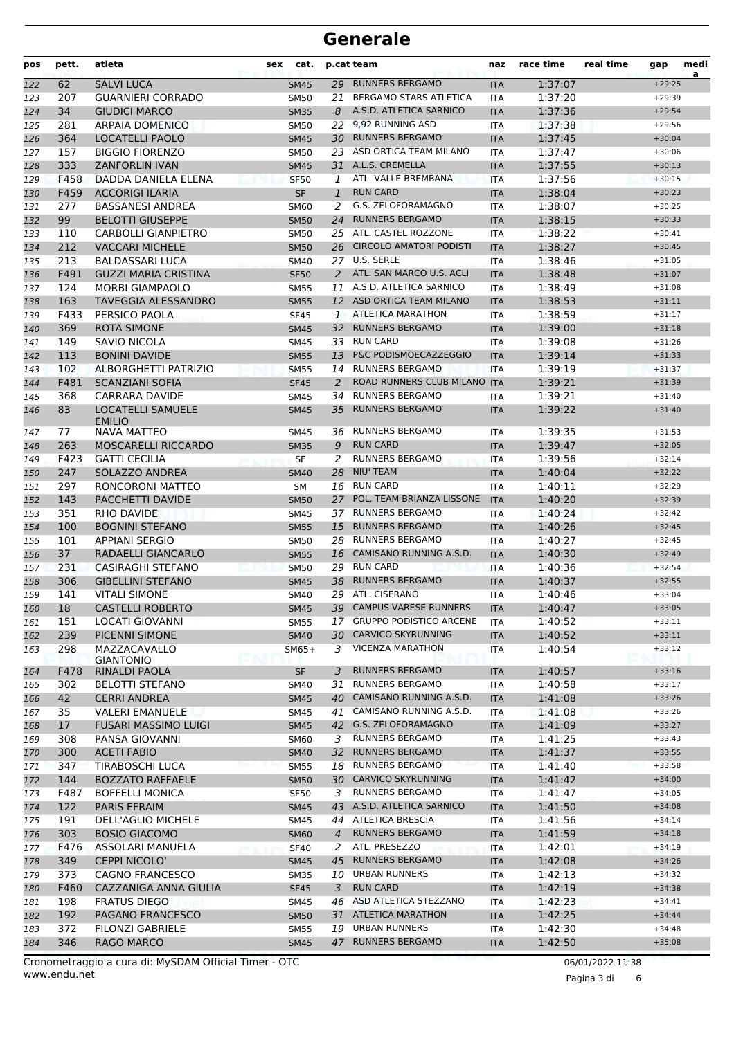| pos | pett.       | atleta                                       | sex | cat.        |                | p.cat team                                          | naz        | race time          | real time | gap                  | medi<br>a |
|-----|-------------|----------------------------------------------|-----|-------------|----------------|-----------------------------------------------------|------------|--------------------|-----------|----------------------|-----------|
| 122 | 62          | <b>SALVI LUCA</b>                            |     | <b>SM45</b> |                | 29 RUNNERS BERGAMO                                  | <b>ITA</b> | 1:37:07            |           | $+29:25$             |           |
| 123 | 207         | <b>GUARNIERI CORRADO</b>                     |     | <b>SM50</b> | 21             | <b>BERGAMO STARS ATLETICA</b>                       | <b>ITA</b> | 1:37:20            |           | $+29:39$             |           |
| 124 | 34          | <b>GIUDICI MARCO</b>                         |     | <b>SM35</b> | 8              | A.S.D. ATLETICA SARNICO                             | <b>ITA</b> | 1:37:36            |           | $+29:54$             |           |
| 125 | 281         | <b>ARPAIA DOMENICO</b>                       |     | <b>SM50</b> | 22             | 9,92 RUNNING ASD                                    | ITA        | 1:37:38            |           | $+29:56$             |           |
| 126 | 364         | LOCATELLI PAOLO                              |     | <b>SM45</b> |                | 30 RUNNERS BERGAMO                                  | <b>ITA</b> | 1:37:45            |           | $+30:04$             |           |
| 127 | 157         | <b>BIGGIO FIORENZO</b>                       |     | SM50        |                | 23 ASD ORTICA TEAM MILANO                           | <b>ITA</b> | 1:37:47            |           | $+30:06$             |           |
| 128 | 333         | <b>ZANFORLIN IVAN</b>                        |     | <b>SM45</b> | 31             | A.L.S. CREMELLA                                     | <b>ITA</b> | 1:37:55            |           | $+30:13$             |           |
| 129 | F458        | DADDA DANIELA ELENA                          |     | <b>SF50</b> | 1              | ATL. VALLE BREMBANA                                 | <b>ITA</b> | 1:37:56            |           | $+30:15$             |           |
| 130 | F459        | <b>ACCORIGI ILARIA</b>                       |     | <b>SF</b>   | $\mathbf{1}$   | <b>RUN CARD</b>                                     | <b>ITA</b> | 1:38:04            |           | $+30:23$             |           |
| 131 | 277         | <b>BASSANESI ANDREA</b>                      |     | <b>SM60</b> | 2              | G.S. ZELOFORAMAGNO                                  | ITA        | 1:38:07            |           | $+30:25$             |           |
| 132 | 99          | <b>BELOTTI GIUSEPPE</b>                      |     | <b>SM50</b> | 24             | <b>RUNNERS BERGAMO</b>                              | <b>ITA</b> | 1:38:15            |           | $+30:33$             |           |
| 133 | 110         | <b>CARBOLLI GIANPIETRO</b>                   |     | SM50        |                | 25 ATL. CASTEL ROZZONE                              | <b>ITA</b> | 1:38:22            |           | $+30:41$             |           |
| 134 | 212         | <b>VACCARI MICHELE</b>                       |     | <b>SM50</b> | 26             | <b>CIRCOLO AMATORI PODISTI</b>                      | <b>ITA</b> | 1:38:27            |           | $+30:45$             |           |
| 135 | 213         | <b>BALDASSARI LUCA</b>                       |     | SM40        |                | 27 U.S. SERLE                                       | ITA        | 1:38:46            |           | $+31:05$             |           |
| 136 | F491        | <b>GUZZI MARIA CRISTINA</b>                  |     | <b>SF50</b> | 2              | ATL. SAN MARCO U.S. ACLI                            | <b>ITA</b> | 1:38:48            |           | $+31:07$             |           |
| 137 | 124         | <b>MORBI GIAMPAOLO</b>                       |     | <b>SM55</b> | 11             | A.S.D. ATLETICA SARNICO                             | ITA        | 1:38:49            |           | $+31:08$             |           |
| 138 | 163         | <b>TAVEGGIA ALESSANDRO</b>                   |     | <b>SM55</b> |                | 12 ASD ORTICA TEAM MILANO                           | <b>ITA</b> | 1:38:53            |           | $+31:11$             |           |
| 139 | F433        | PERSICO PAOLA                                |     | <b>SF45</b> | 1              | <b>ATLETICA MARATHON</b>                            | <b>ITA</b> | 1:38:59            |           | $+31:17$             |           |
| 140 | 369         | <b>ROTA SIMONE</b>                           |     | <b>SM45</b> | 32             | <b>RUNNERS BERGAMO</b>                              | <b>ITA</b> | 1:39:00            |           | $+31:18$             |           |
| 141 | 149         | SAVIO NICOLA                                 |     | <b>SM45</b> |                | 33 RUN CARD                                         | <b>ITA</b> | 1:39:08            |           | $+31:26$             |           |
| 142 | 113         | <b>BONINI DAVIDE</b>                         |     | <b>SM55</b> | 13             | P&C PODISMOECAZZEGGIO                               | <b>ITA</b> | 1:39:14            |           | $+31:33$             |           |
| 143 | 102         | ALBORGHETTI PATRIZIO                         |     | <b>SM55</b> | 14             | <b>RUNNERS BERGAMO</b>                              | <b>ITA</b> | 1:39:19            |           | $+31:37$             |           |
| 144 | F481        | <b>SCANZIANI SOFIA</b>                       |     | <b>SF45</b> | 2              | ROAD RUNNERS CLUB MILANO                            | <b>ITA</b> | 1:39:21            |           | $+31:39$             |           |
| 145 | 368         | CARRARA DAVIDE                               |     | SM45        | 34             | <b>RUNNERS BERGAMO</b>                              | <b>ITA</b> | 1:39:21            |           | $+31:40$             |           |
| 146 | 83          | <b>LOCATELLI SAMUELE</b><br><b>EMILIO</b>    |     | <b>SM45</b> | 35             | <b>RUNNERS BERGAMO</b>                              | <b>ITA</b> | 1:39:22            |           | $+31:40$             |           |
| 147 | 77          | <b>NAVA MATTEO</b>                           |     | <b>SM45</b> |                | 36 RUNNERS BERGAMO                                  | ITA        | 1:39:35            |           | $+31:53$             |           |
| 148 | 263         | <b>MOSCARELLI RICCARDO</b>                   |     | <b>SM35</b> | 9              | <b>RUN CARD</b>                                     | <b>ITA</b> | 1:39:47            |           | $+32:05$             |           |
| 149 | F423        | <b>GATTI CECILIA</b>                         |     | <b>SF</b>   | 2              | <b>RUNNERS BERGAMO</b>                              | <b>ITA</b> | 1:39:56            |           | $+32:14$             |           |
| 150 | 247         | SOLAZZO ANDREA                               |     | <b>SM40</b> | 28             | <b>NIU' TEAM</b>                                    | <b>ITA</b> | 1:40:04            |           | $+32:22$             |           |
| 151 | 297         | RONCORONI MATTEO                             |     | <b>SM</b>   |                | 16 RUN CARD                                         | <b>ITA</b> | 1:40:11            |           | $+32:29$             |           |
| 152 | 143         | PACCHETTI DAVIDE                             |     | <b>SM50</b> | 27             | POL. TEAM BRIANZA LISSONE                           | <b>ITA</b> | 1:40:20            |           | $+32:39$             |           |
| 153 | 351         | RHO DAVIDE                                   |     | <b>SM45</b> |                | 37 RUNNERS BERGAMO                                  | ITA        | 1:40:24            |           | $+32:42$             |           |
| 154 | 100         | <b>BOGNINI STEFANO</b>                       |     | <b>SM55</b> |                | 15 RUNNERS BERGAMO                                  | <b>ITA</b> | 1:40:26            |           | $+32:45$             |           |
| 155 | 101         | <b>APPIANI SERGIO</b>                        |     | <b>SM50</b> | 28             | <b>RUNNERS BERGAMO</b>                              | <b>ITA</b> | 1:40:27            |           | $+32:45$             |           |
| 156 | 37          | RADAELLI GIANCARLO                           |     | <b>SM55</b> | 16             | CAMISANO RUNNING A.S.D.                             | <b>ITA</b> | 1:40:30            |           | $+32:49$             |           |
| 157 | 231         | <b>CASIRAGHI STEFANO</b>                     |     | <b>SM50</b> | 29             | <b>RUN CARD</b>                                     | <b>ITA</b> | 1:40:36            |           | $+32:54$             |           |
| 158 | 306         | <b>GIBELLINI STEFANO</b>                     |     | <b>SM45</b> | 38             | <b>RUNNERS BERGAMO</b>                              | <b>ITA</b> | 1:40:37            |           | $+32:55$             |           |
| 159 | 141         | <b>VITALI SIMONE</b>                         |     | SM40        |                | 29 ATL. CISERANO                                    | <b>ITA</b> | 1:40:46            |           | $+33:04$             |           |
| 160 | $18\,$      | <b>CASTELLI ROBERTO</b>                      |     | SM45        |                | 39 CAMPUS VARESE RUNNERS                            | <b>ITA</b> | 1:40:47            |           | $+33:05$             |           |
| 161 | 151         | LOCATI GIOVANNI                              |     | <b>SM55</b> |                | 17 GRUPPO PODISTICO ARCENE                          | <b>ITA</b> | 1:40:52            |           | $+33:11$             |           |
| 162 | 239         | PICENNI SIMONE                               |     | <b>SM40</b> |                | 30 CARVICO SKYRUNNING                               | <b>ITA</b> | 1:40:52            |           | $+33:11$             |           |
| 163 | 298         | MAZZACAVALLO                                 |     | $SM65+$     | 3              | <b>VICENZA MARATHON</b>                             | ITA        | 1:40:54            |           | $+33:12$             |           |
|     |             | <b>GIANTONIO</b>                             |     |             |                |                                                     |            |                    |           |                      |           |
| 164 | F478        | RINALDI PAOLA                                |     | SF          | 3              | RUNNERS BERGAMO                                     | <b>ITA</b> | 1:40:57            |           | $+33:16$             |           |
| 165 | 302         | <b>BELOTTI STEFANO</b>                       |     | SM40        | 31             | <b>RUNNERS BERGAMO</b><br>CAMISANO RUNNING A.S.D.   | <b>ITA</b> | 1:40:58            |           | $+33:17$             |           |
| 166 | 42          | <b>CERRI ANDREA</b>                          |     | <b>SM45</b> | 40             |                                                     | <b>ITA</b> | 1:41:08            |           | $+33:26$             |           |
| 167 | 35          | <b>VALERI EMANUELE</b>                       |     | SM45        |                | 41 CAMISANO RUNNING A.S.D.<br>42 G.S. ZELOFORAMAGNO | <b>ITA</b> | 1:41:08            |           | $+33:26$             |           |
| 168 | 17          | <b>FUSARI MASSIMO LUIGI</b>                  |     | <b>SM45</b> |                | <b>RUNNERS BERGAMO</b>                              | <b>ITA</b> | 1:41:09            |           | $+33:27$             |           |
| 169 | 308         | PANSA GIOVANNI                               |     | <b>SM60</b> | 3              |                                                     | <b>ITA</b> | 1:41:25            |           | $+33:43$             |           |
| 170 | 300         | <b>ACETI FABIO</b>                           |     | <b>SM40</b> | 32             | <b>RUNNERS BERGAMO</b><br><b>RUNNERS BERGAMO</b>    | <b>ITA</b> | 1:41:37            |           | $+33:55$<br>$+33:58$ |           |
| 171 | 347         | TIRABOSCHI LUCA                              |     | <b>SM55</b> | 18             | 30 CARVICO SKYRUNNING                               | <b>ITA</b> | 1:41:40            |           | $+34:00$             |           |
| 172 | 144         | <b>BOZZATO RAFFAELE</b>                      |     | <b>SM50</b> |                | <b>RUNNERS BERGAMO</b>                              | <b>ITA</b> | 1:41:42            |           | $+34:05$             |           |
| 173 | F487        | <b>BOFFELLI MONICA</b>                       |     | <b>SF50</b> | 3              | 43 A.S.D. ATLETICA SARNICO                          | <b>ITA</b> | 1:41:47            |           | $+34:08$             |           |
| 174 | 122         | <b>PARIS EFRAIM</b>                          |     | <b>SM45</b> |                | 44 ATLETICA BRESCIA                                 | <b>ITA</b> | 1:41:50            |           | $+34:14$             |           |
| 175 | 191<br>303  | DELL'AGLIO MICHELE<br><b>BOSIO GIACOMO</b>   |     | SM45        | $\overline{4}$ | <b>RUNNERS BERGAMO</b>                              | ITA        | 1:41:56<br>1:41:59 |           | $+34:18$             |           |
| 176 |             |                                              |     | <b>SM60</b> |                | ATL. PRESEZZO                                       | <b>ITA</b> |                    |           | $+34:19$             |           |
| 177 | F476        | ASSOLARI MANUELA                             |     | <b>SF40</b> | 2<br>45        | <b>RUNNERS BERGAMO</b>                              | <b>ITA</b> | 1:42:01            |           | $+34:26$             |           |
| 178 | 349<br>373  | <b>CEPPI NICOLO'</b><br>CAGNO FRANCESCO      |     | <b>SM45</b> |                | 10 URBAN RUNNERS                                    | <b>ITA</b> | 1:42:08<br>1:42:13 |           | $+34:32$             |           |
| 179 |             |                                              |     | <b>SM35</b> |                | <b>RUN CARD</b>                                     | ITA        |                    |           | $+34:38$             |           |
| 180 | F460<br>198 | CAZZANIGA ANNA GIULIA<br><b>FRATUS DIEGO</b> |     | <b>SF45</b> | 3              | 46 ASD ATLETICA STEZZANO                            | <b>ITA</b> | 1:42:19            |           | $+34:41$             |           |
| 181 | 192         | PAGANO FRANCESCO                             |     | SM45        | 31             | <b>ATLETICA MARATHON</b>                            | <b>ITA</b> | 1:42:23            |           | $+34:44$             |           |
| 182 | 372         | <b>FILONZI GABRIELE</b>                      |     | <b>SM50</b> |                | 19 URBAN RUNNERS                                    | <b>ITA</b> | 1:42:25<br>1:42:30 |           | $+34:48$             |           |
| 183 |             |                                              |     | SM55        |                | 47 RUNNERS BERGAMO                                  | <b>ITA</b> |                    |           |                      |           |
| 184 | 346         | <b>RAGO MARCO</b>                            |     | <b>SM45</b> |                |                                                     | <b>ITA</b> | 1:42:50            |           | $+35:08$             |           |

Pagina 3 di 6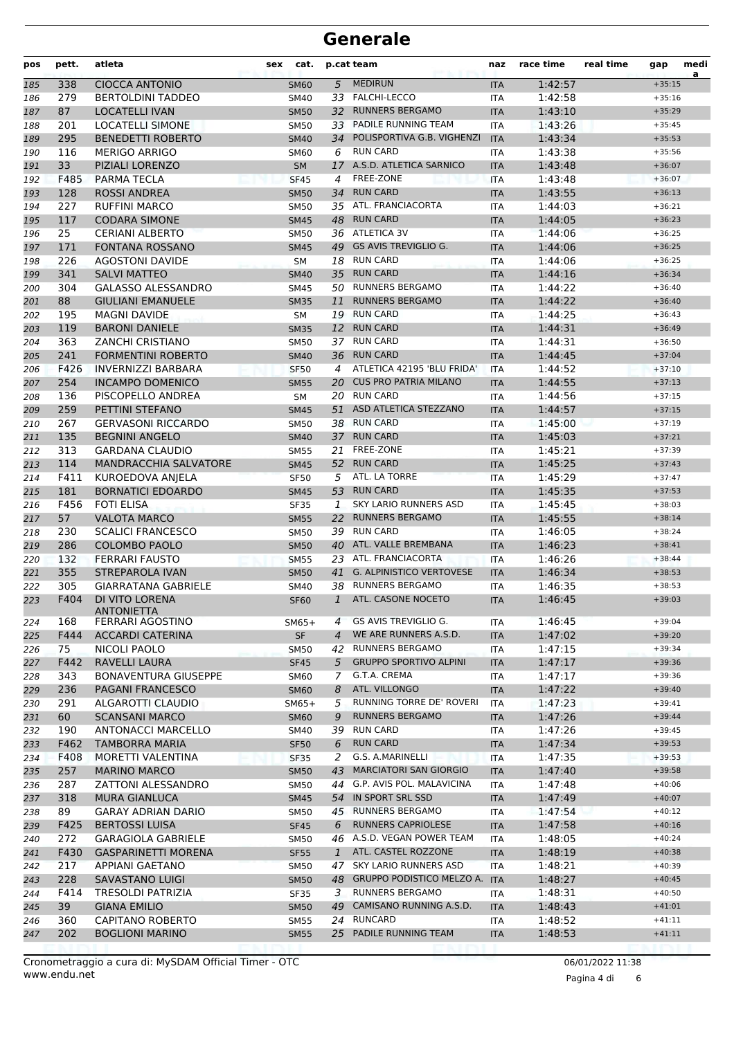| pos | pett. | atleta                       | sex | cat.        |              | p.cat team                      | naz        | race time | real time | gap      | medi<br>a |
|-----|-------|------------------------------|-----|-------------|--------------|---------------------------------|------------|-----------|-----------|----------|-----------|
| 185 | 338   | <b>CIOCCA ANTONIO</b>        |     | <b>SM60</b> | 5            | <b>MEDIRUN</b>                  | <b>ITA</b> | 1:42:57   |           | $+35:15$ |           |
| 186 | 279   | <b>BERTOLDINI TADDEO</b>     |     | SM40        |              | 33 FALCHI-LECCO                 | <b>ITA</b> | 1:42:58   |           | $+35:16$ |           |
| 187 | 87    | <b>LOCATELLI IVAN</b>        |     | <b>SM50</b> |              | 32 RUNNERS BERGAMO              | <b>ITA</b> | 1:43:10   |           | $+35:29$ |           |
| 188 | 201   | <b>LOCATELLI SIMONE</b>      |     | SM50        | 33           | <b>PADILE RUNNING TEAM</b>      | <b>ITA</b> | 1:43:26   |           | $+35:45$ |           |
| 189 | 295   | <b>BENEDETTI ROBERTO</b>     |     | <b>SM40</b> | 34           | POLISPORTIVA G.B. VIGHENZI      | <b>ITA</b> | 1:43:34   |           | $+35:53$ |           |
| 190 | 116   | <b>MERIGO ARRIGO</b>         |     | SM60        | 6            | <b>RUN CARD</b>                 | <b>ITA</b> | 1:43:38   |           | $+35:56$ |           |
| 191 | 33    | PIZIALI LORENZO              |     | <b>SM</b>   |              | 17 A.S.D. ATLETICA SARNICO      | <b>ITA</b> | 1:43:48   |           | $+36:07$ |           |
| 192 | F485  | <b>PARMA TECLA</b>           |     | <b>SF45</b> | 4            | FREE-ZONE                       | <b>ITA</b> | 1:43:48   |           | $+36:07$ |           |
| 193 | 128   | <b>ROSSI ANDREA</b>          |     | <b>SM50</b> | 34           | <b>RUN CARD</b>                 | <b>ITA</b> | 1:43:55   |           | $+36:13$ |           |
| 194 | 227   | <b>RUFFINI MARCO</b>         |     | SM50        | 35           | ATL. FRANCIACORTA               | <b>ITA</b> | 1:44:03   |           | $+36:21$ |           |
| 195 | 117   | <b>CODARA SIMONE</b>         |     | <b>SM45</b> | 48           | <b>RUN CARD</b>                 | <b>ITA</b> | 1:44:05   |           | $+36:23$ |           |
| 196 | 25    | <b>CERIANI ALBERTO</b>       |     | <b>SM50</b> |              | 36 ATLETICA 3V                  | ITA        | 1:44:06   |           | $+36:25$ |           |
| 197 | 171   | <b>FONTANA ROSSANO</b>       |     | <b>SM45</b> | 49           | <b>GS AVIS TREVIGLIO G.</b>     | <b>ITA</b> | 1:44:06   |           | $+36:25$ |           |
| 198 | 226   | <b>AGOSTONI DAVIDE</b>       |     | <b>SM</b>   |              | 18 RUN CARD                     | ITA        | 1:44:06   |           | $+36:25$ |           |
| 199 | 341   | <b>SALVI MATTEO</b>          |     | <b>SM40</b> | 35           | <b>RUN CARD</b>                 | <b>ITA</b> | 1:44:16   |           | $+36:34$ |           |
| 200 | 304   | <b>GALASSO ALESSANDRO</b>    |     | <b>SM45</b> | 50           | <b>RUNNERS BERGAMO</b>          | ITA        | 1:44:22   |           | $+36:40$ |           |
| 201 | 88    | <b>GIULIANI EMANUELE</b>     |     | <b>SM35</b> | 11           | <b>RUNNERS BERGAMO</b>          | <b>ITA</b> | 1:44:22   |           | $+36:40$ |           |
| 202 | 195   | <b>MAGNI DAVIDE</b>          |     | <b>SM</b>   |              | 19 RUN CARD                     | ITA        | 1:44:25   |           | $+36:43$ |           |
| 203 | 119   | <b>BARONI DANIELE</b>        |     | <b>SM35</b> |              | 12 RUN CARD                     | <b>ITA</b> | 1:44:31   |           | $+36:49$ |           |
| 204 | 363   | <b>ZANCHI CRISTIANO</b>      |     | <b>SM50</b> | 37           | <b>RUN CARD</b>                 | <b>ITA</b> | 1:44:31   |           | $+36:50$ |           |
| 205 | 241   | <b>FORMENTINI ROBERTO</b>    |     | <b>SM40</b> | 36           | <b>RUN CARD</b>                 | <b>ITA</b> | 1:44:45   |           | $+37:04$ |           |
| 206 | F426  | <b>INVERNIZZI BARBARA</b>    |     | <b>SF50</b> | 4            | ATLETICA 42195 'BLU FRIDA'      | <b>ITA</b> | 1:44:52   |           | $+37:10$ |           |
| 207 | 254   | <b>INCAMPO DOMENICO</b>      |     | <b>SM55</b> | 20           | <b>CUS PRO PATRIA MILANO</b>    | <b>ITA</b> | 1:44:55   |           | $+37:13$ |           |
| 208 | 136   | PISCOPELLO ANDREA            |     | <b>SM</b>   |              | 20 RUN CARD                     | ITA        | 1:44:56   |           | $+37:15$ |           |
| 209 | 259   | PETTINI STEFANO              |     | <b>SM45</b> | 51           | ASD ATLETICA STEZZANO           | <b>ITA</b> | 1:44:57   |           | $+37:15$ |           |
| 210 | 267   | <b>GERVASONI RICCARDO</b>    |     | <b>SM50</b> |              | 38 RUN CARD                     | <b>ITA</b> | 1:45:00   |           | $+37:19$ |           |
| 211 | 135   | <b>BEGNINI ANGELO</b>        |     | <b>SM40</b> | 37           | <b>RUN CARD</b>                 | <b>ITA</b> | 1:45:03   |           | $+37:21$ |           |
| 212 | 313   | <b>GARDANA CLAUDIO</b>       |     | <b>SM55</b> | 21           | FREE-ZONE                       | ITA        | 1:45:21   |           | $+37:39$ |           |
| 213 | 114   | MANDRACCHIA SALVATORE        |     | <b>SM45</b> | 52           | <b>RUN CARD</b>                 | <b>ITA</b> | 1:45:25   |           | $+37:43$ |           |
| 214 | F411  | KUROEDOVA ANJELA             |     | <b>SF50</b> | 5            | ATL. LA TORRE                   | <b>ITA</b> | 1:45:29   |           | $+37:47$ |           |
| 215 | 181   | <b>BORNATICI EDOARDO</b>     |     | <b>SM45</b> | 53           | <b>RUN CARD</b>                 | <b>ITA</b> | 1:45:35   |           | $+37:53$ |           |
| 216 | F456  | <b>FOTI ELISA</b>            |     | <b>SF35</b> | 1            | <b>SKY LARIO RUNNERS ASD</b>    | <b>ITA</b> | 1:45:45   |           | $+38:03$ |           |
| 217 | 57    | <b>VALOTA MARCO</b>          |     | <b>SM55</b> | 22           | <b>RUNNERS BERGAMO</b>          | <b>ITA</b> | 1:45:55   |           | $+38:14$ |           |
| 218 | 230   | <b>SCALICI FRANCESCO</b>     |     | SM50        | 39           | <b>RUN CARD</b>                 | ITA        | 1:46:05   |           | $+38:24$ |           |
| 219 | 286   | <b>COLOMBO PAOLO</b>         |     | <b>SM50</b> | 40           | ATL. VALLE BREMBANA             | <b>ITA</b> | 1:46:23   |           | $+38:41$ |           |
| 220 | 132   | <b>FERRARI FAUSTO</b>        |     | <b>SM55</b> | 23.          | ATL. FRANCIACORTA               | <b>ITA</b> | 1:46:26   |           | $+38:44$ |           |
| 221 | 355   | <b>STREPAROLA IVAN</b>       |     | <b>SM50</b> | 41           | <b>G. ALPINISTICO VERTOVESE</b> | <b>ITA</b> | 1:46:34   |           | $+38:53$ |           |
| 222 | 305   | <b>GIARRATANA GABRIELE</b>   |     | <b>SM40</b> | 38           | <b>RUNNERS BERGAMO</b>          | <b>ITA</b> | 1:46:35   |           | $+38:53$ |           |
| 223 | F404  | DI VITO LORENA<br>ANIONIELIA |     | <b>SF60</b> | $\mathbf{1}$ | ATL. CASONE NOCETO              | <b>ITA</b> | 1:46:45   |           | $+39:03$ |           |
| 224 | 168   | <b>FERRARI AGOSTINO</b>      |     | $SM65+$     | 4            | GS AVIS TREVIGLIO G.            | <b>ITA</b> | 1:46:45   |           | $+39:04$ |           |
| 225 | F444  | <b>ACCARDI CATERINA</b>      |     | <b>SF</b>   | 4            | WE ARE RUNNERS A.S.D.           | <b>ITA</b> | 1:47:02   |           | $+39:20$ |           |
| 226 | 75    | NICOLI PAOLO                 |     | <b>SM50</b> |              | 42 RUNNERS BERGAMO              | ITA        | 1:47:15   |           | $+39:34$ |           |
| 227 | F442  | RAVELLI LAURA                |     | <b>SF45</b> | 5            | <b>GRUPPO SPORTIVO ALPINI</b>   | <b>ITA</b> | 1:47:17   |           | $+39:36$ |           |
| 228 | 343   | <b>BONAVENTURA GIUSEPPE</b>  |     | <b>SM60</b> | 7            | G.T.A. CREMA                    | ITA        | 1:47:17   |           | $+39:36$ |           |
| 229 | 236   | <b>PAGANI FRANCESCO</b>      |     | <b>SM60</b> | 8            | ATL. VILLONGO                   | <b>ITA</b> | 1:47:22   |           | $+39:40$ |           |
| 230 | 291   | ALGAROTTI CLAUDIO            |     | $SM65+$     | 5            | RUNNING TORRE DE' ROVERI        | <b>ITA</b> | 1:47:23   |           | $+39:41$ |           |
| 231 | 60    | <b>SCANSANI MARCO</b>        |     | <b>SM60</b> | 9            | <b>RUNNERS BERGAMO</b>          | <b>ITA</b> | 1:47:26   |           | $+39:44$ |           |
| 232 | 190   | ANTONACCI MARCELLO           |     | SM40        |              | 39 RUN CARD                     | <b>ITA</b> | 1:47:26   |           | $+39:45$ |           |
| 233 | F462  | <b>TAMBORRA MARIA</b>        |     | <b>SF50</b> | 6            | <b>RUN CARD</b>                 | <b>ITA</b> | 1:47:34   |           | $+39:53$ |           |
| 234 | F408  | MORETTI VALENTINA            |     | SF35        | 2            | G.S. A.MARINELLI                | ITA        | 1:47:35   |           | $+39:53$ |           |
| 235 | 257   | <b>MARINO MARCO</b>          |     | <b>SM50</b> | 43           | <b>MARCIATORI SAN GIORGIO</b>   | <b>ITA</b> | 1:47:40   |           | $+39:58$ |           |
| 236 | 287   | <b>ZATTONI ALESSANDRO</b>    |     | SM50        | 44           | G.P. AVIS POL. MALAVICINA       | <b>ITA</b> | 1:47:48   |           | $+40:06$ |           |
| 237 | 318   | <b>MURA GIANLUCA</b>         |     | <b>SM45</b> |              | 54 IN SPORT SRL SSD             | <b>ITA</b> | 1:47:49   |           | $+40:07$ |           |
| 238 | 89    | GARAY ADRIAN DARIO           |     | SM50        |              | 45 RUNNERS BERGAMO              | <b>ITA</b> | 1:47:54   |           | $+40:12$ |           |
| 239 | F425  | <b>BERTOSSI LUISA</b>        |     | <b>SF45</b> | 6            | <b>RUNNERS CAPRIOLESE</b>       | <b>ITA</b> | 1:47:58   |           | $+40:16$ |           |
| 240 | 272   | <b>GARAGIOLA GABRIELE</b>    |     | SM50        |              | 46 A.S.D. VEGAN POWER TEAM      | ITA        | 1:48:05   |           | $+40:24$ |           |
| 241 | F430  | <b>GASPARINETTI MORENA</b>   |     | <b>SF55</b> | $\mathbf{1}$ | ATL. CASTEL ROZZONE             | <b>ITA</b> | 1:48:19   |           | $+40:38$ |           |
| 242 | 217   | APPIANI GAETANO              |     | <b>SM50</b> | 47           | SKY LARIO RUNNERS ASD           | ITA        | 1:48:21   |           | $+40:39$ |           |
| 243 | 228   | <b>SAVASTANO LUIGI</b>       |     | <b>SM50</b> |              | 48 GRUPPO PODISTICO MELZO A.    | <b>ITA</b> | 1:48:27   |           | $+40:45$ |           |
| 244 | F414  | TRESOLDI PATRIZIA            |     | <b>SF35</b> | 3            | <b>RUNNERS BERGAMO</b>          | ITA        | 1:48:31   |           | $+40:50$ |           |
| 245 | 39    | <b>GIANA EMILIO</b>          |     | <b>SM50</b> | 49           | CAMISANO RUNNING A.S.D.         | <b>ITA</b> | 1:48:43   |           | $+41:01$ |           |
| 246 | 360   | CAPITANO ROBERTO             |     | <b>SM55</b> |              | 24 RUNCARD                      | ITA        | 1:48:52   |           | $+41:11$ |           |
| 247 | 202   | <b>BOGLIONI MARINO</b>       |     | <b>SM55</b> |              | 25 PADILE RUNNING TEAM          | <b>ITA</b> | 1:48:53   |           | $+41:11$ |           |
|     |       |                              |     |             |              |                                 |            |           |           |          |           |

Pagina 4 di 6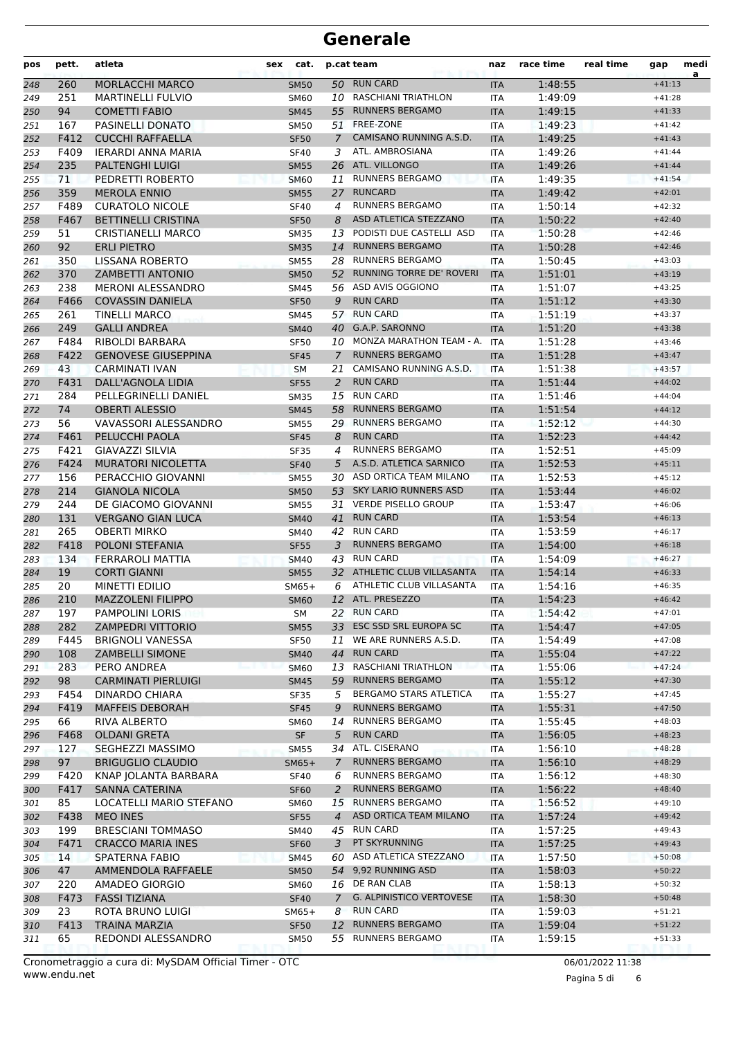| 50 RUN CARD<br><b>MORLACCHI MARCO</b><br>1:48:55<br>$+41:13$<br>260<br><b>SM50</b><br><b>ITA</b><br>248<br>251<br><b>MARTINELLI FULVIO</b><br>10 RASCHIANI TRIATHLON<br>1:49:09<br>249<br><b>SM60</b><br><b>ITA</b><br>$+41:28$<br>94<br><b>RUNNERS BERGAMO</b><br><b>COMETTI FABIO</b><br>55<br>1:49:15<br>250<br><b>SM45</b><br><b>ITA</b><br>$+41:33$<br>FREE-ZONE<br>PASINELLI DONATO<br>1:49:23<br>251<br>167<br>SM50<br>51<br>$+41:42$<br><b>ITA</b><br>CAMISANO RUNNING A.S.D.<br>F412<br><b>CUCCHI RAFFAELLA</b><br>252<br>1:49:25<br><b>SF50</b><br>$\mathcal{I}$<br><b>ITA</b><br>$+41:43$<br>ATL. AMBROSIANA<br>F409<br><b>IERARDI ANNA MARIA</b><br>1:49:26<br>253<br><b>SF40</b><br>3<br>ITA<br>$+41:44$<br>ATL. VILLONGO<br>235<br><b>PALTENGHI LUIGI</b><br>1:49:26<br><b>SM55</b><br>26<br>$+41:44$<br>254<br><b>ITA</b><br><b>RUNNERS BERGAMO</b><br>71<br>PEDRETTI ROBERTO<br>1:49:35<br><b>SM60</b><br>11<br><b>ITA</b><br>255<br>$+41:54$<br>359<br><b>RUNCARD</b><br><b>MEROLA ENNIO</b><br>1:49:42<br>256<br><b>SM55</b><br>27<br><b>ITA</b><br>$+42:01$<br>F489<br><b>RUNNERS BERGAMO</b><br>1:50:14<br>257<br><b>CURATOLO NICOLE</b><br><b>SF40</b><br>$+42:32$<br>4<br>ITA<br>F467<br><b>BETTINELLI CRISTINA</b><br>ASD ATLETICA STEZZANO<br>1:50:22<br><b>SF50</b><br>8<br><b>ITA</b><br>258<br>$+42:40$<br>PODISTI DUE CASTELLI ASD<br>51<br><b>CRISTIANELLI MARCO</b><br><b>ITA</b><br>1:50:28<br>259<br><b>SM35</b><br>13<br>$+42:46$<br><b>RUNNERS BERGAMO</b><br>92<br><b>ERLI PIETRO</b><br>1:50:28<br><b>SM35</b><br>14<br>$+42:46$<br>260<br><b>ITA</b><br>350<br>28 RUNNERS BERGAMO<br>1:50:45<br>LISSANA ROBERTO<br><b>SM55</b><br>$+43:03$<br>261<br>ITA<br>370<br><b>RUNNING TORRE DE' ROVERI</b><br><b>ZAMBETTI ANTONIO</b><br>1:51:01<br>52<br>$+43:19$<br>262<br><b>SM50</b><br><b>ITA</b><br>238<br><b>MERONI ALESSANDRO</b><br>ASD AVIS OGGIONO<br>1:51:07<br>$+43:25$<br>263<br><b>SM45</b><br>56<br><b>ITA</b><br>F466<br><b>RUN CARD</b><br>1:51:12<br><b>COVASSIN DANIELA</b><br>9<br>264<br><b>SF50</b><br><b>ITA</b><br>$+43:30$<br>57 RUN CARD<br>261<br><b>TINELLI MARCO</b><br>1:51:19<br>$+43:37$<br>265<br><b>SM45</b><br><b>ITA</b><br>249<br><b>GALLI ANDREA</b><br>40 G.A.P. SARONNO<br>1:51:20<br><b>ITA</b><br>$+43:38$<br>266<br><b>SM40</b><br>F484<br>10 MONZA MARATHON TEAM - A.<br>1:51:28<br><b>RIBOLDI BARBARA</b><br><b>SF50</b><br>ITA<br>$+43:46$<br>267<br>F422<br><b>GENOVESE GIUSEPPINA</b><br><b>RUNNERS BERGAMO</b><br>1:51:28<br>7<br>$+43:47$<br>268<br><b>SF45</b><br><b>ITA</b><br>CAMISANO RUNNING A.S.D.<br>43<br><b>CARMINATI IVAN</b><br>1:51:38<br>21<br>$+43:57$<br>269<br><b>SM</b><br><b>ITA</b><br>$\overline{2}$<br><b>RUN CARD</b><br>1:51:44<br>F431<br>DALL'AGNOLA LIDIA<br>270<br><b>SF55</b><br><b>ITA</b><br>$+44:02$<br><b>RUN CARD</b><br>284<br>PELLEGRINELLI DANIEL<br>1:51:46<br><b>SM35</b><br>15<br>$+44:04$<br>271<br><b>ITA</b><br>74<br><b>OBERTI ALESSIO</b><br>58<br><b>RUNNERS BERGAMO</b><br>1:51:54<br>272<br>$+44:12$<br><b>SM45</b><br><b>ITA</b><br>56<br>29 RUNNERS BERGAMO<br>1:52:12<br>VAVASSORI ALESSANDRO<br>273<br><b>SM55</b><br>ITA<br>$+44:30$<br><b>RUN CARD</b><br>1:52:23<br>F461<br>PELUCCHI PAOLA<br>8<br>$+44:42$<br>274<br><b>SF45</b><br><b>ITA</b><br>F421<br><b>GIAVAZZI SILVIA</b><br><b>RUNNERS BERGAMO</b><br>1:52:51<br>$+45:09$<br>275<br><b>SF35</b><br>4<br><b>ITA</b><br>F424<br><b>MURATORI NICOLETTA</b><br>A.S.D. ATLETICA SARNICO<br>1:52:53<br><b>SF40</b><br>276<br>5<br><b>ITA</b><br>$+45:11$<br>30 ASD ORTICA TEAM MILANO<br>156<br>PERACCHIO GIOVANNI<br>1:52:53<br><b>SM55</b><br><b>ITA</b><br>$+45:12$<br>277<br>214<br><b>GIANOLA NICOLA</b><br>53 SKY LARIO RUNNERS ASD<br>1:53:44<br><b>SM50</b><br><b>ITA</b><br>278<br>$+46:02$<br>31 VERDE PISELLO GROUP<br>1:53:47<br>244<br>DE GIACOMO GIOVANNI<br>$+46:06$<br>279<br><b>SM55</b><br>ITA<br><b>RUN CARD</b><br>1:53:54<br>131<br><b>VERGANO GIAN LUCA</b><br>41<br>$+46:13$<br>280<br><b>SM40</b><br><b>ITA</b><br>265<br><b>OBERTI MIRKO</b><br><b>RUN CARD</b><br>1:53:59<br>42<br>281<br><b>SM40</b><br>$+46:17$<br><b>ITA</b><br>F418<br><b>RUNNERS BERGAMO</b><br>1:54:00<br>POLONI STEFANIA<br>3<br>282<br><b>SF55</b><br><b>ITA</b><br>$+46:18$<br><b>RUN CARD</b><br><b>FERRAROLI MATTIA</b><br>134<br>43<br>1:54:09<br>$+46:27$<br>283<br><b>SM40</b><br><b>ITA</b><br><b>CORTI GIANNI</b><br>32 ATHLETIC CLUB VILLASANTA<br>19<br>1:54:14<br>284<br><b>SM55</b><br><b>ITA</b><br>$+46:33$<br>20<br>ATHLETIC CLUB VILLASANTA<br><b>MINETTI EDILIO</b><br>6<br>1:54:16<br>$SM65+$<br><b>ITA</b><br>$+46:35$<br>285<br>12 ATL. PRESEZZO<br>210<br><b>MAZZOLENI FILIPPO</b><br>1:54:23<br>$+46:42$<br>286<br><b>SM60</b><br><b>ITA</b><br>22 RUN CARD<br>PAMPOLINI LORIS<br>1:54:42<br>197<br>$+47:01$<br>SM<br>287<br>ITA<br>33 ESC SSD SRL EUROPA SC<br>282<br><b>ZAMPEDRI VITTORIO</b><br>1:54:47<br>288<br><b>SM55</b><br><b>ITA</b><br>$+47:05$<br>WE ARE RUNNERS A.S.D.<br>$+47:08$<br>F445<br><b>BRIGNOLI VANESSA</b><br>1:54:49<br>289<br><b>SF50</b><br>11<br><b>ITA</b><br>44 RUN CARD<br>108<br><b>ZAMBELLI SIMONE</b><br>1:55:04<br>$+47:22$<br><b>SM40</b><br><b>ITA</b><br>290<br>13 RASCHIANI TRIATHLON<br>283<br>1:55:06<br>$+47:24$<br>PERO ANDREA<br><b>SM60</b><br>ITA<br>291<br>98<br><b>RUNNERS BERGAMO</b><br><b>CARMINATI PIERLUIGI</b><br>59<br>1:55:12<br>$+47:30$<br>292<br><b>SM45</b><br><b>ITA</b><br>F454<br>BERGAMO STARS ATLETICA<br><b>DINARDO CHIARA</b><br>1:55:27<br>$+47:45$<br>293<br>SF35<br>5<br><b>ITA</b><br><b>RUNNERS BERGAMO</b><br>F419<br><b>MAFFEIS DEBORAH</b><br>1:55:31<br>294<br><b>SF45</b><br><b>ITA</b><br>$+47:50$<br>9<br>14 RUNNERS BERGAMO<br><b>RIVA ALBERTO</b><br>1:55:45<br>$+48:03$<br>295<br>66<br>SM60<br>ITA<br>5<br><b>RUN CARD</b><br>F468<br><b>OLDANI GRETA</b><br>SF<br>1:56:05<br>$+48:23$<br>296<br><b>ITA</b><br>127<br>34 ATL. CISERANO<br>SEGHEZZI MASSIMO<br>1:56:10<br>$+48:28$<br><b>SM55</b><br>ITA<br>297<br>97<br><b>RUNNERS BERGAMO</b><br>$+48:29$<br><b>BRIGUGLIO CLAUDIO</b><br>1:56:10<br>298<br>$SM65+$<br>$\mathcal{I}$<br><b>ITA</b><br><b>RUNNERS BERGAMO</b><br>F420<br>KNAP JOLANTA BARBARA<br>1:56:12<br>$+48:30$<br>299<br><b>SF40</b><br>6<br>ITA<br>RUNNERS BERGAMO<br>F417<br>SANNA CATERINA<br>1:56:22<br>$+48:40$<br>2<br>300<br><b>SF60</b><br><b>ITA</b><br>15 RUNNERS BERGAMO<br>85<br>LOCATELLI MARIO STEFANO<br>1:56:52<br>$+49:10$<br>301<br><b>SM60</b><br><b>ITA</b><br>ASD ORTICA TEAM MILANO<br>F438<br><b>MEO INES</b><br>$\overline{4}$<br>1:57:24<br>$+49:42$<br>302<br><b>SF55</b><br><b>ITA</b><br>199<br><b>BRESCIANI TOMMASO</b><br>45 RUN CARD<br>1:57:25<br>$+49:43$<br>303<br>SM40<br>ITA<br>PT SKYRUNNING<br>F471<br><b>CRACCO MARIA INES</b><br>3<br>1:57:25<br>$+49:43$<br>304<br><b>SF60</b><br><b>ITA</b><br>ASD ATLETICA STEZZANO<br><b>SPATERNA FABIO</b><br>1:57:50<br>$+50:08$<br>305<br>14<br><b>SM45</b><br>60<br><b>ITA</b><br>54 9,92 RUNNING ASD<br>47<br>AMMENDOLA RAFFAELE<br>1:58:03<br>$+50:22$<br>306<br><b>SM50</b><br><b>ITA</b><br>16 DE RAN CLAB<br>220<br>AMADEO GIORGIO<br>1:58:13<br>$+50:32$<br>307<br>SM60<br>ITA<br>F473<br><b>FASSI TIZIANA</b><br><b>G. ALPINISTICO VERTOVESE</b><br>1:58:30<br>308<br><b>SF40</b><br>$\mathcal{I}$<br><b>ITA</b><br>$+50:48$<br>23<br><b>RUN CARD</b><br>8<br>1:59:03<br>ROTA BRUNO LUIGI<br>$+51:21$<br>309<br>$SM65+$<br>ITA<br><b>RUNNERS BERGAMO</b><br>F413<br><b>TRAINA MARZIA</b><br>12<br>1:59:04<br>$+51:22$<br><b>SF50</b><br><b>ITA</b><br>310<br>55 RUNNERS BERGAMO<br>65<br>REDONDI ALESSANDRO<br>1:59:15<br><b>SM50</b><br>$+51:33$<br>311<br>ITA | pos | pett. | atleta | sex | cat. | p.cat team | naz | race time | real time | gap | medi<br>a |
|---------------------------------------------------------------------------------------------------------------------------------------------------------------------------------------------------------------------------------------------------------------------------------------------------------------------------------------------------------------------------------------------------------------------------------------------------------------------------------------------------------------------------------------------------------------------------------------------------------------------------------------------------------------------------------------------------------------------------------------------------------------------------------------------------------------------------------------------------------------------------------------------------------------------------------------------------------------------------------------------------------------------------------------------------------------------------------------------------------------------------------------------------------------------------------------------------------------------------------------------------------------------------------------------------------------------------------------------------------------------------------------------------------------------------------------------------------------------------------------------------------------------------------------------------------------------------------------------------------------------------------------------------------------------------------------------------------------------------------------------------------------------------------------------------------------------------------------------------------------------------------------------------------------------------------------------------------------------------------------------------------------------------------------------------------------------------------------------------------------------------------------------------------------------------------------------------------------------------------------------------------------------------------------------------------------------------------------------------------------------------------------------------------------------------------------------------------------------------------------------------------------------------------------------------------------------------------------------------------------------------------------------------------------------------------------------------------------------------------------------------------------------------------------------------------------------------------------------------------------------------------------------------------------------------------------------------------------------------------------------------------------------------------------------------------------------------------------------------------------------------------------------------------------------------------------------------------------------------------------------------------------------------------------------------------------------------------------------------------------------------------------------------------------------------------------------------------------------------------------------------------------------------------------------------------------------------------------------------------------------------------------------------------------------------------------------------------------------------------------------------------------------------------------------------------------------------------------------------------------------------------------------------------------------------------------------------------------------------------------------------------------------------------------------------------------------------------------------------------------------------------------------------------------------------------------------------------------------------------------------------------------------------------------------------------------------------------------------------------------------------------------------------------------------------------------------------------------------------------------------------------------------------------------------------------------------------------------------------------------------------------------------------------------------------------------------------------------------------------------------------------------------------------------------------------------------------------------------------------------------------------------------------------------------------------------------------------------------------------------------------------------------------------------------------------------------------------------------------------------------------------------------------------------------------------------------------------------------------------------------------------------------------------------------------------------------------------------------------------------------------------------------------------------------------------------------------------------------------------------------------------------------------------------------------------------------------------------------------------------------------------------------------------------------------------------------------------------------------------------------------------------------------------------------------------------------------------------------------------------------------------------------------------------------------------------------------------------------------------------------------------------------------------------------------------------------------------------------------------------------------------------------------------------------------------------------------------------------------------------------------------------------------------------------------------------------------------------------------------------------------------------------------------------------------------------------------------------------------------------------------------------------------------------------------------------------------------------------------------------------------------------------------------------------------------------------------------------------------------------------------------------------------------------------------------------------------------------------------------------------------------------------------------------------------------------------------------------------------------------------------------------------------------------------------------------------------------------------------------------------------------------------------------------------------------------------------------------------------------------------------------------------------------------------------------------------------------------------------------------------------------------------------------------------------------------------------------------------------------------------------------------------------------------------------------------------------------------------------------------------------------------------------------------------------------|-----|-------|--------|-----|------|------------|-----|-----------|-----------|-----|-----------|
|                                                                                                                                                                                                                                                                                                                                                                                                                                                                                                                                                                                                                                                                                                                                                                                                                                                                                                                                                                                                                                                                                                                                                                                                                                                                                                                                                                                                                                                                                                                                                                                                                                                                                                                                                                                                                                                                                                                                                                                                                                                                                                                                                                                                                                                                                                                                                                                                                                                                                                                                                                                                                                                                                                                                                                                                                                                                                                                                                                                                                                                                                                                                                                                                                                                                                                                                                                                                                                                                                                                                                                                                                                                                                                                                                                                                                                                                                                                                                                                                                                                                                                                                                                                                                                                                                                                                                                                                                                                                                                                                                                                                                                                                                                                                                                                                                                                                                                                                                                                                                                                                                                                                                                                                                                                                                                                                                                                                                                                                                                                                                                                                                                                                                                                                                                                                                                                                                                                                                                                                                                                                                                                                                                                                                                                                                                                                                                                                                                                                                                                                                                                                                                                                                                                                                                                                                                                                                                                                                                                                                                                                                                                                                                                                                                                                                                                                                                                                                                                                                                                                                                                                                                                                                 |     |       |        |     |      |            |     |           |           |     |           |
|                                                                                                                                                                                                                                                                                                                                                                                                                                                                                                                                                                                                                                                                                                                                                                                                                                                                                                                                                                                                                                                                                                                                                                                                                                                                                                                                                                                                                                                                                                                                                                                                                                                                                                                                                                                                                                                                                                                                                                                                                                                                                                                                                                                                                                                                                                                                                                                                                                                                                                                                                                                                                                                                                                                                                                                                                                                                                                                                                                                                                                                                                                                                                                                                                                                                                                                                                                                                                                                                                                                                                                                                                                                                                                                                                                                                                                                                                                                                                                                                                                                                                                                                                                                                                                                                                                                                                                                                                                                                                                                                                                                                                                                                                                                                                                                                                                                                                                                                                                                                                                                                                                                                                                                                                                                                                                                                                                                                                                                                                                                                                                                                                                                                                                                                                                                                                                                                                                                                                                                                                                                                                                                                                                                                                                                                                                                                                                                                                                                                                                                                                                                                                                                                                                                                                                                                                                                                                                                                                                                                                                                                                                                                                                                                                                                                                                                                                                                                                                                                                                                                                                                                                                                                                 |     |       |        |     |      |            |     |           |           |     |           |
|                                                                                                                                                                                                                                                                                                                                                                                                                                                                                                                                                                                                                                                                                                                                                                                                                                                                                                                                                                                                                                                                                                                                                                                                                                                                                                                                                                                                                                                                                                                                                                                                                                                                                                                                                                                                                                                                                                                                                                                                                                                                                                                                                                                                                                                                                                                                                                                                                                                                                                                                                                                                                                                                                                                                                                                                                                                                                                                                                                                                                                                                                                                                                                                                                                                                                                                                                                                                                                                                                                                                                                                                                                                                                                                                                                                                                                                                                                                                                                                                                                                                                                                                                                                                                                                                                                                                                                                                                                                                                                                                                                                                                                                                                                                                                                                                                                                                                                                                                                                                                                                                                                                                                                                                                                                                                                                                                                                                                                                                                                                                                                                                                                                                                                                                                                                                                                                                                                                                                                                                                                                                                                                                                                                                                                                                                                                                                                                                                                                                                                                                                                                                                                                                                                                                                                                                                                                                                                                                                                                                                                                                                                                                                                                                                                                                                                                                                                                                                                                                                                                                                                                                                                                                                 |     |       |        |     |      |            |     |           |           |     |           |
|                                                                                                                                                                                                                                                                                                                                                                                                                                                                                                                                                                                                                                                                                                                                                                                                                                                                                                                                                                                                                                                                                                                                                                                                                                                                                                                                                                                                                                                                                                                                                                                                                                                                                                                                                                                                                                                                                                                                                                                                                                                                                                                                                                                                                                                                                                                                                                                                                                                                                                                                                                                                                                                                                                                                                                                                                                                                                                                                                                                                                                                                                                                                                                                                                                                                                                                                                                                                                                                                                                                                                                                                                                                                                                                                                                                                                                                                                                                                                                                                                                                                                                                                                                                                                                                                                                                                                                                                                                                                                                                                                                                                                                                                                                                                                                                                                                                                                                                                                                                                                                                                                                                                                                                                                                                                                                                                                                                                                                                                                                                                                                                                                                                                                                                                                                                                                                                                                                                                                                                                                                                                                                                                                                                                                                                                                                                                                                                                                                                                                                                                                                                                                                                                                                                                                                                                                                                                                                                                                                                                                                                                                                                                                                                                                                                                                                                                                                                                                                                                                                                                                                                                                                                                                 |     |       |        |     |      |            |     |           |           |     |           |
|                                                                                                                                                                                                                                                                                                                                                                                                                                                                                                                                                                                                                                                                                                                                                                                                                                                                                                                                                                                                                                                                                                                                                                                                                                                                                                                                                                                                                                                                                                                                                                                                                                                                                                                                                                                                                                                                                                                                                                                                                                                                                                                                                                                                                                                                                                                                                                                                                                                                                                                                                                                                                                                                                                                                                                                                                                                                                                                                                                                                                                                                                                                                                                                                                                                                                                                                                                                                                                                                                                                                                                                                                                                                                                                                                                                                                                                                                                                                                                                                                                                                                                                                                                                                                                                                                                                                                                                                                                                                                                                                                                                                                                                                                                                                                                                                                                                                                                                                                                                                                                                                                                                                                                                                                                                                                                                                                                                                                                                                                                                                                                                                                                                                                                                                                                                                                                                                                                                                                                                                                                                                                                                                                                                                                                                                                                                                                                                                                                                                                                                                                                                                                                                                                                                                                                                                                                                                                                                                                                                                                                                                                                                                                                                                                                                                                                                                                                                                                                                                                                                                                                                                                                                                                 |     |       |        |     |      |            |     |           |           |     |           |
|                                                                                                                                                                                                                                                                                                                                                                                                                                                                                                                                                                                                                                                                                                                                                                                                                                                                                                                                                                                                                                                                                                                                                                                                                                                                                                                                                                                                                                                                                                                                                                                                                                                                                                                                                                                                                                                                                                                                                                                                                                                                                                                                                                                                                                                                                                                                                                                                                                                                                                                                                                                                                                                                                                                                                                                                                                                                                                                                                                                                                                                                                                                                                                                                                                                                                                                                                                                                                                                                                                                                                                                                                                                                                                                                                                                                                                                                                                                                                                                                                                                                                                                                                                                                                                                                                                                                                                                                                                                                                                                                                                                                                                                                                                                                                                                                                                                                                                                                                                                                                                                                                                                                                                                                                                                                                                                                                                                                                                                                                                                                                                                                                                                                                                                                                                                                                                                                                                                                                                                                                                                                                                                                                                                                                                                                                                                                                                                                                                                                                                                                                                                                                                                                                                                                                                                                                                                                                                                                                                                                                                                                                                                                                                                                                                                                                                                                                                                                                                                                                                                                                                                                                                                                                 |     |       |        |     |      |            |     |           |           |     |           |
|                                                                                                                                                                                                                                                                                                                                                                                                                                                                                                                                                                                                                                                                                                                                                                                                                                                                                                                                                                                                                                                                                                                                                                                                                                                                                                                                                                                                                                                                                                                                                                                                                                                                                                                                                                                                                                                                                                                                                                                                                                                                                                                                                                                                                                                                                                                                                                                                                                                                                                                                                                                                                                                                                                                                                                                                                                                                                                                                                                                                                                                                                                                                                                                                                                                                                                                                                                                                                                                                                                                                                                                                                                                                                                                                                                                                                                                                                                                                                                                                                                                                                                                                                                                                                                                                                                                                                                                                                                                                                                                                                                                                                                                                                                                                                                                                                                                                                                                                                                                                                                                                                                                                                                                                                                                                                                                                                                                                                                                                                                                                                                                                                                                                                                                                                                                                                                                                                                                                                                                                                                                                                                                                                                                                                                                                                                                                                                                                                                                                                                                                                                                                                                                                                                                                                                                                                                                                                                                                                                                                                                                                                                                                                                                                                                                                                                                                                                                                                                                                                                                                                                                                                                                                                 |     |       |        |     |      |            |     |           |           |     |           |
|                                                                                                                                                                                                                                                                                                                                                                                                                                                                                                                                                                                                                                                                                                                                                                                                                                                                                                                                                                                                                                                                                                                                                                                                                                                                                                                                                                                                                                                                                                                                                                                                                                                                                                                                                                                                                                                                                                                                                                                                                                                                                                                                                                                                                                                                                                                                                                                                                                                                                                                                                                                                                                                                                                                                                                                                                                                                                                                                                                                                                                                                                                                                                                                                                                                                                                                                                                                                                                                                                                                                                                                                                                                                                                                                                                                                                                                                                                                                                                                                                                                                                                                                                                                                                                                                                                                                                                                                                                                                                                                                                                                                                                                                                                                                                                                                                                                                                                                                                                                                                                                                                                                                                                                                                                                                                                                                                                                                                                                                                                                                                                                                                                                                                                                                                                                                                                                                                                                                                                                                                                                                                                                                                                                                                                                                                                                                                                                                                                                                                                                                                                                                                                                                                                                                                                                                                                                                                                                                                                                                                                                                                                                                                                                                                                                                                                                                                                                                                                                                                                                                                                                                                                                                                 |     |       |        |     |      |            |     |           |           |     |           |
|                                                                                                                                                                                                                                                                                                                                                                                                                                                                                                                                                                                                                                                                                                                                                                                                                                                                                                                                                                                                                                                                                                                                                                                                                                                                                                                                                                                                                                                                                                                                                                                                                                                                                                                                                                                                                                                                                                                                                                                                                                                                                                                                                                                                                                                                                                                                                                                                                                                                                                                                                                                                                                                                                                                                                                                                                                                                                                                                                                                                                                                                                                                                                                                                                                                                                                                                                                                                                                                                                                                                                                                                                                                                                                                                                                                                                                                                                                                                                                                                                                                                                                                                                                                                                                                                                                                                                                                                                                                                                                                                                                                                                                                                                                                                                                                                                                                                                                                                                                                                                                                                                                                                                                                                                                                                                                                                                                                                                                                                                                                                                                                                                                                                                                                                                                                                                                                                                                                                                                                                                                                                                                                                                                                                                                                                                                                                                                                                                                                                                                                                                                                                                                                                                                                                                                                                                                                                                                                                                                                                                                                                                                                                                                                                                                                                                                                                                                                                                                                                                                                                                                                                                                                                                 |     |       |        |     |      |            |     |           |           |     |           |
|                                                                                                                                                                                                                                                                                                                                                                                                                                                                                                                                                                                                                                                                                                                                                                                                                                                                                                                                                                                                                                                                                                                                                                                                                                                                                                                                                                                                                                                                                                                                                                                                                                                                                                                                                                                                                                                                                                                                                                                                                                                                                                                                                                                                                                                                                                                                                                                                                                                                                                                                                                                                                                                                                                                                                                                                                                                                                                                                                                                                                                                                                                                                                                                                                                                                                                                                                                                                                                                                                                                                                                                                                                                                                                                                                                                                                                                                                                                                                                                                                                                                                                                                                                                                                                                                                                                                                                                                                                                                                                                                                                                                                                                                                                                                                                                                                                                                                                                                                                                                                                                                                                                                                                                                                                                                                                                                                                                                                                                                                                                                                                                                                                                                                                                                                                                                                                                                                                                                                                                                                                                                                                                                                                                                                                                                                                                                                                                                                                                                                                                                                                                                                                                                                                                                                                                                                                                                                                                                                                                                                                                                                                                                                                                                                                                                                                                                                                                                                                                                                                                                                                                                                                                                                 |     |       |        |     |      |            |     |           |           |     |           |
|                                                                                                                                                                                                                                                                                                                                                                                                                                                                                                                                                                                                                                                                                                                                                                                                                                                                                                                                                                                                                                                                                                                                                                                                                                                                                                                                                                                                                                                                                                                                                                                                                                                                                                                                                                                                                                                                                                                                                                                                                                                                                                                                                                                                                                                                                                                                                                                                                                                                                                                                                                                                                                                                                                                                                                                                                                                                                                                                                                                                                                                                                                                                                                                                                                                                                                                                                                                                                                                                                                                                                                                                                                                                                                                                                                                                                                                                                                                                                                                                                                                                                                                                                                                                                                                                                                                                                                                                                                                                                                                                                                                                                                                                                                                                                                                                                                                                                                                                                                                                                                                                                                                                                                                                                                                                                                                                                                                                                                                                                                                                                                                                                                                                                                                                                                                                                                                                                                                                                                                                                                                                                                                                                                                                                                                                                                                                                                                                                                                                                                                                                                                                                                                                                                                                                                                                                                                                                                                                                                                                                                                                                                                                                                                                                                                                                                                                                                                                                                                                                                                                                                                                                                                                                 |     |       |        |     |      |            |     |           |           |     |           |
|                                                                                                                                                                                                                                                                                                                                                                                                                                                                                                                                                                                                                                                                                                                                                                                                                                                                                                                                                                                                                                                                                                                                                                                                                                                                                                                                                                                                                                                                                                                                                                                                                                                                                                                                                                                                                                                                                                                                                                                                                                                                                                                                                                                                                                                                                                                                                                                                                                                                                                                                                                                                                                                                                                                                                                                                                                                                                                                                                                                                                                                                                                                                                                                                                                                                                                                                                                                                                                                                                                                                                                                                                                                                                                                                                                                                                                                                                                                                                                                                                                                                                                                                                                                                                                                                                                                                                                                                                                                                                                                                                                                                                                                                                                                                                                                                                                                                                                                                                                                                                                                                                                                                                                                                                                                                                                                                                                                                                                                                                                                                                                                                                                                                                                                                                                                                                                                                                                                                                                                                                                                                                                                                                                                                                                                                                                                                                                                                                                                                                                                                                                                                                                                                                                                                                                                                                                                                                                                                                                                                                                                                                                                                                                                                                                                                                                                                                                                                                                                                                                                                                                                                                                                                                 |     |       |        |     |      |            |     |           |           |     |           |
|                                                                                                                                                                                                                                                                                                                                                                                                                                                                                                                                                                                                                                                                                                                                                                                                                                                                                                                                                                                                                                                                                                                                                                                                                                                                                                                                                                                                                                                                                                                                                                                                                                                                                                                                                                                                                                                                                                                                                                                                                                                                                                                                                                                                                                                                                                                                                                                                                                                                                                                                                                                                                                                                                                                                                                                                                                                                                                                                                                                                                                                                                                                                                                                                                                                                                                                                                                                                                                                                                                                                                                                                                                                                                                                                                                                                                                                                                                                                                                                                                                                                                                                                                                                                                                                                                                                                                                                                                                                                                                                                                                                                                                                                                                                                                                                                                                                                                                                                                                                                                                                                                                                                                                                                                                                                                                                                                                                                                                                                                                                                                                                                                                                                                                                                                                                                                                                                                                                                                                                                                                                                                                                                                                                                                                                                                                                                                                                                                                                                                                                                                                                                                                                                                                                                                                                                                                                                                                                                                                                                                                                                                                                                                                                                                                                                                                                                                                                                                                                                                                                                                                                                                                                                                 |     |       |        |     |      |            |     |           |           |     |           |
|                                                                                                                                                                                                                                                                                                                                                                                                                                                                                                                                                                                                                                                                                                                                                                                                                                                                                                                                                                                                                                                                                                                                                                                                                                                                                                                                                                                                                                                                                                                                                                                                                                                                                                                                                                                                                                                                                                                                                                                                                                                                                                                                                                                                                                                                                                                                                                                                                                                                                                                                                                                                                                                                                                                                                                                                                                                                                                                                                                                                                                                                                                                                                                                                                                                                                                                                                                                                                                                                                                                                                                                                                                                                                                                                                                                                                                                                                                                                                                                                                                                                                                                                                                                                                                                                                                                                                                                                                                                                                                                                                                                                                                                                                                                                                                                                                                                                                                                                                                                                                                                                                                                                                                                                                                                                                                                                                                                                                                                                                                                                                                                                                                                                                                                                                                                                                                                                                                                                                                                                                                                                                                                                                                                                                                                                                                                                                                                                                                                                                                                                                                                                                                                                                                                                                                                                                                                                                                                                                                                                                                                                                                                                                                                                                                                                                                                                                                                                                                                                                                                                                                                                                                                                                 |     |       |        |     |      |            |     |           |           |     |           |
|                                                                                                                                                                                                                                                                                                                                                                                                                                                                                                                                                                                                                                                                                                                                                                                                                                                                                                                                                                                                                                                                                                                                                                                                                                                                                                                                                                                                                                                                                                                                                                                                                                                                                                                                                                                                                                                                                                                                                                                                                                                                                                                                                                                                                                                                                                                                                                                                                                                                                                                                                                                                                                                                                                                                                                                                                                                                                                                                                                                                                                                                                                                                                                                                                                                                                                                                                                                                                                                                                                                                                                                                                                                                                                                                                                                                                                                                                                                                                                                                                                                                                                                                                                                                                                                                                                                                                                                                                                                                                                                                                                                                                                                                                                                                                                                                                                                                                                                                                                                                                                                                                                                                                                                                                                                                                                                                                                                                                                                                                                                                                                                                                                                                                                                                                                                                                                                                                                                                                                                                                                                                                                                                                                                                                                                                                                                                                                                                                                                                                                                                                                                                                                                                                                                                                                                                                                                                                                                                                                                                                                                                                                                                                                                                                                                                                                                                                                                                                                                                                                                                                                                                                                                                                 |     |       |        |     |      |            |     |           |           |     |           |
|                                                                                                                                                                                                                                                                                                                                                                                                                                                                                                                                                                                                                                                                                                                                                                                                                                                                                                                                                                                                                                                                                                                                                                                                                                                                                                                                                                                                                                                                                                                                                                                                                                                                                                                                                                                                                                                                                                                                                                                                                                                                                                                                                                                                                                                                                                                                                                                                                                                                                                                                                                                                                                                                                                                                                                                                                                                                                                                                                                                                                                                                                                                                                                                                                                                                                                                                                                                                                                                                                                                                                                                                                                                                                                                                                                                                                                                                                                                                                                                                                                                                                                                                                                                                                                                                                                                                                                                                                                                                                                                                                                                                                                                                                                                                                                                                                                                                                                                                                                                                                                                                                                                                                                                                                                                                                                                                                                                                                                                                                                                                                                                                                                                                                                                                                                                                                                                                                                                                                                                                                                                                                                                                                                                                                                                                                                                                                                                                                                                                                                                                                                                                                                                                                                                                                                                                                                                                                                                                                                                                                                                                                                                                                                                                                                                                                                                                                                                                                                                                                                                                                                                                                                                                                 |     |       |        |     |      |            |     |           |           |     |           |
|                                                                                                                                                                                                                                                                                                                                                                                                                                                                                                                                                                                                                                                                                                                                                                                                                                                                                                                                                                                                                                                                                                                                                                                                                                                                                                                                                                                                                                                                                                                                                                                                                                                                                                                                                                                                                                                                                                                                                                                                                                                                                                                                                                                                                                                                                                                                                                                                                                                                                                                                                                                                                                                                                                                                                                                                                                                                                                                                                                                                                                                                                                                                                                                                                                                                                                                                                                                                                                                                                                                                                                                                                                                                                                                                                                                                                                                                                                                                                                                                                                                                                                                                                                                                                                                                                                                                                                                                                                                                                                                                                                                                                                                                                                                                                                                                                                                                                                                                                                                                                                                                                                                                                                                                                                                                                                                                                                                                                                                                                                                                                                                                                                                                                                                                                                                                                                                                                                                                                                                                                                                                                                                                                                                                                                                                                                                                                                                                                                                                                                                                                                                                                                                                                                                                                                                                                                                                                                                                                                                                                                                                                                                                                                                                                                                                                                                                                                                                                                                                                                                                                                                                                                                                                 |     |       |        |     |      |            |     |           |           |     |           |
|                                                                                                                                                                                                                                                                                                                                                                                                                                                                                                                                                                                                                                                                                                                                                                                                                                                                                                                                                                                                                                                                                                                                                                                                                                                                                                                                                                                                                                                                                                                                                                                                                                                                                                                                                                                                                                                                                                                                                                                                                                                                                                                                                                                                                                                                                                                                                                                                                                                                                                                                                                                                                                                                                                                                                                                                                                                                                                                                                                                                                                                                                                                                                                                                                                                                                                                                                                                                                                                                                                                                                                                                                                                                                                                                                                                                                                                                                                                                                                                                                                                                                                                                                                                                                                                                                                                                                                                                                                                                                                                                                                                                                                                                                                                                                                                                                                                                                                                                                                                                                                                                                                                                                                                                                                                                                                                                                                                                                                                                                                                                                                                                                                                                                                                                                                                                                                                                                                                                                                                                                                                                                                                                                                                                                                                                                                                                                                                                                                                                                                                                                                                                                                                                                                                                                                                                                                                                                                                                                                                                                                                                                                                                                                                                                                                                                                                                                                                                                                                                                                                                                                                                                                                                                 |     |       |        |     |      |            |     |           |           |     |           |
|                                                                                                                                                                                                                                                                                                                                                                                                                                                                                                                                                                                                                                                                                                                                                                                                                                                                                                                                                                                                                                                                                                                                                                                                                                                                                                                                                                                                                                                                                                                                                                                                                                                                                                                                                                                                                                                                                                                                                                                                                                                                                                                                                                                                                                                                                                                                                                                                                                                                                                                                                                                                                                                                                                                                                                                                                                                                                                                                                                                                                                                                                                                                                                                                                                                                                                                                                                                                                                                                                                                                                                                                                                                                                                                                                                                                                                                                                                                                                                                                                                                                                                                                                                                                                                                                                                                                                                                                                                                                                                                                                                                                                                                                                                                                                                                                                                                                                                                                                                                                                                                                                                                                                                                                                                                                                                                                                                                                                                                                                                                                                                                                                                                                                                                                                                                                                                                                                                                                                                                                                                                                                                                                                                                                                                                                                                                                                                                                                                                                                                                                                                                                                                                                                                                                                                                                                                                                                                                                                                                                                                                                                                                                                                                                                                                                                                                                                                                                                                                                                                                                                                                                                                                                                 |     |       |        |     |      |            |     |           |           |     |           |
|                                                                                                                                                                                                                                                                                                                                                                                                                                                                                                                                                                                                                                                                                                                                                                                                                                                                                                                                                                                                                                                                                                                                                                                                                                                                                                                                                                                                                                                                                                                                                                                                                                                                                                                                                                                                                                                                                                                                                                                                                                                                                                                                                                                                                                                                                                                                                                                                                                                                                                                                                                                                                                                                                                                                                                                                                                                                                                                                                                                                                                                                                                                                                                                                                                                                                                                                                                                                                                                                                                                                                                                                                                                                                                                                                                                                                                                                                                                                                                                                                                                                                                                                                                                                                                                                                                                                                                                                                                                                                                                                                                                                                                                                                                                                                                                                                                                                                                                                                                                                                                                                                                                                                                                                                                                                                                                                                                                                                                                                                                                                                                                                                                                                                                                                                                                                                                                                                                                                                                                                                                                                                                                                                                                                                                                                                                                                                                                                                                                                                                                                                                                                                                                                                                                                                                                                                                                                                                                                                                                                                                                                                                                                                                                                                                                                                                                                                                                                                                                                                                                                                                                                                                                                                 |     |       |        |     |      |            |     |           |           |     |           |
|                                                                                                                                                                                                                                                                                                                                                                                                                                                                                                                                                                                                                                                                                                                                                                                                                                                                                                                                                                                                                                                                                                                                                                                                                                                                                                                                                                                                                                                                                                                                                                                                                                                                                                                                                                                                                                                                                                                                                                                                                                                                                                                                                                                                                                                                                                                                                                                                                                                                                                                                                                                                                                                                                                                                                                                                                                                                                                                                                                                                                                                                                                                                                                                                                                                                                                                                                                                                                                                                                                                                                                                                                                                                                                                                                                                                                                                                                                                                                                                                                                                                                                                                                                                                                                                                                                                                                                                                                                                                                                                                                                                                                                                                                                                                                                                                                                                                                                                                                                                                                                                                                                                                                                                                                                                                                                                                                                                                                                                                                                                                                                                                                                                                                                                                                                                                                                                                                                                                                                                                                                                                                                                                                                                                                                                                                                                                                                                                                                                                                                                                                                                                                                                                                                                                                                                                                                                                                                                                                                                                                                                                                                                                                                                                                                                                                                                                                                                                                                                                                                                                                                                                                                                                                 |     |       |        |     |      |            |     |           |           |     |           |
|                                                                                                                                                                                                                                                                                                                                                                                                                                                                                                                                                                                                                                                                                                                                                                                                                                                                                                                                                                                                                                                                                                                                                                                                                                                                                                                                                                                                                                                                                                                                                                                                                                                                                                                                                                                                                                                                                                                                                                                                                                                                                                                                                                                                                                                                                                                                                                                                                                                                                                                                                                                                                                                                                                                                                                                                                                                                                                                                                                                                                                                                                                                                                                                                                                                                                                                                                                                                                                                                                                                                                                                                                                                                                                                                                                                                                                                                                                                                                                                                                                                                                                                                                                                                                                                                                                                                                                                                                                                                                                                                                                                                                                                                                                                                                                                                                                                                                                                                                                                                                                                                                                                                                                                                                                                                                                                                                                                                                                                                                                                                                                                                                                                                                                                                                                                                                                                                                                                                                                                                                                                                                                                                                                                                                                                                                                                                                                                                                                                                                                                                                                                                                                                                                                                                                                                                                                                                                                                                                                                                                                                                                                                                                                                                                                                                                                                                                                                                                                                                                                                                                                                                                                                                                 |     |       |        |     |      |            |     |           |           |     |           |
|                                                                                                                                                                                                                                                                                                                                                                                                                                                                                                                                                                                                                                                                                                                                                                                                                                                                                                                                                                                                                                                                                                                                                                                                                                                                                                                                                                                                                                                                                                                                                                                                                                                                                                                                                                                                                                                                                                                                                                                                                                                                                                                                                                                                                                                                                                                                                                                                                                                                                                                                                                                                                                                                                                                                                                                                                                                                                                                                                                                                                                                                                                                                                                                                                                                                                                                                                                                                                                                                                                                                                                                                                                                                                                                                                                                                                                                                                                                                                                                                                                                                                                                                                                                                                                                                                                                                                                                                                                                                                                                                                                                                                                                                                                                                                                                                                                                                                                                                                                                                                                                                                                                                                                                                                                                                                                                                                                                                                                                                                                                                                                                                                                                                                                                                                                                                                                                                                                                                                                                                                                                                                                                                                                                                                                                                                                                                                                                                                                                                                                                                                                                                                                                                                                                                                                                                                                                                                                                                                                                                                                                                                                                                                                                                                                                                                                                                                                                                                                                                                                                                                                                                                                                                                 |     |       |        |     |      |            |     |           |           |     |           |
|                                                                                                                                                                                                                                                                                                                                                                                                                                                                                                                                                                                                                                                                                                                                                                                                                                                                                                                                                                                                                                                                                                                                                                                                                                                                                                                                                                                                                                                                                                                                                                                                                                                                                                                                                                                                                                                                                                                                                                                                                                                                                                                                                                                                                                                                                                                                                                                                                                                                                                                                                                                                                                                                                                                                                                                                                                                                                                                                                                                                                                                                                                                                                                                                                                                                                                                                                                                                                                                                                                                                                                                                                                                                                                                                                                                                                                                                                                                                                                                                                                                                                                                                                                                                                                                                                                                                                                                                                                                                                                                                                                                                                                                                                                                                                                                                                                                                                                                                                                                                                                                                                                                                                                                                                                                                                                                                                                                                                                                                                                                                                                                                                                                                                                                                                                                                                                                                                                                                                                                                                                                                                                                                                                                                                                                                                                                                                                                                                                                                                                                                                                                                                                                                                                                                                                                                                                                                                                                                                                                                                                                                                                                                                                                                                                                                                                                                                                                                                                                                                                                                                                                                                                                                                 |     |       |        |     |      |            |     |           |           |     |           |
|                                                                                                                                                                                                                                                                                                                                                                                                                                                                                                                                                                                                                                                                                                                                                                                                                                                                                                                                                                                                                                                                                                                                                                                                                                                                                                                                                                                                                                                                                                                                                                                                                                                                                                                                                                                                                                                                                                                                                                                                                                                                                                                                                                                                                                                                                                                                                                                                                                                                                                                                                                                                                                                                                                                                                                                                                                                                                                                                                                                                                                                                                                                                                                                                                                                                                                                                                                                                                                                                                                                                                                                                                                                                                                                                                                                                                                                                                                                                                                                                                                                                                                                                                                                                                                                                                                                                                                                                                                                                                                                                                                                                                                                                                                                                                                                                                                                                                                                                                                                                                                                                                                                                                                                                                                                                                                                                                                                                                                                                                                                                                                                                                                                                                                                                                                                                                                                                                                                                                                                                                                                                                                                                                                                                                                                                                                                                                                                                                                                                                                                                                                                                                                                                                                                                                                                                                                                                                                                                                                                                                                                                                                                                                                                                                                                                                                                                                                                                                                                                                                                                                                                                                                                                                 |     |       |        |     |      |            |     |           |           |     |           |
|                                                                                                                                                                                                                                                                                                                                                                                                                                                                                                                                                                                                                                                                                                                                                                                                                                                                                                                                                                                                                                                                                                                                                                                                                                                                                                                                                                                                                                                                                                                                                                                                                                                                                                                                                                                                                                                                                                                                                                                                                                                                                                                                                                                                                                                                                                                                                                                                                                                                                                                                                                                                                                                                                                                                                                                                                                                                                                                                                                                                                                                                                                                                                                                                                                                                                                                                                                                                                                                                                                                                                                                                                                                                                                                                                                                                                                                                                                                                                                                                                                                                                                                                                                                                                                                                                                                                                                                                                                                                                                                                                                                                                                                                                                                                                                                                                                                                                                                                                                                                                                                                                                                                                                                                                                                                                                                                                                                                                                                                                                                                                                                                                                                                                                                                                                                                                                                                                                                                                                                                                                                                                                                                                                                                                                                                                                                                                                                                                                                                                                                                                                                                                                                                                                                                                                                                                                                                                                                                                                                                                                                                                                                                                                                                                                                                                                                                                                                                                                                                                                                                                                                                                                                                                 |     |       |        |     |      |            |     |           |           |     |           |
|                                                                                                                                                                                                                                                                                                                                                                                                                                                                                                                                                                                                                                                                                                                                                                                                                                                                                                                                                                                                                                                                                                                                                                                                                                                                                                                                                                                                                                                                                                                                                                                                                                                                                                                                                                                                                                                                                                                                                                                                                                                                                                                                                                                                                                                                                                                                                                                                                                                                                                                                                                                                                                                                                                                                                                                                                                                                                                                                                                                                                                                                                                                                                                                                                                                                                                                                                                                                                                                                                                                                                                                                                                                                                                                                                                                                                                                                                                                                                                                                                                                                                                                                                                                                                                                                                                                                                                                                                                                                                                                                                                                                                                                                                                                                                                                                                                                                                                                                                                                                                                                                                                                                                                                                                                                                                                                                                                                                                                                                                                                                                                                                                                                                                                                                                                                                                                                                                                                                                                                                                                                                                                                                                                                                                                                                                                                                                                                                                                                                                                                                                                                                                                                                                                                                                                                                                                                                                                                                                                                                                                                                                                                                                                                                                                                                                                                                                                                                                                                                                                                                                                                                                                                                                 |     |       |        |     |      |            |     |           |           |     |           |
|                                                                                                                                                                                                                                                                                                                                                                                                                                                                                                                                                                                                                                                                                                                                                                                                                                                                                                                                                                                                                                                                                                                                                                                                                                                                                                                                                                                                                                                                                                                                                                                                                                                                                                                                                                                                                                                                                                                                                                                                                                                                                                                                                                                                                                                                                                                                                                                                                                                                                                                                                                                                                                                                                                                                                                                                                                                                                                                                                                                                                                                                                                                                                                                                                                                                                                                                                                                                                                                                                                                                                                                                                                                                                                                                                                                                                                                                                                                                                                                                                                                                                                                                                                                                                                                                                                                                                                                                                                                                                                                                                                                                                                                                                                                                                                                                                                                                                                                                                                                                                                                                                                                                                                                                                                                                                                                                                                                                                                                                                                                                                                                                                                                                                                                                                                                                                                                                                                                                                                                                                                                                                                                                                                                                                                                                                                                                                                                                                                                                                                                                                                                                                                                                                                                                                                                                                                                                                                                                                                                                                                                                                                                                                                                                                                                                                                                                                                                                                                                                                                                                                                                                                                                                                 |     |       |        |     |      |            |     |           |           |     |           |
|                                                                                                                                                                                                                                                                                                                                                                                                                                                                                                                                                                                                                                                                                                                                                                                                                                                                                                                                                                                                                                                                                                                                                                                                                                                                                                                                                                                                                                                                                                                                                                                                                                                                                                                                                                                                                                                                                                                                                                                                                                                                                                                                                                                                                                                                                                                                                                                                                                                                                                                                                                                                                                                                                                                                                                                                                                                                                                                                                                                                                                                                                                                                                                                                                                                                                                                                                                                                                                                                                                                                                                                                                                                                                                                                                                                                                                                                                                                                                                                                                                                                                                                                                                                                                                                                                                                                                                                                                                                                                                                                                                                                                                                                                                                                                                                                                                                                                                                                                                                                                                                                                                                                                                                                                                                                                                                                                                                                                                                                                                                                                                                                                                                                                                                                                                                                                                                                                                                                                                                                                                                                                                                                                                                                                                                                                                                                                                                                                                                                                                                                                                                                                                                                                                                                                                                                                                                                                                                                                                                                                                                                                                                                                                                                                                                                                                                                                                                                                                                                                                                                                                                                                                                                                 |     |       |        |     |      |            |     |           |           |     |           |
|                                                                                                                                                                                                                                                                                                                                                                                                                                                                                                                                                                                                                                                                                                                                                                                                                                                                                                                                                                                                                                                                                                                                                                                                                                                                                                                                                                                                                                                                                                                                                                                                                                                                                                                                                                                                                                                                                                                                                                                                                                                                                                                                                                                                                                                                                                                                                                                                                                                                                                                                                                                                                                                                                                                                                                                                                                                                                                                                                                                                                                                                                                                                                                                                                                                                                                                                                                                                                                                                                                                                                                                                                                                                                                                                                                                                                                                                                                                                                                                                                                                                                                                                                                                                                                                                                                                                                                                                                                                                                                                                                                                                                                                                                                                                                                                                                                                                                                                                                                                                                                                                                                                                                                                                                                                                                                                                                                                                                                                                                                                                                                                                                                                                                                                                                                                                                                                                                                                                                                                                                                                                                                                                                                                                                                                                                                                                                                                                                                                                                                                                                                                                                                                                                                                                                                                                                                                                                                                                                                                                                                                                                                                                                                                                                                                                                                                                                                                                                                                                                                                                                                                                                                                                                 |     |       |        |     |      |            |     |           |           |     |           |
|                                                                                                                                                                                                                                                                                                                                                                                                                                                                                                                                                                                                                                                                                                                                                                                                                                                                                                                                                                                                                                                                                                                                                                                                                                                                                                                                                                                                                                                                                                                                                                                                                                                                                                                                                                                                                                                                                                                                                                                                                                                                                                                                                                                                                                                                                                                                                                                                                                                                                                                                                                                                                                                                                                                                                                                                                                                                                                                                                                                                                                                                                                                                                                                                                                                                                                                                                                                                                                                                                                                                                                                                                                                                                                                                                                                                                                                                                                                                                                                                                                                                                                                                                                                                                                                                                                                                                                                                                                                                                                                                                                                                                                                                                                                                                                                                                                                                                                                                                                                                                                                                                                                                                                                                                                                                                                                                                                                                                                                                                                                                                                                                                                                                                                                                                                                                                                                                                                                                                                                                                                                                                                                                                                                                                                                                                                                                                                                                                                                                                                                                                                                                                                                                                                                                                                                                                                                                                                                                                                                                                                                                                                                                                                                                                                                                                                                                                                                                                                                                                                                                                                                                                                                                                 |     |       |        |     |      |            |     |           |           |     |           |
|                                                                                                                                                                                                                                                                                                                                                                                                                                                                                                                                                                                                                                                                                                                                                                                                                                                                                                                                                                                                                                                                                                                                                                                                                                                                                                                                                                                                                                                                                                                                                                                                                                                                                                                                                                                                                                                                                                                                                                                                                                                                                                                                                                                                                                                                                                                                                                                                                                                                                                                                                                                                                                                                                                                                                                                                                                                                                                                                                                                                                                                                                                                                                                                                                                                                                                                                                                                                                                                                                                                                                                                                                                                                                                                                                                                                                                                                                                                                                                                                                                                                                                                                                                                                                                                                                                                                                                                                                                                                                                                                                                                                                                                                                                                                                                                                                                                                                                                                                                                                                                                                                                                                                                                                                                                                                                                                                                                                                                                                                                                                                                                                                                                                                                                                                                                                                                                                                                                                                                                                                                                                                                                                                                                                                                                                                                                                                                                                                                                                                                                                                                                                                                                                                                                                                                                                                                                                                                                                                                                                                                                                                                                                                                                                                                                                                                                                                                                                                                                                                                                                                                                                                                                                                 |     |       |        |     |      |            |     |           |           |     |           |
|                                                                                                                                                                                                                                                                                                                                                                                                                                                                                                                                                                                                                                                                                                                                                                                                                                                                                                                                                                                                                                                                                                                                                                                                                                                                                                                                                                                                                                                                                                                                                                                                                                                                                                                                                                                                                                                                                                                                                                                                                                                                                                                                                                                                                                                                                                                                                                                                                                                                                                                                                                                                                                                                                                                                                                                                                                                                                                                                                                                                                                                                                                                                                                                                                                                                                                                                                                                                                                                                                                                                                                                                                                                                                                                                                                                                                                                                                                                                                                                                                                                                                                                                                                                                                                                                                                                                                                                                                                                                                                                                                                                                                                                                                                                                                                                                                                                                                                                                                                                                                                                                                                                                                                                                                                                                                                                                                                                                                                                                                                                                                                                                                                                                                                                                                                                                                                                                                                                                                                                                                                                                                                                                                                                                                                                                                                                                                                                                                                                                                                                                                                                                                                                                                                                                                                                                                                                                                                                                                                                                                                                                                                                                                                                                                                                                                                                                                                                                                                                                                                                                                                                                                                                                                 |     |       |        |     |      |            |     |           |           |     |           |
|                                                                                                                                                                                                                                                                                                                                                                                                                                                                                                                                                                                                                                                                                                                                                                                                                                                                                                                                                                                                                                                                                                                                                                                                                                                                                                                                                                                                                                                                                                                                                                                                                                                                                                                                                                                                                                                                                                                                                                                                                                                                                                                                                                                                                                                                                                                                                                                                                                                                                                                                                                                                                                                                                                                                                                                                                                                                                                                                                                                                                                                                                                                                                                                                                                                                                                                                                                                                                                                                                                                                                                                                                                                                                                                                                                                                                                                                                                                                                                                                                                                                                                                                                                                                                                                                                                                                                                                                                                                                                                                                                                                                                                                                                                                                                                                                                                                                                                                                                                                                                                                                                                                                                                                                                                                                                                                                                                                                                                                                                                                                                                                                                                                                                                                                                                                                                                                                                                                                                                                                                                                                                                                                                                                                                                                                                                                                                                                                                                                                                                                                                                                                                                                                                                                                                                                                                                                                                                                                                                                                                                                                                                                                                                                                                                                                                                                                                                                                                                                                                                                                                                                                                                                                                 |     |       |        |     |      |            |     |           |           |     |           |
|                                                                                                                                                                                                                                                                                                                                                                                                                                                                                                                                                                                                                                                                                                                                                                                                                                                                                                                                                                                                                                                                                                                                                                                                                                                                                                                                                                                                                                                                                                                                                                                                                                                                                                                                                                                                                                                                                                                                                                                                                                                                                                                                                                                                                                                                                                                                                                                                                                                                                                                                                                                                                                                                                                                                                                                                                                                                                                                                                                                                                                                                                                                                                                                                                                                                                                                                                                                                                                                                                                                                                                                                                                                                                                                                                                                                                                                                                                                                                                                                                                                                                                                                                                                                                                                                                                                                                                                                                                                                                                                                                                                                                                                                                                                                                                                                                                                                                                                                                                                                                                                                                                                                                                                                                                                                                                                                                                                                                                                                                                                                                                                                                                                                                                                                                                                                                                                                                                                                                                                                                                                                                                                                                                                                                                                                                                                                                                                                                                                                                                                                                                                                                                                                                                                                                                                                                                                                                                                                                                                                                                                                                                                                                                                                                                                                                                                                                                                                                                                                                                                                                                                                                                                                                 |     |       |        |     |      |            |     |           |           |     |           |
|                                                                                                                                                                                                                                                                                                                                                                                                                                                                                                                                                                                                                                                                                                                                                                                                                                                                                                                                                                                                                                                                                                                                                                                                                                                                                                                                                                                                                                                                                                                                                                                                                                                                                                                                                                                                                                                                                                                                                                                                                                                                                                                                                                                                                                                                                                                                                                                                                                                                                                                                                                                                                                                                                                                                                                                                                                                                                                                                                                                                                                                                                                                                                                                                                                                                                                                                                                                                                                                                                                                                                                                                                                                                                                                                                                                                                                                                                                                                                                                                                                                                                                                                                                                                                                                                                                                                                                                                                                                                                                                                                                                                                                                                                                                                                                                                                                                                                                                                                                                                                                                                                                                                                                                                                                                                                                                                                                                                                                                                                                                                                                                                                                                                                                                                                                                                                                                                                                                                                                                                                                                                                                                                                                                                                                                                                                                                                                                                                                                                                                                                                                                                                                                                                                                                                                                                                                                                                                                                                                                                                                                                                                                                                                                                                                                                                                                                                                                                                                                                                                                                                                                                                                                                                 |     |       |        |     |      |            |     |           |           |     |           |
|                                                                                                                                                                                                                                                                                                                                                                                                                                                                                                                                                                                                                                                                                                                                                                                                                                                                                                                                                                                                                                                                                                                                                                                                                                                                                                                                                                                                                                                                                                                                                                                                                                                                                                                                                                                                                                                                                                                                                                                                                                                                                                                                                                                                                                                                                                                                                                                                                                                                                                                                                                                                                                                                                                                                                                                                                                                                                                                                                                                                                                                                                                                                                                                                                                                                                                                                                                                                                                                                                                                                                                                                                                                                                                                                                                                                                                                                                                                                                                                                                                                                                                                                                                                                                                                                                                                                                                                                                                                                                                                                                                                                                                                                                                                                                                                                                                                                                                                                                                                                                                                                                                                                                                                                                                                                                                                                                                                                                                                                                                                                                                                                                                                                                                                                                                                                                                                                                                                                                                                                                                                                                                                                                                                                                                                                                                                                                                                                                                                                                                                                                                                                                                                                                                                                                                                                                                                                                                                                                                                                                                                                                                                                                                                                                                                                                                                                                                                                                                                                                                                                                                                                                                                                                 |     |       |        |     |      |            |     |           |           |     |           |
|                                                                                                                                                                                                                                                                                                                                                                                                                                                                                                                                                                                                                                                                                                                                                                                                                                                                                                                                                                                                                                                                                                                                                                                                                                                                                                                                                                                                                                                                                                                                                                                                                                                                                                                                                                                                                                                                                                                                                                                                                                                                                                                                                                                                                                                                                                                                                                                                                                                                                                                                                                                                                                                                                                                                                                                                                                                                                                                                                                                                                                                                                                                                                                                                                                                                                                                                                                                                                                                                                                                                                                                                                                                                                                                                                                                                                                                                                                                                                                                                                                                                                                                                                                                                                                                                                                                                                                                                                                                                                                                                                                                                                                                                                                                                                                                                                                                                                                                                                                                                                                                                                                                                                                                                                                                                                                                                                                                                                                                                                                                                                                                                                                                                                                                                                                                                                                                                                                                                                                                                                                                                                                                                                                                                                                                                                                                                                                                                                                                                                                                                                                                                                                                                                                                                                                                                                                                                                                                                                                                                                                                                                                                                                                                                                                                                                                                                                                                                                                                                                                                                                                                                                                                                                 |     |       |        |     |      |            |     |           |           |     |           |
|                                                                                                                                                                                                                                                                                                                                                                                                                                                                                                                                                                                                                                                                                                                                                                                                                                                                                                                                                                                                                                                                                                                                                                                                                                                                                                                                                                                                                                                                                                                                                                                                                                                                                                                                                                                                                                                                                                                                                                                                                                                                                                                                                                                                                                                                                                                                                                                                                                                                                                                                                                                                                                                                                                                                                                                                                                                                                                                                                                                                                                                                                                                                                                                                                                                                                                                                                                                                                                                                                                                                                                                                                                                                                                                                                                                                                                                                                                                                                                                                                                                                                                                                                                                                                                                                                                                                                                                                                                                                                                                                                                                                                                                                                                                                                                                                                                                                                                                                                                                                                                                                                                                                                                                                                                                                                                                                                                                                                                                                                                                                                                                                                                                                                                                                                                                                                                                                                                                                                                                                                                                                                                                                                                                                                                                                                                                                                                                                                                                                                                                                                                                                                                                                                                                                                                                                                                                                                                                                                                                                                                                                                                                                                                                                                                                                                                                                                                                                                                                                                                                                                                                                                                                                                 |     |       |        |     |      |            |     |           |           |     |           |
|                                                                                                                                                                                                                                                                                                                                                                                                                                                                                                                                                                                                                                                                                                                                                                                                                                                                                                                                                                                                                                                                                                                                                                                                                                                                                                                                                                                                                                                                                                                                                                                                                                                                                                                                                                                                                                                                                                                                                                                                                                                                                                                                                                                                                                                                                                                                                                                                                                                                                                                                                                                                                                                                                                                                                                                                                                                                                                                                                                                                                                                                                                                                                                                                                                                                                                                                                                                                                                                                                                                                                                                                                                                                                                                                                                                                                                                                                                                                                                                                                                                                                                                                                                                                                                                                                                                                                                                                                                                                                                                                                                                                                                                                                                                                                                                                                                                                                                                                                                                                                                                                                                                                                                                                                                                                                                                                                                                                                                                                                                                                                                                                                                                                                                                                                                                                                                                                                                                                                                                                                                                                                                                                                                                                                                                                                                                                                                                                                                                                                                                                                                                                                                                                                                                                                                                                                                                                                                                                                                                                                                                                                                                                                                                                                                                                                                                                                                                                                                                                                                                                                                                                                                                                                 |     |       |        |     |      |            |     |           |           |     |           |
|                                                                                                                                                                                                                                                                                                                                                                                                                                                                                                                                                                                                                                                                                                                                                                                                                                                                                                                                                                                                                                                                                                                                                                                                                                                                                                                                                                                                                                                                                                                                                                                                                                                                                                                                                                                                                                                                                                                                                                                                                                                                                                                                                                                                                                                                                                                                                                                                                                                                                                                                                                                                                                                                                                                                                                                                                                                                                                                                                                                                                                                                                                                                                                                                                                                                                                                                                                                                                                                                                                                                                                                                                                                                                                                                                                                                                                                                                                                                                                                                                                                                                                                                                                                                                                                                                                                                                                                                                                                                                                                                                                                                                                                                                                                                                                                                                                                                                                                                                                                                                                                                                                                                                                                                                                                                                                                                                                                                                                                                                                                                                                                                                                                                                                                                                                                                                                                                                                                                                                                                                                                                                                                                                                                                                                                                                                                                                                                                                                                                                                                                                                                                                                                                                                                                                                                                                                                                                                                                                                                                                                                                                                                                                                                                                                                                                                                                                                                                                                                                                                                                                                                                                                                                                 |     |       |        |     |      |            |     |           |           |     |           |
|                                                                                                                                                                                                                                                                                                                                                                                                                                                                                                                                                                                                                                                                                                                                                                                                                                                                                                                                                                                                                                                                                                                                                                                                                                                                                                                                                                                                                                                                                                                                                                                                                                                                                                                                                                                                                                                                                                                                                                                                                                                                                                                                                                                                                                                                                                                                                                                                                                                                                                                                                                                                                                                                                                                                                                                                                                                                                                                                                                                                                                                                                                                                                                                                                                                                                                                                                                                                                                                                                                                                                                                                                                                                                                                                                                                                                                                                                                                                                                                                                                                                                                                                                                                                                                                                                                                                                                                                                                                                                                                                                                                                                                                                                                                                                                                                                                                                                                                                                                                                                                                                                                                                                                                                                                                                                                                                                                                                                                                                                                                                                                                                                                                                                                                                                                                                                                                                                                                                                                                                                                                                                                                                                                                                                                                                                                                                                                                                                                                                                                                                                                                                                                                                                                                                                                                                                                                                                                                                                                                                                                                                                                                                                                                                                                                                                                                                                                                                                                                                                                                                                                                                                                                                                 |     |       |        |     |      |            |     |           |           |     |           |
|                                                                                                                                                                                                                                                                                                                                                                                                                                                                                                                                                                                                                                                                                                                                                                                                                                                                                                                                                                                                                                                                                                                                                                                                                                                                                                                                                                                                                                                                                                                                                                                                                                                                                                                                                                                                                                                                                                                                                                                                                                                                                                                                                                                                                                                                                                                                                                                                                                                                                                                                                                                                                                                                                                                                                                                                                                                                                                                                                                                                                                                                                                                                                                                                                                                                                                                                                                                                                                                                                                                                                                                                                                                                                                                                                                                                                                                                                                                                                                                                                                                                                                                                                                                                                                                                                                                                                                                                                                                                                                                                                                                                                                                                                                                                                                                                                                                                                                                                                                                                                                                                                                                                                                                                                                                                                                                                                                                                                                                                                                                                                                                                                                                                                                                                                                                                                                                                                                                                                                                                                                                                                                                                                                                                                                                                                                                                                                                                                                                                                                                                                                                                                                                                                                                                                                                                                                                                                                                                                                                                                                                                                                                                                                                                                                                                                                                                                                                                                                                                                                                                                                                                                                                                                 |     |       |        |     |      |            |     |           |           |     |           |
|                                                                                                                                                                                                                                                                                                                                                                                                                                                                                                                                                                                                                                                                                                                                                                                                                                                                                                                                                                                                                                                                                                                                                                                                                                                                                                                                                                                                                                                                                                                                                                                                                                                                                                                                                                                                                                                                                                                                                                                                                                                                                                                                                                                                                                                                                                                                                                                                                                                                                                                                                                                                                                                                                                                                                                                                                                                                                                                                                                                                                                                                                                                                                                                                                                                                                                                                                                                                                                                                                                                                                                                                                                                                                                                                                                                                                                                                                                                                                                                                                                                                                                                                                                                                                                                                                                                                                                                                                                                                                                                                                                                                                                                                                                                                                                                                                                                                                                                                                                                                                                                                                                                                                                                                                                                                                                                                                                                                                                                                                                                                                                                                                                                                                                                                                                                                                                                                                                                                                                                                                                                                                                                                                                                                                                                                                                                                                                                                                                                                                                                                                                                                                                                                                                                                                                                                                                                                                                                                                                                                                                                                                                                                                                                                                                                                                                                                                                                                                                                                                                                                                                                                                                                                                 |     |       |        |     |      |            |     |           |           |     |           |
|                                                                                                                                                                                                                                                                                                                                                                                                                                                                                                                                                                                                                                                                                                                                                                                                                                                                                                                                                                                                                                                                                                                                                                                                                                                                                                                                                                                                                                                                                                                                                                                                                                                                                                                                                                                                                                                                                                                                                                                                                                                                                                                                                                                                                                                                                                                                                                                                                                                                                                                                                                                                                                                                                                                                                                                                                                                                                                                                                                                                                                                                                                                                                                                                                                                                                                                                                                                                                                                                                                                                                                                                                                                                                                                                                                                                                                                                                                                                                                                                                                                                                                                                                                                                                                                                                                                                                                                                                                                                                                                                                                                                                                                                                                                                                                                                                                                                                                                                                                                                                                                                                                                                                                                                                                                                                                                                                                                                                                                                                                                                                                                                                                                                                                                                                                                                                                                                                                                                                                                                                                                                                                                                                                                                                                                                                                                                                                                                                                                                                                                                                                                                                                                                                                                                                                                                                                                                                                                                                                                                                                                                                                                                                                                                                                                                                                                                                                                                                                                                                                                                                                                                                                                                                 |     |       |        |     |      |            |     |           |           |     |           |
|                                                                                                                                                                                                                                                                                                                                                                                                                                                                                                                                                                                                                                                                                                                                                                                                                                                                                                                                                                                                                                                                                                                                                                                                                                                                                                                                                                                                                                                                                                                                                                                                                                                                                                                                                                                                                                                                                                                                                                                                                                                                                                                                                                                                                                                                                                                                                                                                                                                                                                                                                                                                                                                                                                                                                                                                                                                                                                                                                                                                                                                                                                                                                                                                                                                                                                                                                                                                                                                                                                                                                                                                                                                                                                                                                                                                                                                                                                                                                                                                                                                                                                                                                                                                                                                                                                                                                                                                                                                                                                                                                                                                                                                                                                                                                                                                                                                                                                                                                                                                                                                                                                                                                                                                                                                                                                                                                                                                                                                                                                                                                                                                                                                                                                                                                                                                                                                                                                                                                                                                                                                                                                                                                                                                                                                                                                                                                                                                                                                                                                                                                                                                                                                                                                                                                                                                                                                                                                                                                                                                                                                                                                                                                                                                                                                                                                                                                                                                                                                                                                                                                                                                                                                                                 |     |       |        |     |      |            |     |           |           |     |           |
|                                                                                                                                                                                                                                                                                                                                                                                                                                                                                                                                                                                                                                                                                                                                                                                                                                                                                                                                                                                                                                                                                                                                                                                                                                                                                                                                                                                                                                                                                                                                                                                                                                                                                                                                                                                                                                                                                                                                                                                                                                                                                                                                                                                                                                                                                                                                                                                                                                                                                                                                                                                                                                                                                                                                                                                                                                                                                                                                                                                                                                                                                                                                                                                                                                                                                                                                                                                                                                                                                                                                                                                                                                                                                                                                                                                                                                                                                                                                                                                                                                                                                                                                                                                                                                                                                                                                                                                                                                                                                                                                                                                                                                                                                                                                                                                                                                                                                                                                                                                                                                                                                                                                                                                                                                                                                                                                                                                                                                                                                                                                                                                                                                                                                                                                                                                                                                                                                                                                                                                                                                                                                                                                                                                                                                                                                                                                                                                                                                                                                                                                                                                                                                                                                                                                                                                                                                                                                                                                                                                                                                                                                                                                                                                                                                                                                                                                                                                                                                                                                                                                                                                                                                                                                 |     |       |        |     |      |            |     |           |           |     |           |
|                                                                                                                                                                                                                                                                                                                                                                                                                                                                                                                                                                                                                                                                                                                                                                                                                                                                                                                                                                                                                                                                                                                                                                                                                                                                                                                                                                                                                                                                                                                                                                                                                                                                                                                                                                                                                                                                                                                                                                                                                                                                                                                                                                                                                                                                                                                                                                                                                                                                                                                                                                                                                                                                                                                                                                                                                                                                                                                                                                                                                                                                                                                                                                                                                                                                                                                                                                                                                                                                                                                                                                                                                                                                                                                                                                                                                                                                                                                                                                                                                                                                                                                                                                                                                                                                                                                                                                                                                                                                                                                                                                                                                                                                                                                                                                                                                                                                                                                                                                                                                                                                                                                                                                                                                                                                                                                                                                                                                                                                                                                                                                                                                                                                                                                                                                                                                                                                                                                                                                                                                                                                                                                                                                                                                                                                                                                                                                                                                                                                                                                                                                                                                                                                                                                                                                                                                                                                                                                                                                                                                                                                                                                                                                                                                                                                                                                                                                                                                                                                                                                                                                                                                                                                                 |     |       |        |     |      |            |     |           |           |     |           |
|                                                                                                                                                                                                                                                                                                                                                                                                                                                                                                                                                                                                                                                                                                                                                                                                                                                                                                                                                                                                                                                                                                                                                                                                                                                                                                                                                                                                                                                                                                                                                                                                                                                                                                                                                                                                                                                                                                                                                                                                                                                                                                                                                                                                                                                                                                                                                                                                                                                                                                                                                                                                                                                                                                                                                                                                                                                                                                                                                                                                                                                                                                                                                                                                                                                                                                                                                                                                                                                                                                                                                                                                                                                                                                                                                                                                                                                                                                                                                                                                                                                                                                                                                                                                                                                                                                                                                                                                                                                                                                                                                                                                                                                                                                                                                                                                                                                                                                                                                                                                                                                                                                                                                                                                                                                                                                                                                                                                                                                                                                                                                                                                                                                                                                                                                                                                                                                                                                                                                                                                                                                                                                                                                                                                                                                                                                                                                                                                                                                                                                                                                                                                                                                                                                                                                                                                                                                                                                                                                                                                                                                                                                                                                                                                                                                                                                                                                                                                                                                                                                                                                                                                                                                                                 |     |       |        |     |      |            |     |           |           |     |           |
|                                                                                                                                                                                                                                                                                                                                                                                                                                                                                                                                                                                                                                                                                                                                                                                                                                                                                                                                                                                                                                                                                                                                                                                                                                                                                                                                                                                                                                                                                                                                                                                                                                                                                                                                                                                                                                                                                                                                                                                                                                                                                                                                                                                                                                                                                                                                                                                                                                                                                                                                                                                                                                                                                                                                                                                                                                                                                                                                                                                                                                                                                                                                                                                                                                                                                                                                                                                                                                                                                                                                                                                                                                                                                                                                                                                                                                                                                                                                                                                                                                                                                                                                                                                                                                                                                                                                                                                                                                                                                                                                                                                                                                                                                                                                                                                                                                                                                                                                                                                                                                                                                                                                                                                                                                                                                                                                                                                                                                                                                                                                                                                                                                                                                                                                                                                                                                                                                                                                                                                                                                                                                                                                                                                                                                                                                                                                                                                                                                                                                                                                                                                                                                                                                                                                                                                                                                                                                                                                                                                                                                                                                                                                                                                                                                                                                                                                                                                                                                                                                                                                                                                                                                                                                 |     |       |        |     |      |            |     |           |           |     |           |
|                                                                                                                                                                                                                                                                                                                                                                                                                                                                                                                                                                                                                                                                                                                                                                                                                                                                                                                                                                                                                                                                                                                                                                                                                                                                                                                                                                                                                                                                                                                                                                                                                                                                                                                                                                                                                                                                                                                                                                                                                                                                                                                                                                                                                                                                                                                                                                                                                                                                                                                                                                                                                                                                                                                                                                                                                                                                                                                                                                                                                                                                                                                                                                                                                                                                                                                                                                                                                                                                                                                                                                                                                                                                                                                                                                                                                                                                                                                                                                                                                                                                                                                                                                                                                                                                                                                                                                                                                                                                                                                                                                                                                                                                                                                                                                                                                                                                                                                                                                                                                                                                                                                                                                                                                                                                                                                                                                                                                                                                                                                                                                                                                                                                                                                                                                                                                                                                                                                                                                                                                                                                                                                                                                                                                                                                                                                                                                                                                                                                                                                                                                                                                                                                                                                                                                                                                                                                                                                                                                                                                                                                                                                                                                                                                                                                                                                                                                                                                                                                                                                                                                                                                                                                                 |     |       |        |     |      |            |     |           |           |     |           |
|                                                                                                                                                                                                                                                                                                                                                                                                                                                                                                                                                                                                                                                                                                                                                                                                                                                                                                                                                                                                                                                                                                                                                                                                                                                                                                                                                                                                                                                                                                                                                                                                                                                                                                                                                                                                                                                                                                                                                                                                                                                                                                                                                                                                                                                                                                                                                                                                                                                                                                                                                                                                                                                                                                                                                                                                                                                                                                                                                                                                                                                                                                                                                                                                                                                                                                                                                                                                                                                                                                                                                                                                                                                                                                                                                                                                                                                                                                                                                                                                                                                                                                                                                                                                                                                                                                                                                                                                                                                                                                                                                                                                                                                                                                                                                                                                                                                                                                                                                                                                                                                                                                                                                                                                                                                                                                                                                                                                                                                                                                                                                                                                                                                                                                                                                                                                                                                                                                                                                                                                                                                                                                                                                                                                                                                                                                                                                                                                                                                                                                                                                                                                                                                                                                                                                                                                                                                                                                                                                                                                                                                                                                                                                                                                                                                                                                                                                                                                                                                                                                                                                                                                                                                                                 |     |       |        |     |      |            |     |           |           |     |           |
|                                                                                                                                                                                                                                                                                                                                                                                                                                                                                                                                                                                                                                                                                                                                                                                                                                                                                                                                                                                                                                                                                                                                                                                                                                                                                                                                                                                                                                                                                                                                                                                                                                                                                                                                                                                                                                                                                                                                                                                                                                                                                                                                                                                                                                                                                                                                                                                                                                                                                                                                                                                                                                                                                                                                                                                                                                                                                                                                                                                                                                                                                                                                                                                                                                                                                                                                                                                                                                                                                                                                                                                                                                                                                                                                                                                                                                                                                                                                                                                                                                                                                                                                                                                                                                                                                                                                                                                                                                                                                                                                                                                                                                                                                                                                                                                                                                                                                                                                                                                                                                                                                                                                                                                                                                                                                                                                                                                                                                                                                                                                                                                                                                                                                                                                                                                                                                                                                                                                                                                                                                                                                                                                                                                                                                                                                                                                                                                                                                                                                                                                                                                                                                                                                                                                                                                                                                                                                                                                                                                                                                                                                                                                                                                                                                                                                                                                                                                                                                                                                                                                                                                                                                                                                 |     |       |        |     |      |            |     |           |           |     |           |
|                                                                                                                                                                                                                                                                                                                                                                                                                                                                                                                                                                                                                                                                                                                                                                                                                                                                                                                                                                                                                                                                                                                                                                                                                                                                                                                                                                                                                                                                                                                                                                                                                                                                                                                                                                                                                                                                                                                                                                                                                                                                                                                                                                                                                                                                                                                                                                                                                                                                                                                                                                                                                                                                                                                                                                                                                                                                                                                                                                                                                                                                                                                                                                                                                                                                                                                                                                                                                                                                                                                                                                                                                                                                                                                                                                                                                                                                                                                                                                                                                                                                                                                                                                                                                                                                                                                                                                                                                                                                                                                                                                                                                                                                                                                                                                                                                                                                                                                                                                                                                                                                                                                                                                                                                                                                                                                                                                                                                                                                                                                                                                                                                                                                                                                                                                                                                                                                                                                                                                                                                                                                                                                                                                                                                                                                                                                                                                                                                                                                                                                                                                                                                                                                                                                                                                                                                                                                                                                                                                                                                                                                                                                                                                                                                                                                                                                                                                                                                                                                                                                                                                                                                                                                                 |     |       |        |     |      |            |     |           |           |     |           |
|                                                                                                                                                                                                                                                                                                                                                                                                                                                                                                                                                                                                                                                                                                                                                                                                                                                                                                                                                                                                                                                                                                                                                                                                                                                                                                                                                                                                                                                                                                                                                                                                                                                                                                                                                                                                                                                                                                                                                                                                                                                                                                                                                                                                                                                                                                                                                                                                                                                                                                                                                                                                                                                                                                                                                                                                                                                                                                                                                                                                                                                                                                                                                                                                                                                                                                                                                                                                                                                                                                                                                                                                                                                                                                                                                                                                                                                                                                                                                                                                                                                                                                                                                                                                                                                                                                                                                                                                                                                                                                                                                                                                                                                                                                                                                                                                                                                                                                                                                                                                                                                                                                                                                                                                                                                                                                                                                                                                                                                                                                                                                                                                                                                                                                                                                                                                                                                                                                                                                                                                                                                                                                                                                                                                                                                                                                                                                                                                                                                                                                                                                                                                                                                                                                                                                                                                                                                                                                                                                                                                                                                                                                                                                                                                                                                                                                                                                                                                                                                                                                                                                                                                                                                                                 |     |       |        |     |      |            |     |           |           |     |           |
|                                                                                                                                                                                                                                                                                                                                                                                                                                                                                                                                                                                                                                                                                                                                                                                                                                                                                                                                                                                                                                                                                                                                                                                                                                                                                                                                                                                                                                                                                                                                                                                                                                                                                                                                                                                                                                                                                                                                                                                                                                                                                                                                                                                                                                                                                                                                                                                                                                                                                                                                                                                                                                                                                                                                                                                                                                                                                                                                                                                                                                                                                                                                                                                                                                                                                                                                                                                                                                                                                                                                                                                                                                                                                                                                                                                                                                                                                                                                                                                                                                                                                                                                                                                                                                                                                                                                                                                                                                                                                                                                                                                                                                                                                                                                                                                                                                                                                                                                                                                                                                                                                                                                                                                                                                                                                                                                                                                                                                                                                                                                                                                                                                                                                                                                                                                                                                                                                                                                                                                                                                                                                                                                                                                                                                                                                                                                                                                                                                                                                                                                                                                                                                                                                                                                                                                                                                                                                                                                                                                                                                                                                                                                                                                                                                                                                                                                                                                                                                                                                                                                                                                                                                                                                 |     |       |        |     |      |            |     |           |           |     |           |
|                                                                                                                                                                                                                                                                                                                                                                                                                                                                                                                                                                                                                                                                                                                                                                                                                                                                                                                                                                                                                                                                                                                                                                                                                                                                                                                                                                                                                                                                                                                                                                                                                                                                                                                                                                                                                                                                                                                                                                                                                                                                                                                                                                                                                                                                                                                                                                                                                                                                                                                                                                                                                                                                                                                                                                                                                                                                                                                                                                                                                                                                                                                                                                                                                                                                                                                                                                                                                                                                                                                                                                                                                                                                                                                                                                                                                                                                                                                                                                                                                                                                                                                                                                                                                                                                                                                                                                                                                                                                                                                                                                                                                                                                                                                                                                                                                                                                                                                                                                                                                                                                                                                                                                                                                                                                                                                                                                                                                                                                                                                                                                                                                                                                                                                                                                                                                                                                                                                                                                                                                                                                                                                                                                                                                                                                                                                                                                                                                                                                                                                                                                                                                                                                                                                                                                                                                                                                                                                                                                                                                                                                                                                                                                                                                                                                                                                                                                                                                                                                                                                                                                                                                                                                                 |     |       |        |     |      |            |     |           |           |     |           |
|                                                                                                                                                                                                                                                                                                                                                                                                                                                                                                                                                                                                                                                                                                                                                                                                                                                                                                                                                                                                                                                                                                                                                                                                                                                                                                                                                                                                                                                                                                                                                                                                                                                                                                                                                                                                                                                                                                                                                                                                                                                                                                                                                                                                                                                                                                                                                                                                                                                                                                                                                                                                                                                                                                                                                                                                                                                                                                                                                                                                                                                                                                                                                                                                                                                                                                                                                                                                                                                                                                                                                                                                                                                                                                                                                                                                                                                                                                                                                                                                                                                                                                                                                                                                                                                                                                                                                                                                                                                                                                                                                                                                                                                                                                                                                                                                                                                                                                                                                                                                                                                                                                                                                                                                                                                                                                                                                                                                                                                                                                                                                                                                                                                                                                                                                                                                                                                                                                                                                                                                                                                                                                                                                                                                                                                                                                                                                                                                                                                                                                                                                                                                                                                                                                                                                                                                                                                                                                                                                                                                                                                                                                                                                                                                                                                                                                                                                                                                                                                                                                                                                                                                                                                                                 |     |       |        |     |      |            |     |           |           |     |           |
|                                                                                                                                                                                                                                                                                                                                                                                                                                                                                                                                                                                                                                                                                                                                                                                                                                                                                                                                                                                                                                                                                                                                                                                                                                                                                                                                                                                                                                                                                                                                                                                                                                                                                                                                                                                                                                                                                                                                                                                                                                                                                                                                                                                                                                                                                                                                                                                                                                                                                                                                                                                                                                                                                                                                                                                                                                                                                                                                                                                                                                                                                                                                                                                                                                                                                                                                                                                                                                                                                                                                                                                                                                                                                                                                                                                                                                                                                                                                                                                                                                                                                                                                                                                                                                                                                                                                                                                                                                                                                                                                                                                                                                                                                                                                                                                                                                                                                                                                                                                                                                                                                                                                                                                                                                                                                                                                                                                                                                                                                                                                                                                                                                                                                                                                                                                                                                                                                                                                                                                                                                                                                                                                                                                                                                                                                                                                                                                                                                                                                                                                                                                                                                                                                                                                                                                                                                                                                                                                                                                                                                                                                                                                                                                                                                                                                                                                                                                                                                                                                                                                                                                                                                                                                 |     |       |        |     |      |            |     |           |           |     |           |
|                                                                                                                                                                                                                                                                                                                                                                                                                                                                                                                                                                                                                                                                                                                                                                                                                                                                                                                                                                                                                                                                                                                                                                                                                                                                                                                                                                                                                                                                                                                                                                                                                                                                                                                                                                                                                                                                                                                                                                                                                                                                                                                                                                                                                                                                                                                                                                                                                                                                                                                                                                                                                                                                                                                                                                                                                                                                                                                                                                                                                                                                                                                                                                                                                                                                                                                                                                                                                                                                                                                                                                                                                                                                                                                                                                                                                                                                                                                                                                                                                                                                                                                                                                                                                                                                                                                                                                                                                                                                                                                                                                                                                                                                                                                                                                                                                                                                                                                                                                                                                                                                                                                                                                                                                                                                                                                                                                                                                                                                                                                                                                                                                                                                                                                                                                                                                                                                                                                                                                                                                                                                                                                                                                                                                                                                                                                                                                                                                                                                                                                                                                                                                                                                                                                                                                                                                                                                                                                                                                                                                                                                                                                                                                                                                                                                                                                                                                                                                                                                                                                                                                                                                                                                                 |     |       |        |     |      |            |     |           |           |     |           |
|                                                                                                                                                                                                                                                                                                                                                                                                                                                                                                                                                                                                                                                                                                                                                                                                                                                                                                                                                                                                                                                                                                                                                                                                                                                                                                                                                                                                                                                                                                                                                                                                                                                                                                                                                                                                                                                                                                                                                                                                                                                                                                                                                                                                                                                                                                                                                                                                                                                                                                                                                                                                                                                                                                                                                                                                                                                                                                                                                                                                                                                                                                                                                                                                                                                                                                                                                                                                                                                                                                                                                                                                                                                                                                                                                                                                                                                                                                                                                                                                                                                                                                                                                                                                                                                                                                                                                                                                                                                                                                                                                                                                                                                                                                                                                                                                                                                                                                                                                                                                                                                                                                                                                                                                                                                                                                                                                                                                                                                                                                                                                                                                                                                                                                                                                                                                                                                                                                                                                                                                                                                                                                                                                                                                                                                                                                                                                                                                                                                                                                                                                                                                                                                                                                                                                                                                                                                                                                                                                                                                                                                                                                                                                                                                                                                                                                                                                                                                                                                                                                                                                                                                                                                                                 |     |       |        |     |      |            |     |           |           |     |           |
|                                                                                                                                                                                                                                                                                                                                                                                                                                                                                                                                                                                                                                                                                                                                                                                                                                                                                                                                                                                                                                                                                                                                                                                                                                                                                                                                                                                                                                                                                                                                                                                                                                                                                                                                                                                                                                                                                                                                                                                                                                                                                                                                                                                                                                                                                                                                                                                                                                                                                                                                                                                                                                                                                                                                                                                                                                                                                                                                                                                                                                                                                                                                                                                                                                                                                                                                                                                                                                                                                                                                                                                                                                                                                                                                                                                                                                                                                                                                                                                                                                                                                                                                                                                                                                                                                                                                                                                                                                                                                                                                                                                                                                                                                                                                                                                                                                                                                                                                                                                                                                                                                                                                                                                                                                                                                                                                                                                                                                                                                                                                                                                                                                                                                                                                                                                                                                                                                                                                                                                                                                                                                                                                                                                                                                                                                                                                                                                                                                                                                                                                                                                                                                                                                                                                                                                                                                                                                                                                                                                                                                                                                                                                                                                                                                                                                                                                                                                                                                                                                                                                                                                                                                                                                 |     |       |        |     |      |            |     |           |           |     |           |
|                                                                                                                                                                                                                                                                                                                                                                                                                                                                                                                                                                                                                                                                                                                                                                                                                                                                                                                                                                                                                                                                                                                                                                                                                                                                                                                                                                                                                                                                                                                                                                                                                                                                                                                                                                                                                                                                                                                                                                                                                                                                                                                                                                                                                                                                                                                                                                                                                                                                                                                                                                                                                                                                                                                                                                                                                                                                                                                                                                                                                                                                                                                                                                                                                                                                                                                                                                                                                                                                                                                                                                                                                                                                                                                                                                                                                                                                                                                                                                                                                                                                                                                                                                                                                                                                                                                                                                                                                                                                                                                                                                                                                                                                                                                                                                                                                                                                                                                                                                                                                                                                                                                                                                                                                                                                                                                                                                                                                                                                                                                                                                                                                                                                                                                                                                                                                                                                                                                                                                                                                                                                                                                                                                                                                                                                                                                                                                                                                                                                                                                                                                                                                                                                                                                                                                                                                                                                                                                                                                                                                                                                                                                                                                                                                                                                                                                                                                                                                                                                                                                                                                                                                                                                                 |     |       |        |     |      |            |     |           |           |     |           |
|                                                                                                                                                                                                                                                                                                                                                                                                                                                                                                                                                                                                                                                                                                                                                                                                                                                                                                                                                                                                                                                                                                                                                                                                                                                                                                                                                                                                                                                                                                                                                                                                                                                                                                                                                                                                                                                                                                                                                                                                                                                                                                                                                                                                                                                                                                                                                                                                                                                                                                                                                                                                                                                                                                                                                                                                                                                                                                                                                                                                                                                                                                                                                                                                                                                                                                                                                                                                                                                                                                                                                                                                                                                                                                                                                                                                                                                                                                                                                                                                                                                                                                                                                                                                                                                                                                                                                                                                                                                                                                                                                                                                                                                                                                                                                                                                                                                                                                                                                                                                                                                                                                                                                                                                                                                                                                                                                                                                                                                                                                                                                                                                                                                                                                                                                                                                                                                                                                                                                                                                                                                                                                                                                                                                                                                                                                                                                                                                                                                                                                                                                                                                                                                                                                                                                                                                                                                                                                                                                                                                                                                                                                                                                                                                                                                                                                                                                                                                                                                                                                                                                                                                                                                                                 |     |       |        |     |      |            |     |           |           |     |           |

Pagina 5 di 6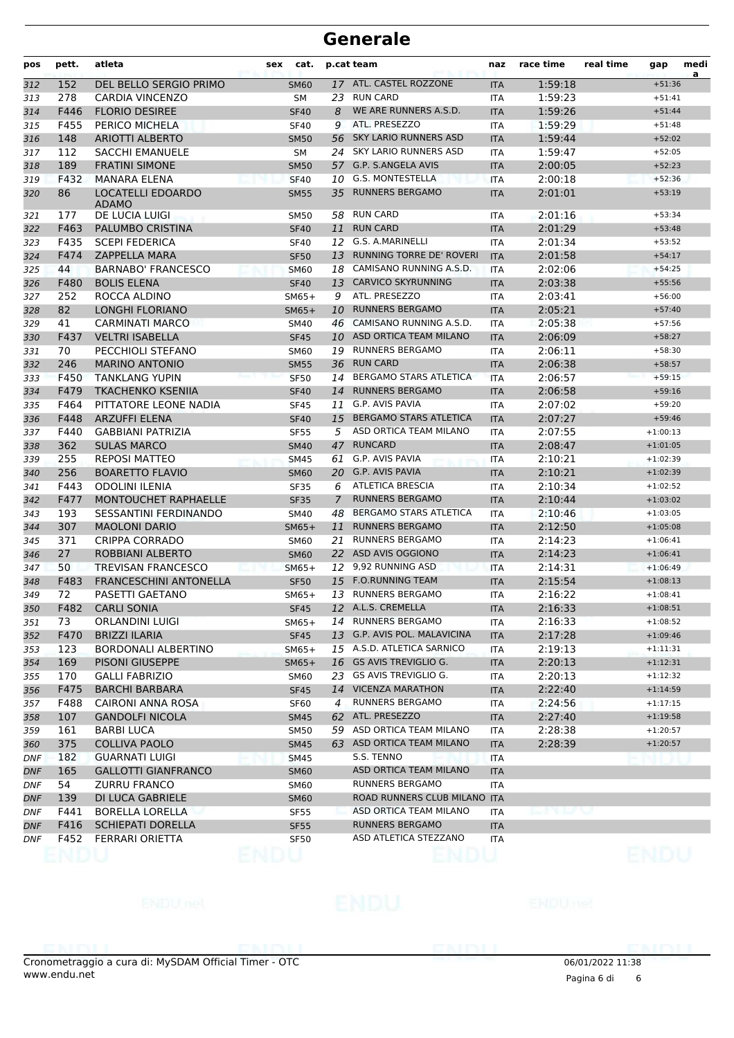| pos        | pett. | atleta                                   | sex | cat.             |                | p.cat team                      | naz        | race time    | real time | gap            | medi<br>a |
|------------|-------|------------------------------------------|-----|------------------|----------------|---------------------------------|------------|--------------|-----------|----------------|-----------|
| 312        | 152   | DEL BELLO SERGIO PRIMO                   |     | <b>SM60</b>      |                | 17 ATL. CASTEL ROZZONE          | <b>ITA</b> | 1:59:18      |           | $+51:36$       |           |
| 313        | 278   | <b>CARDIA VINCENZO</b>                   |     | <b>SM</b>        | 23             | <b>RUN CARD</b>                 | <b>ITA</b> | 1:59:23      |           | $+51:41$       |           |
| 314        | F446  | <b>FLORIO DESIREE</b>                    |     | <b>SF40</b>      | 8              | WE ARE RUNNERS A.S.D.           | <b>ITA</b> | 1:59:26      |           | $+51:44$       |           |
| 315        | F455  | PERICO MICHELA                           |     | <b>SF40</b>      | 9              | ATL. PRESEZZO                   | <b>ITA</b> | 1:59:29      |           | $+51:48$       |           |
| 316        | 148   | <b>ARIOTTI ALBERTO</b>                   |     | <b>SM50</b>      | 56             | <b>SKY LARIO RUNNERS ASD</b>    | <b>ITA</b> | 1:59:44      |           | $+52:02$       |           |
| 317        | 112   | <b>SACCHI EMANUELE</b>                   |     | SM               |                | 24 SKY LARIO RUNNERS ASD        | <b>ITA</b> | 1:59:47      |           | $+52:05$       |           |
| 318        | 189   | <b>FRATINI SIMONE</b>                    |     | <b>SM50</b>      |                | 57 G.P. S.ANGELA AVIS           | <b>ITA</b> | 2:00:05      |           | $+52:23$       |           |
| 319        | F432  | <b>MANARA ELENA</b>                      |     | <b>SF40</b>      | 10             | <b>G.S. MONTESTELLA</b>         | <b>ITA</b> | 2:00:18      |           | $+52:36$       |           |
| 320        | 86    | <b>LOCATELLI EDOARDO</b><br><b>ADAMO</b> |     | <b>SM55</b>      | 35             | <b>RUNNERS BERGAMO</b>          | <b>ITA</b> | 2:01:01      |           | $+53:19$       |           |
| 321        | 177   | DE LUCIA LUIGI                           |     | <b>SM50</b>      | 58             | <b>RUN CARD</b>                 | <b>ITA</b> | 2:01:16      |           | $+53:34$       |           |
| 322        | F463  | PALUMBO CRISTINA                         |     | <b>SF40</b>      | 11             | <b>RUN CARD</b>                 | <b>ITA</b> | 2:01:29      |           | $+53:48$       |           |
| 323        | F435  | <b>SCEPI FEDERICA</b>                    |     | <b>SF40</b>      |                | 12 G.S. A.MARINELLI             | <b>ITA</b> | 2:01:34      |           | $+53:52$       |           |
| 324        | F474  | <b>ZAPPELLA MARA</b>                     |     | <b>SF50</b>      | 13             | <b>RUNNING TORRE DE' ROVERI</b> | <b>ITA</b> | 2:01:58      |           | $+54:17$       |           |
| 325        | 44    | <b>BARNABO' FRANCESCO</b>                |     | <b>SM60</b>      |                | 18 CAMISANO RUNNING A.S.D.      | <b>ITA</b> | 2:02:06      |           | $+54:25$       |           |
| 326        | F480  | <b>BOLIS ELENA</b>                       |     | <b>SF40</b>      | 13             | <b>CARVICO SKYRUNNING</b>       | <b>ITA</b> | 2:03:38      |           | $+55:56$       |           |
| 327        | 252   | ROCCA ALDINO                             |     | $SM65+$          | 9              | ATL. PRESEZZO                   | <b>ITA</b> | 2:03:41      |           | $+56:00$       |           |
| 328        | 82    | <b>LONGHI FLORIANO</b>                   |     | $SM65+$          | 10             | <b>RUNNERS BERGAMO</b>          | <b>ITA</b> | 2:05:21      |           | $+57:40$       |           |
| 329        | 41    | <b>CARMINATI MARCO</b>                   |     | <b>SM40</b>      |                | 46 CAMISANO RUNNING A.S.D.      | <b>ITA</b> | 2:05:38      |           | $+57:56$       |           |
| 330        | F437  | <b>VELTRI ISABELLA</b>                   |     | <b>SF45</b>      |                | 10 ASD ORTICA TEAM MILANO       | <b>ITA</b> | 2:06:09      |           | $+58:27$       |           |
| 331        | 70    | PECCHIOLI STEFANO                        |     | SM60             |                | 19 RUNNERS BERGAMO              | <b>ITA</b> | 2:06:11      |           | $+58:30$       |           |
| 332        | 246   | <b>MARINO ANTONIO</b>                    |     | <b>SM55</b>      | 36             | <b>RUN CARD</b>                 | <b>ITA</b> | 2:06:38      |           | $+58:57$       |           |
| 333        | F450  | <b>TANKLANG YUPIN</b>                    |     | <b>SF50</b>      | 14             | <b>BERGAMO STARS ATLETICA</b>   | <b>ITA</b> | 2:06:57      |           | $+59:15$       |           |
| 334        | F479  | <b>TKACHENKO KSENIIA</b>                 |     | <b>SF40</b>      | 14             | <b>RUNNERS BERGAMO</b>          | <b>ITA</b> | 2:06:58      |           | $+59:16$       |           |
| 335        | F464  | PITTATORE LEONE NADIA                    |     | <b>SF45</b>      | 11             | G.P. AVIS PAVIA                 | <b>ITA</b> | 2:07:02      |           | $+59:20$       |           |
| 336        | F448  | <b>ARZUFFI ELENA</b>                     |     | <b>SF40</b>      | 15             | <b>BERGAMO STARS ATLETICA</b>   | <b>ITA</b> | 2:07:27      |           | $+59:46$       |           |
| 337        | F440  | <b>GABBIANI PATRIZIA</b>                 |     | <b>SF55</b>      | 5              | ASD ORTICA TEAM MILANO          | <b>ITA</b> | 2:07:55      |           | $+1:00:13$     |           |
| 338        | 362   | <b>SULAS MARCO</b>                       |     | <b>SM40</b>      | 47             | <b>RUNCARD</b>                  | <b>ITA</b> | 2:08:47      |           | $+1:01:05$     |           |
| 339        | 255   | <b>REPOSI MATTEO</b>                     |     | <b>SM45</b>      | 61             | G.P. AVIS PAVIA                 | ITA        | 2:10:21      |           | $+1:02:39$     |           |
| 340        | 256   | <b>BOARETTO FLAVIO</b>                   |     | <b>SM60</b>      | 20             | <b>G.P. AVIS PAVIA</b>          | <b>ITA</b> | 2:10:21      |           | $+1:02:39$     |           |
| 341        | F443  | <b>ODOLINI ILENIA</b>                    |     | <b>SF35</b>      | 6              | <b>ATLETICA BRESCIA</b>         | <b>ITA</b> | 2:10:34      |           | $+1:02:52$     |           |
| 342        | F477  | MONTOUCHET RAPHAELLE                     |     | <b>SF35</b>      | $\overline{7}$ | <b>RUNNERS BERGAMO</b>          | <b>ITA</b> | 2:10:44      |           | $+1:03:02$     |           |
| 343        | 193   | SESSANTINI FERDINANDO                    |     | SM40             | 48             | <b>BERGAMO STARS ATLETICA</b>   | <b>ITA</b> | 2:10:46      |           | $+1:03:05$     |           |
| 344        | 307   | <b>MAOLONI DARIO</b>                     |     | $SM65+$          | 11             | <b>RUNNERS BERGAMO</b>          | <b>ITA</b> | 2:12:50      |           | $+1:05:08$     |           |
| 345        | 371   | <b>CRIPPA CORRADO</b>                    |     | <b>SM60</b>      | 21             | <b>RUNNERS BERGAMO</b>          | <b>ITA</b> | 2:14:23      |           | $+1:06:41$     |           |
| 346        | 27    | ROBBIANI ALBERTO                         |     | <b>SM60</b>      | <b>22</b>      | ASD AVIS OGGIONO                | <b>ITA</b> | 2:14:23      |           | $+1:06:41$     |           |
| 347        | 50    | <b>TREVISAN FRANCESCO</b>                |     | $SM65+$          |                | 12 9,92 RUNNING ASD             | <b>ITA</b> | 2:14:31      |           | $+1:06:49$     |           |
| 348        | F483  | <b>FRANCESCHINI ANTONELLA</b>            |     | <b>SF50</b>      | 15             | <b>F.O.RUNNING TEAM</b>         | <b>ITA</b> | 2:15:54      |           | $+1:08:13$     |           |
| 349        | 72    | PASETTI GAETANO                          |     | $SM65+$          |                | 13 RUNNERS BERGAMO              | <b>ITA</b> | 2:16:22      |           | $+1:08:41$     |           |
| 350        |       | F482 CARLI SONIA                         |     | SF45             |                | 12 A.L.S. CREMELLA              | <b>ITA</b> | 2:16:33      |           | $+1:08:51$     |           |
| 351        | 73    | <b>ORLANDINI LUIGI</b>                   |     | $SM65+$          |                | 14 RUNNERS BERGAMO              | <b>ITA</b> | 2:16:33      |           | $+1:08:52$     |           |
| 352        | F470  | BRIZZI ILARIA                            |     | <b>SF45</b>      |                | 13 G.P. AVIS POL. MALAVICINA    | <b>ITA</b> | 2:17:28      |           | $+1:09:46$     |           |
| 353        | 123   | <b>BORDONALI ALBERTINO</b>               |     | $SM65+$          |                | 15 A.S.D. ATLETICA SARNICO      | <b>ITA</b> | 2:19:13      |           | $+1:11:31$     |           |
| 354        | 169   | PISONI GIUSEPPE                          |     | $SM65+$          |                | 16 GS AVIS TREVIGLIO G.         | <b>ITA</b> | 2:20:13      |           | $+1:12:31$     |           |
| 355        | 170   | <b>GALLI FABRIZIO</b>                    |     | SM60             |                | 23 GS AVIS TREVIGLIO G.         | ITA        | 2:20:13      |           | $+1:12:32$     |           |
| 356        | F475  | <b>BARCHI BARBARA</b>                    |     | <b>SF45</b>      |                | 14 VICENZA MARATHON             | <b>ITA</b> | 2:22:40      |           | $+1:14:59$     |           |
| 357        | F488  | <b>CAIRONI ANNA ROSA</b>                 |     | SF <sub>60</sub> | $\overline{4}$ | <b>RUNNERS BERGAMO</b>          | ITA        | 2:24:56      |           | $+1:17:15$     |           |
| 358        | 107   | <b>GANDOLFI NICOLA</b>                   |     | <b>SM45</b>      |                | 62 ATL. PRESEZZO                | <b>ITA</b> | 2:27:40      |           | $+1:19:58$     |           |
| 359        | 161   | <b>BARBI LUCA</b>                        |     | SM50             |                | 59 ASD ORTICA TEAM MILANO       | <b>ITA</b> | 2:28:38      |           | $+1:20:57$     |           |
| 360        | 375   | <b>COLLIVA PAOLO</b>                     |     | <b>SM45</b>      |                | 63 ASD ORTICA TEAM MILANO       | <b>ITA</b> | 2:28:39      |           | $+1:20:57$     |           |
| <b>DNF</b> | 182   | <b>GUARNATI LUIGI</b>                    |     | <b>SM45</b>      |                | S.S. TENNO                      | ITA        |              |           |                |           |
| <b>DNF</b> | 165   | <b>GALLOTTI GIANFRANCO</b>               |     | <b>SM60</b>      |                | ASD ORTICA TEAM MILANO          | <b>ITA</b> |              |           |                |           |
| <b>DNF</b> | 54    | <b>ZURRU FRANCO</b>                      |     | <b>SM60</b>      |                | RUNNERS BERGAMO                 | ITA        |              |           |                |           |
| DNF        | 139   | DI LUCA GABRIELE                         |     | <b>SM60</b>      |                | ROAD RUNNERS CLUB MILANO ITA    |            |              |           |                |           |
| <b>DNF</b> | F441  | BORELLA LORELLA                          |     | <b>SF55</b>      |                | ASD ORTICA TEAM MILANO          | ITA.       | rang pang ka |           |                |           |
| DNF        | F416  | <b>SCHIEPATI DORELLA</b>                 |     | <b>SF55</b>      |                | RUNNERS BERGAMO                 | <b>ITA</b> |              |           |                |           |
| DNF        | F452  | FERRARI ORIETTA                          |     | <b>SF50</b>      |                | ASD ATLETICA STEZZANO           | ITA        |              |           |                |           |
|            |       |                                          |     |                  |                |                                 |            |              |           | en la propinsi |           |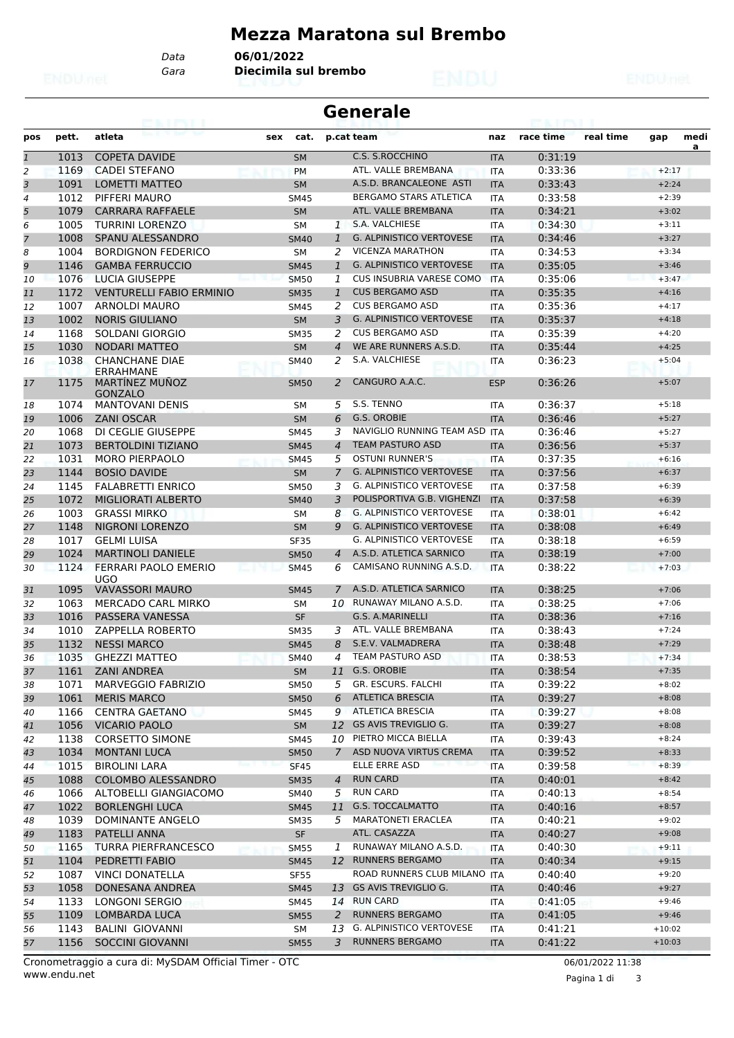### **Mezza Maratona sul Brembo**

*Gara* **Diecimila sul brembo** *Data* **06/01/2022**

|                | <b>Generale</b> |                                           |     |             |                |                                 |            |           |           |          |           |  |  |
|----------------|-----------------|-------------------------------------------|-----|-------------|----------------|---------------------------------|------------|-----------|-----------|----------|-----------|--|--|
| pos            | pett.           | atleta                                    | sex | cat.        |                | p.cat team                      | naz        | race time | real time | gap      | medi<br>a |  |  |
| $\overline{1}$ | 1013            | <b>COPETA DAVIDE</b>                      |     | <b>SM</b>   |                | <b>C.S. S.ROCCHINO</b>          | <b>ITA</b> | 0:31:19   |           |          |           |  |  |
| 2              | 1169            | <b>CADEI STEFANO</b>                      |     | <b>PM</b>   |                | ATL. VALLE BREMBANA             | <b>ITA</b> | 0:33:36   |           | $+2:17$  |           |  |  |
| 3              | 1091            | <b>LOMETTI MATTEO</b>                     |     | <b>SM</b>   |                | A.S.D. BRANCALEONE ASTI         | <b>ITA</b> | 0:33:43   |           | $+2:24$  |           |  |  |
| 4              | 1012            | PIFFERI MAURO                             |     | <b>SM45</b> |                | BERGAMO STARS ATLETICA          | <b>ITA</b> | 0:33:58   |           | $+2:39$  |           |  |  |
| 5              | 1079            | <b>CARRARA RAFFAELE</b>                   |     | <b>SM</b>   |                | ATL. VALLE BREMBANA             | <b>ITA</b> | 0:34:21   |           | $+3:02$  |           |  |  |
| 6              | 1005            | <b>TURRINI LORENZO</b>                    |     | <b>SM</b>   | 1              | S.A. VALCHIESE                  | <b>ITA</b> | 0:34:30   |           | $+3:11$  |           |  |  |
| 7              | 1008            | SPANU ALESSANDRO                          |     | <b>SM40</b> | $\mathbf{1}$   | <b>G. ALPINISTICO VERTOVESE</b> | <b>ITA</b> | 0:34:46   |           | $+3:27$  |           |  |  |
| 8              | 1004            | <b>BORDIGNON FEDERICO</b>                 |     | <b>SM</b>   | 2              | <b>VICENZA MARATHON</b>         | <b>ITA</b> | 0:34:53   |           | $+3:34$  |           |  |  |
| 9              | 1146            | <b>GAMBA FERRUCCIO</b>                    |     | <b>SM45</b> | $\mathbf{1}$   | <b>G. ALPINISTICO VERTOVESE</b> | <b>ITA</b> | 0:35:05   |           | $+3:46$  |           |  |  |
| 10             | 1076            | LUCIA GIUSEPPE                            |     | <b>SM50</b> | 1              | <b>CUS INSUBRIA VARESE COMO</b> | <b>ITA</b> | 0:35:06   |           | $+3:47$  |           |  |  |
| 11             | 1172            | <b>VENTURELLI FABIO ERMINIO</b>           |     | <b>SM35</b> | $\mathbf{1}$   | <b>CUS BERGAMO ASD</b>          | <b>ITA</b> | 0:35:35   |           | $+4:16$  |           |  |  |
| 12             | 1007            | ARNOLDI MAURO                             |     | <b>SM45</b> | 2              | <b>CUS BERGAMO ASD</b>          | <b>ITA</b> | 0:35:36   |           | $+4:17$  |           |  |  |
| 13             | 1002            | <b>NORIS GIULIANO</b>                     |     | <b>SM</b>   | 3              | <b>G. ALPINISTICO VERTOVESE</b> | <b>ITA</b> | 0:35:37   |           | $+4:18$  |           |  |  |
| 14             | 1168            | SOLDANI GIORGIO                           |     | <b>SM35</b> | 2              | <b>CUS BERGAMO ASD</b>          | <b>ITA</b> | 0:35:39   |           | $+4:20$  |           |  |  |
| 15             | 1030            | <b>NODARI MATTEO</b>                      |     | <b>SM</b>   | $\overline{4}$ | WE ARE RUNNERS A.S.D.           | <b>ITA</b> | 0:35:44   |           | $+4:25$  |           |  |  |
| 16             | 1038            | <b>CHANCHANE DIAE</b><br><b>FRRAHMANF</b> |     | <b>SM40</b> | 2              | S.A. VALCHIESE                  | <b>ITA</b> | 0:36:23   |           | $+5:04$  |           |  |  |
| 17             | 1175            | <b>MARTINEZ MUNOZ</b><br><b>GONZALO</b>   |     | <b>SM50</b> | 2              | CANGURO A.A.C.                  | <b>ESP</b> | 0:36:26   |           | $+5:07$  |           |  |  |
| 18             | 1074            | <b>MANTOVANI DENIS</b>                    |     | <b>SM</b>   | 5              | S.S. TENNO                      | <b>ITA</b> | 0:36:37   |           | $+5:18$  |           |  |  |
| 19             | 1006            | <b>ZANI OSCAR</b>                         |     | <b>SM</b>   | 6              | G.S. OROBIE                     | <b>ITA</b> | 0:36:46   |           | $+5:27$  |           |  |  |
| 20             | 1068            | DI CEGLIE GIUSEPPE                        |     | <b>SM45</b> | 3              | NAVIGLIO RUNNING TEAM ASD ITA   |            | 0:36:46   |           | $+5:27$  |           |  |  |
| 21             | 1073            | <b>BERTOLDINI TIZIANO</b>                 |     | <b>SM45</b> | $\overline{4}$ | <b>TEAM PASTURO ASD</b>         | <b>ITA</b> | 0:36:56   |           | $+5:37$  |           |  |  |
| 22             | 1031            | <b>MORO PIERPAOLO</b>                     |     | <b>SM45</b> | 5              | <b>OSTUNI RUNNER'S</b>          | <b>ITA</b> | 0:37:35   |           | $+6:16$  |           |  |  |
| 23             | 1144            | <b>BOSIO DAVIDE</b>                       |     | <b>SM</b>   | 7              | <b>G. ALPINISTICO VERTOVESE</b> | <b>ITA</b> | 0:37:56   |           | $+6:37$  |           |  |  |
| 24             | 1145            | <b>FALABRETTI ENRICO</b>                  |     | <b>SM50</b> | 3              | <b>G. ALPINISTICO VERTOVESE</b> | <b>ITA</b> | 0:37:58   |           | $+6:39$  |           |  |  |
| 25             | 1072            | <b>MIGLIORATI ALBERTO</b>                 |     | <b>SM40</b> | 3              | POLISPORTIVA G.B. VIGHENZI      | <b>ITA</b> | 0:37:58   |           | $+6:39$  |           |  |  |
| 26             | 1003            | <b>GRASSI MIRKO</b>                       |     | <b>SM</b>   | 8              | <b>G. ALPINISTICO VERTOVESE</b> | <b>ITA</b> | 0:38:01   |           | $+6:42$  |           |  |  |
| 27             | 1148            | NIGRONI LORENZO                           |     | <b>SM</b>   | 9              | <b>G. ALPINISTICO VERTOVESE</b> | <b>ITA</b> | 0:38:08   |           | $+6:49$  |           |  |  |
| 28             | 1017            | <b>GELMI LUISA</b>                        |     | <b>SF35</b> |                | <b>G. ALPINISTICO VERTOVESE</b> | <b>ITA</b> | 0:38:18   |           | $+6:59$  |           |  |  |
| 29             | 1024            | <b>MARTINOLI DANIELE</b>                  |     | <b>SM50</b> | $\overline{4}$ | A.S.D. ATLETICA SARNICO         | <b>ITA</b> | 0:38:19   |           | $+7:00$  |           |  |  |
| 30             | 1124            | FERRARI PAOLO EMERIO<br><b>UGO</b>        |     | <b>SM45</b> | 6              | CAMISANO RUNNING A.S.D.         | <b>ITA</b> | 0:38:22   |           | $+7:03$  |           |  |  |
| 31             | 1095            | <b>VAVASSORI MAURO</b>                    |     | <b>SM45</b> | 7              | A.S.D. ATLETICA SARNICO         | <b>ITA</b> | 0:38:25   |           | $+7:06$  |           |  |  |
| 32             | 1063            | MERCADO CARL MIRKO                        |     | SΜ          | 10             | RUNAWAY MILANO A.S.D.           | <b>ITA</b> | 0:38:25   |           | $+7:06$  |           |  |  |
| 33             | 1016            | PASSERA VANESSA                           |     | <b>SF</b>   |                | G.S. A.MARINELLI                | <b>ITA</b> | 0:38:36   |           | $+7:16$  |           |  |  |
| 34             | 1010            | ZAPPELLA ROBERTO                          |     | <b>SM35</b> | 3              | ATL. VALLE BREMBANA             | <b>ITA</b> | 0:38:43   |           | $+7:24$  |           |  |  |
| 35             | 1132            | <b>NESSI MARCO</b>                        |     | <b>SM45</b> | 8              | S.E.V. VALMADRERA               | <b>ITA</b> | 0:38:48   |           | $+7:29$  |           |  |  |
| 36             | 1035            | <b>GHEZZI MATTEO</b>                      |     | SM40        | 4              | <b>ILAM PASTURO ASD</b>         | ITA        | 0:38:53   |           | $+7:34$  |           |  |  |
| 37             | 1161            | <b>ZANI ANDREA</b>                        |     | <b>SM</b>   |                | 11 G.S. OROBIE                  | <b>ITA</b> | 0:38:54   |           | $+7:35$  |           |  |  |
| 38             | 1071            | <b>MARVEGGIO FABRIZIO</b>                 |     | <b>SM50</b> | 5              | GR. ESCURS. FALCHI              | ITA        | 0:39:22   |           | $+8:02$  |           |  |  |
| 39             | 1061            | <b>MERIS MARCO</b>                        |     | <b>SM50</b> | 6              | <b>ATLETICA BRESCIA</b>         | <b>ITA</b> | 0:39:27   |           | $+8:08$  |           |  |  |
| 40             | 1166            | <b>CENTRA GAETANO</b>                     |     | <b>SM45</b> | 9              | <b>ATLETICA BRESCIA</b>         | ITA        | 0:39:27   |           | $+8:08$  |           |  |  |
| 41             | 1056            | <b>VICARIO PAOLO</b>                      |     | <b>SM</b>   |                | 12 GS AVIS TREVIGLIO G.         | <b>ITA</b> | 0:39:27   |           | $+8:08$  |           |  |  |
| 42             | 1138            | <b>CORSETTO SIMONE</b>                    |     | SM45        |                | 10 PIETRO MICCA BIELLA          | ITA        | 0:39:43   |           | $+8:24$  |           |  |  |
| 43             | 1034            | <b>MONTANI LUCA</b>                       |     | <b>SM50</b> |                | 7 ASD NUOVA VIRTUS CREMA        | <b>ITA</b> | 0:39:52   |           | $+8:33$  |           |  |  |
| 44             | 1015            | <b>BIROLINI LARA</b>                      |     | <b>SF45</b> |                | ELLE ERRE ASD                   | <b>ITA</b> | 0:39:58   |           | $+8:39$  |           |  |  |
| 45             | 1088            | <b>COLOMBO ALESSANDRO</b>                 |     | <b>SM35</b> | 4              | <b>RUN CARD</b>                 | <b>ITA</b> | 0:40:01   |           | $+8:42$  |           |  |  |
| 46             | 1066            | ALTOBELLI GIANGIACOMO                     |     | <b>SM40</b> | 5              | <b>RUN CARD</b>                 | <b>ITA</b> | 0:40:13   |           | $+8:54$  |           |  |  |
| 47             | 1022            | <b>BORLENGHI LUCA</b>                     |     | <b>SM45</b> |                | 11 G.S. TOCCALMATTO             | <b>ITA</b> | 0:40:16   |           | $+8:57$  |           |  |  |
|                | 1039            | DOMINANTE ANGELO                          |     | <b>SM35</b> | 5              | <b>MARATONETI ERACLEA</b>       | ITA        | 0:40:21   |           | $+9:02$  |           |  |  |
| 48             | 1183            | PATELLI ANNA                              |     | <b>SF</b>   |                | ATL. CASAZZA                    |            | 0:40:27   |           | $+9:08$  |           |  |  |
| 49             | 1165            | <b>TURRA PIERFRANCESCO</b>                |     |             | 1              | RUNAWAY MILANO A.S.D.           | <b>ITA</b> | 0:40:30   |           | $+9:11$  |           |  |  |
| 50             |                 |                                           |     | <b>SM55</b> |                |                                 | ITA        |           |           |          |           |  |  |
| 51             | 1104            | PEDRETTI FABIO                            |     | <b>SM45</b> |                | 12 RUNNERS BERGAMO              | <b>ITA</b> | 0:40:34   |           | $+9:15$  |           |  |  |
| 52             | 1087            | <b>VINCI DONATELLA</b>                    |     | <b>SF55</b> |                | ROAD RUNNERS CLUB MILANO ITA    |            | 0:40:40   |           | $+9:20$  |           |  |  |
| 53             | 1058            | DONESANA ANDREA                           |     | <b>SM45</b> |                | 13 GS AVIS TREVIGLIO G.         | <b>ITA</b> | 0:40:46   |           | $+9:27$  |           |  |  |
| 54             | 1133            | LONGONI SERGIO                            |     | SM45        |                | 14 RUN CARD                     | ITA        | 0:41:05   |           | $+9:46$  |           |  |  |
| 55             | 1109            | LOMBARDA LUCA                             |     | <b>SM55</b> | 2              | <b>RUNNERS BERGAMO</b>          | <b>ITA</b> | 0:41:05   |           | $+9:46$  |           |  |  |
| 56             | 1143            | <b>BALINI GIOVANNI</b>                    |     | SM          | 13             | G. ALPINISTICO VERTOVESE        | ITA        | 0:41:21   |           | $+10:02$ |           |  |  |
| 57             |                 | 1156 SOCCINI GIOVANNI                     |     | <b>SM55</b> | 3              | <b>RUNNERS BERGAMO</b>          | <b>ITA</b> | 0:41:22   |           | $+10:03$ |           |  |  |

Pagina 1 di 3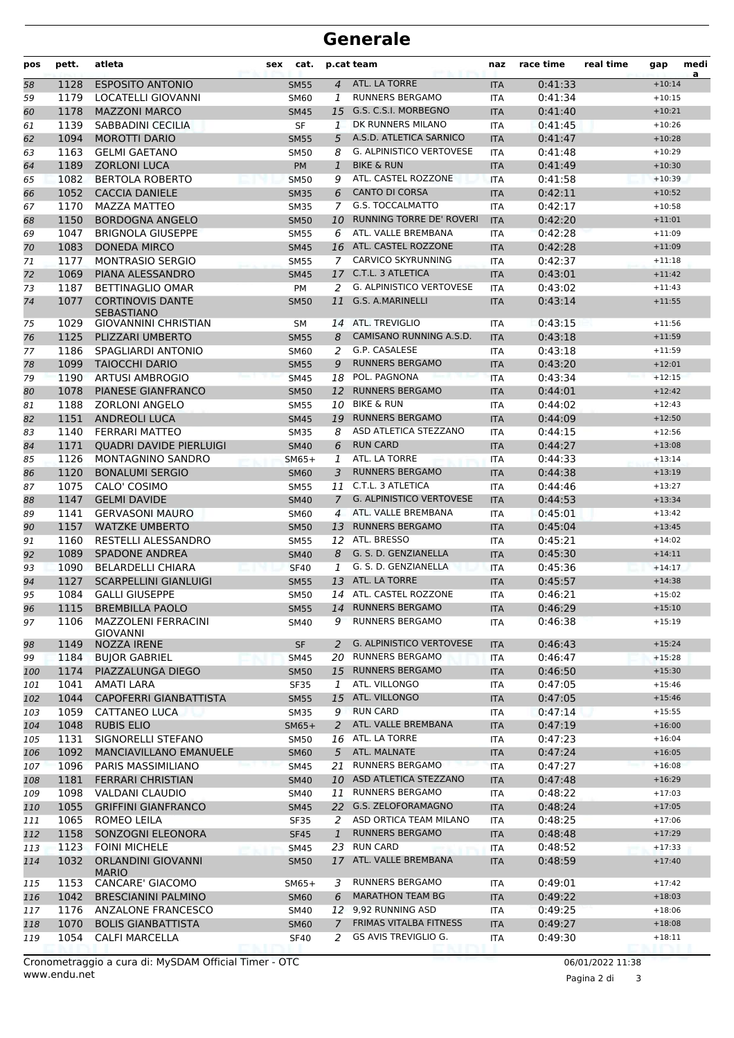| pos        | pett.        | atleta                                       | sex | cat.                       |                | p.cat team                                           | naz                      | race time          | real time | gap                  | medi<br>a |
|------------|--------------|----------------------------------------------|-----|----------------------------|----------------|------------------------------------------------------|--------------------------|--------------------|-----------|----------------------|-----------|
| 58         | 1128         | <b>ESPOSITO ANTONIO</b>                      |     | <b>SM55</b>                | $\overline{4}$ | ATL. LA TORRE                                        | <b>ITA</b>               | 0:41:33            |           | $+10:14$             |           |
| 59         | 1179         | LOCATELLI GIOVANNI                           |     | <b>SM60</b>                | $\mathbf{1}$   | <b>RUNNERS BERGAMO</b>                               | <b>ITA</b>               | 0:41:34            |           | $+10:15$             |           |
| 60         | 1178         | <b>MAZZONI MARCO</b>                         |     | <b>SM45</b>                | 15             | G.S. C.S.I. MORBEGNO                                 | <b>ITA</b>               | 0:41:40            |           | $+10:21$             |           |
| 61         | 1139         | SABBADINI CECILIA                            |     | <b>SF</b>                  | 1              | DK RUNNERS MILANO                                    | <b>ITA</b>               | 0:41:45            |           | $+10:26$             |           |
| 62         | 1094         | <b>MOROTTI DARIO</b>                         |     | <b>SM55</b>                | 5              | A.S.D. ATLETICA SARNICO                              | <b>ITA</b>               | 0:41:47            |           | $+10:28$             |           |
| 63         | 1163         | <b>GELMI GAETANO</b>                         |     | <b>SM50</b>                | 8              | <b>G. ALPINISTICO VERTOVESE</b>                      | <b>ITA</b>               | 0:41:48            |           | $+10:29$             |           |
| 64         | 1189         | <b>ZORLONI LUCA</b>                          |     | PM                         | 1              | <b>BIKE &amp; RUN</b>                                | <b>ITA</b>               | 0:41:49            |           | $+10:30$             |           |
| 65         | 1082         | <b>BERTOLA ROBERTO</b>                       |     | <b>SM50</b>                | 9              | ATL. CASTEL ROZZONE                                  | <b>ITA</b>               | 0:41:58            |           | $+10:39$             |           |
| 66         | 1052         | <b>CACCIA DANIELE</b>                        |     | <b>SM35</b>                | 6              | <b>CANTO DI CORSA</b>                                | <b>ITA</b>               | 0:42:11            |           | $+10:52$             |           |
| 67         | 1170         | MAZZA MATTEO                                 |     | <b>SM35</b>                | 7              | <b>G.S. TOCCALMATTO</b>                              | <b>ITA</b>               | 0:42:17            |           | $+10:58$             |           |
| 68         | 1150         | <b>BORDOGNA ANGELO</b>                       |     | <b>SM50</b>                | 10             | RUNNING TORRE DE' ROVERI                             | <b>ITA</b>               | 0:42:20            |           | $+11:01$             |           |
| 69         | 1047         | <b>BRIGNOLA GIUSEPPE</b>                     |     | <b>SM55</b>                | 6              | ATL. VALLE BREMBANA                                  | <b>ITA</b>               | 0:42:28            |           | $+11:09$             |           |
| 70         | 1083         | <b>DONEDA MIRCO</b>                          |     | <b>SM45</b>                | 16             | ATL. CASTEL ROZZONE                                  | <b>ITA</b>               | 0:42:28            |           | $+11:09$             |           |
| 71         | 1177         | <b>MONTRASIO SERGIO</b>                      |     | <b>SM55</b>                | 7              | <b>CARVICO SKYRUNNING</b>                            | <b>ITA</b>               | 0:42:37            |           | $+11:18$             |           |
| 72         | 1069         | PIANA ALESSANDRO                             |     | <b>SM45</b>                | 17             | <b>C.T.L. 3 ATLETICA</b>                             | <b>ITA</b>               | 0:43:01            |           | $+11:42$             |           |
| 73         | 1187         | <b>BETTINAGLIO OMAR</b>                      |     | PM                         | 2              | <b>G. ALPINISTICO VERTOVESE</b>                      | <b>ITA</b>               | 0:43:02            |           | $+11:43$             |           |
| 74         | 1077         | <b>CORTINOVIS DANTE</b><br><b>SEBASTIANO</b> |     | <b>SM50</b>                | 11             | G.S. A.MARINELLI                                     | <b>ITA</b>               | 0:43:14            |           | $+11:55$             |           |
| 75         | 1029         | <b>GIOVANNINI CHRISTIAN</b>                  |     | <b>SM</b>                  | 14             | ATL. TREVIGLIO                                       | <b>ITA</b>               | 0:43:15            |           | $+11:56$             |           |
| 76         | 1125         | PLIZZARI UMBERTO                             |     | <b>SM55</b>                | 8              | CAMISANO RUNNING A.S.D.                              | <b>ITA</b>               | 0:43:18            |           | $+11:59$             |           |
| 77         | 1186         | SPAGLIARDI ANTONIO                           |     | <b>SM60</b>                | 2              | G.P. CASALESE                                        | <b>ITA</b>               | 0:43:18            |           | $+11:59$             |           |
| 78         | 1099         | <b>TAIOCCHI DARIO</b>                        |     | <b>SM55</b>                | 9              | <b>RUNNERS BERGAMO</b>                               | <b>ITA</b>               | 0:43:20            |           | $+12:01$             |           |
| 79         | 1190         | <b>ARTUSI AMBROGIO</b>                       |     | <b>SM45</b>                | 18             | POL. PAGNONA                                         | <b>ITA</b>               | 0:43:34            |           | $+12:15$             |           |
| 80         | 1078         | <b>PIANESE GIANFRANCO</b>                    |     | <b>SM50</b>                | 12             | <b>RUNNERS BERGAMO</b>                               | <b>ITA</b>               | 0:44:01            |           | $+12:42$             |           |
| 81         | 1188         | <b>ZORLONI ANGELO</b>                        |     | <b>SM55</b>                | 10             | <b>BIKE &amp; RUN</b>                                | <b>ITA</b>               | 0:44:02            |           | $+12:43$             |           |
| 82         | 1151         | <b>ANDREOLI LUCA</b>                         |     | <b>SM45</b>                | 19             | <b>RUNNERS BERGAMO</b>                               | <b>ITA</b>               | 0:44:09            |           | $+12:50$             |           |
| 83         | 1140         | <b>FERRARI MATTEO</b>                        |     | <b>SM35</b>                | 8              | ASD ATLETICA STEZZANO                                | ITA                      | 0:44:15            |           | $+12:56$             |           |
| 84         | 1171         | <b>QUADRI DAVIDE PIERLUIGI</b>               |     | <b>SM40</b>                | 6              | <b>RUN CARD</b>                                      | <b>ITA</b>               | 0:44:27            |           | $+13:08$             |           |
| 85         | 1126         | MONTAGNINO SANDRO                            |     | $SM65+$                    | 1              | ATL. LA TORRE                                        | ITA                      | 0:44:33            |           | $+13:14$             |           |
| 86         | 1120         | <b>BONALUMI SERGIO</b>                       |     | <b>SM60</b>                | 3              | <b>RUNNERS BERGAMO</b>                               | <b>ITA</b>               | 0:44:38            |           | $+13:19$             |           |
| 87         | 1075         | CALO' COSIMO                                 |     | <b>SM55</b>                | 11             | C.T.L. 3 ATLETICA<br><b>G. ALPINISTICO VERTOVESE</b> | <b>ITA</b>               | 0:44:46            |           | $+13:27$             |           |
| 88         | 1147         | <b>GELMI DAVIDE</b>                          |     | <b>SM40</b>                | $\mathcal{I}$  | ATL. VALLE BREMBANA                                  | <b>ITA</b>               | 0:44:53            |           | $+13:34$             |           |
| 89         | 1141<br>1157 | <b>GERVASONI MAURO</b>                       |     | <b>SM60</b>                | $\overline{4}$ | 13 RUNNERS BERGAMO                                   | <b>ITA</b>               | 0:45:01            |           | $+13:42$             |           |
| 90         | 1160         | <b>WATZKE UMBERTO</b>                        |     | <b>SM50</b>                |                | 12 ATL. BRESSO                                       | <b>ITA</b>               | 0:45:04            |           | $+13:45$<br>$+14:02$ |           |
| 91         | 1089         | RESTELLI ALESSANDRO<br><b>SPADONE ANDREA</b> |     | <b>SM55</b>                | 8              | G. S. D. GENZIANELLA                                 | <b>ITA</b>               | 0:45:21<br>0:45:30 |           | $+14:11$             |           |
| 92<br>93   | 1090         | <b>BELARDELLI CHIARA</b>                     |     | <b>SM40</b><br><b>SF40</b> | 1              | G. S. D. GENZIANELLA                                 | <b>ITA</b><br><b>ITA</b> | 0:45:36            |           | $+14:17$             |           |
| 94         | 1127         | <b>SCARPELLINI GIANLUIGI</b>                 |     | <b>SM55</b>                | 13             | ATL. LA TORRE                                        | <b>ITA</b>               | 0:45:57            |           | $+14:38$             |           |
| 95         | 1084         | <b>GALLI GIUSEPPE</b>                        |     | <b>SM50</b>                |                | 14 ATL. CASTEL ROZZONE                               | <b>ITA</b>               | 0:46:21            |           | $+15:02$             |           |
| 96         | 1115         | <b>BREMBILLA PAOLO</b>                       |     | <b>SM55</b>                |                | 14 RUNNERS BERGAMO                                   | <b>ITA</b>               | 0:46:29            |           | $+15:10$             |           |
| 97         | 1106         | <b>MAZZOLENI FERRACINI</b>                   |     | SM40                       | 9              | <b>RUNNERS BERGAMO</b>                               | ITA                      | 0:46:38            |           | $+15:19$             |           |
|            |              | <b>GIOVANNI</b>                              |     |                            |                | <b>G. ALPINISTICO VERTOVESE</b>                      |                          |                    |           |                      |           |
| 98         | 1149         | <b>NOZZA IRENE</b>                           |     | <b>SF</b>                  | 2              |                                                      | <b>ITA</b>               | 0:46:43            |           | $+15:24$             |           |
| 99         | 1184         | <b>BUJOR GABRIEL</b>                         |     | <b>SM45</b>                | 20             | <b>RUNNERS BERGAMO</b>                               | ITA                      | 0:46:47            |           | $+15:28$             |           |
| 100        | 1174         | PIAZZALUNGA DIEGO                            |     | <b>SM50</b>                | 15             | <b>RUNNERS BERGAMO</b><br>ATL. VILLONGO              | <b>ITA</b>               | 0:46:50            |           | $+15:30$<br>$+15:46$ |           |
| 101        | 1041<br>1044 | AMATI LARA<br><b>CAPOFERRI GIANBATTISTA</b>  |     | <b>SF35</b>                | 1<br>15        | ATL. VILLONGO                                        | ITA                      | 0:47:05<br>0:47:05 |           | $+15:46$             |           |
| 102        | 1059         | CATTANEO LUCA                                |     | <b>SM55</b><br><b>SM35</b> | 9              | <b>RUN CARD</b>                                      | <b>ITA</b>               | 0:47:14            |           | $+15:55$             |           |
| 103        | 1048         | <b>RUBIS ELIO</b>                            |     | $SM65+$                    | $\overline{2}$ | ATL. VALLE BREMBANA                                  | ITA<br><b>ITA</b>        | 0:47:19            |           | $+16:00$             |           |
| 104<br>105 | 1131         | SIGNORELLI STEFANO                           |     | <b>SM50</b>                | 16             | ATL. LA TORRE                                        | ITA                      | 0:47:23            |           | $+16:04$             |           |
| 106        | 1092         | MANCIAVILLANO EMANUELE                       |     | <b>SM60</b>                | 5              | ATL. MALNATE                                         | <b>ITA</b>               | 0:47:24            |           | $+16:05$             |           |
| 107        | 1096         | PARIS MASSIMILIANO                           |     | <b>SM45</b>                | 21             | <b>RUNNERS BERGAMO</b>                               | <b>ITA</b>               | 0:47:27            |           | $+16:08$             |           |
| 108        | 1181         | <b>FERRARI CHRISTIAN</b>                     |     | <b>SM40</b>                | 10             | ASD ATLETICA STEZZANO                                | <b>ITA</b>               | 0:47:48            |           | $+16:29$             |           |
| 109        | 1098         | VALDANI CLAUDIO                              |     | SM40                       | 11             | RUNNERS BERGAMO                                      | ITA                      | 0:48:22            |           | $+17:03$             |           |
| 110        | 1055         | <b>GRIFFINI GIANFRANCO</b>                   |     | <b>SM45</b>                |                | 22 G.S. ZELOFORAMAGNO                                | <b>ITA</b>               | 0:48:24            |           | $+17:05$             |           |
| 111        | 1065         | ROMEO LEILA                                  |     | SF35                       | 2              | ASD ORTICA TEAM MILANO                               | ITA                      | 0:48:25            |           | $+17:06$             |           |
| 112        | 1158         | SONZOGNI ELEONORA                            |     | <b>SF45</b>                | $\mathbf{1}$   | RUNNERS BERGAMO                                      | <b>ITA</b>               | 0:48:48            |           | $+17:29$             |           |
| 113        | 1123         | <b>FOINI MICHELE</b>                         |     | <b>SM45</b>                | 23             | <b>RUN CARD</b>                                      | ITA                      | 0:48:52            |           | $+17:33$             |           |
| 114        | 1032         | <b>ORLANDINI GIOVANNI</b>                    |     | <b>SM50</b>                | 17             | ATL. VALLE BREMBANA                                  | <b>ITA</b>               | 0:48:59            |           | $+17:40$             |           |
| 115        | 1153         | <b>MARIO</b><br>CANCARE' GIACOMO             |     | $SM65+$                    | 3              | <b>RUNNERS BERGAMO</b>                               | ITA                      | 0:49:01            |           | $+17:42$             |           |
| 116        | 1042         | <b>BRESCIANINI PALMINO</b>                   |     | <b>SM60</b>                | 6              | <b>MARATHON TEAM BG</b>                              | <b>ITA</b>               | 0:49:22            |           | $+18:03$             |           |
| 117        | 1176         | ANZALONE FRANCESCO                           |     | SM40                       |                | 12 9,92 RUNNING ASD                                  | ITA                      | 0:49:25            |           | $+18:06$             |           |
| 118        | 1070         | <b>BOLIS GIANBATTISTA</b>                    |     | <b>SM60</b>                | $\mathcal{I}$  | FRIMAS VITALBA FITNESS                               | <b>ITA</b>               | 0:49:27            |           | $+18:08$             |           |
| 119        | 1054         | <b>CALFI MARCELLA</b>                        |     | <b>SF40</b>                | 2              | GS AVIS TREVIGLIO G.                                 | ITA                      | 0:49:30            |           | $+18:11$             |           |
|            |              |                                              |     |                            |                |                                                      |                          |                    |           |                      |           |

Pagina 2 di 3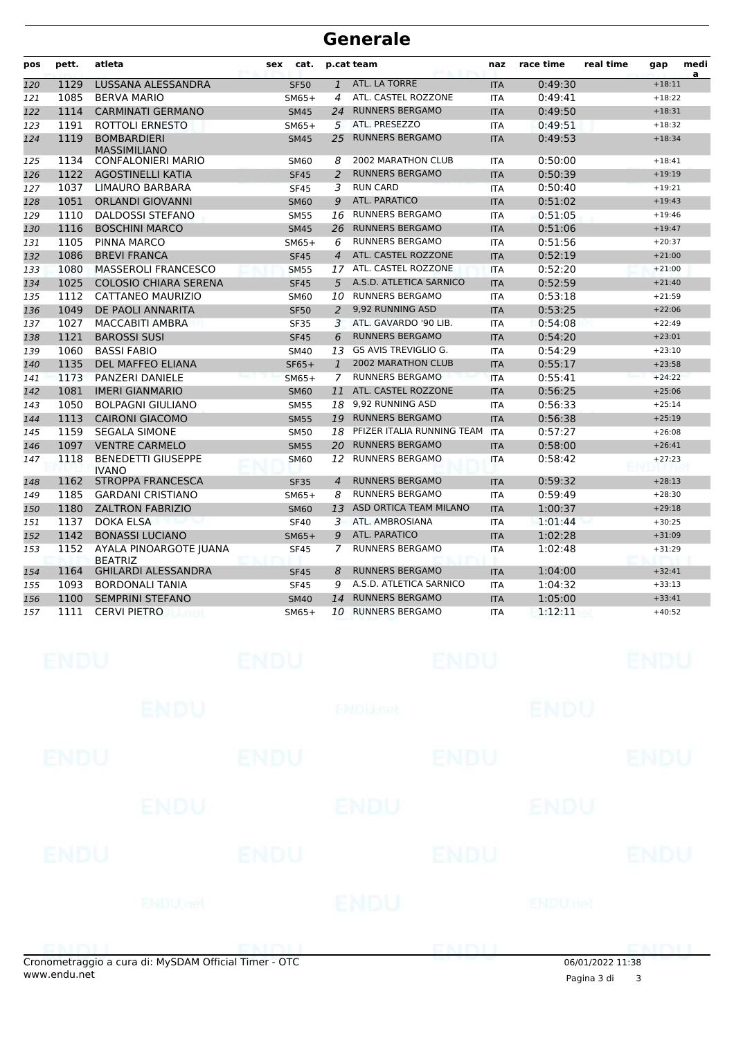| pos | pett. | atleta                                    | cat.<br>sex |                | p.cat team                 | naz        | race time | real time | gap      | medi<br>a |
|-----|-------|-------------------------------------------|-------------|----------------|----------------------------|------------|-----------|-----------|----------|-----------|
| 120 | 1129  | LUSSANA ALESSANDRA                        | <b>SF50</b> | $\mathbf{1}$   | ATL. LA TORRE              | <b>ITA</b> | 0:49:30   |           | $+18:11$ |           |
| 121 | 1085  | <b>BERVA MARIO</b>                        | $SM65+$     | 4              | ATL. CASTEL ROZZONE        | <b>ITA</b> | 0:49:41   |           | $+18:22$ |           |
| 122 | 1114  | <b>CARMINATI GERMANO</b>                  | <b>SM45</b> | 24             | <b>RUNNERS BERGAMO</b>     | <b>ITA</b> | 0:49:50   |           | $+18:31$ |           |
| 123 | 1191  | ROTTOLI ERNESTO                           | $SM65+$     | 5.             | ATL. PRESEZZO              | <b>ITA</b> | 0:49:51   |           | $+18:32$ |           |
| 124 | 1119  | <b>BOMBARDIERI</b><br><b>MASSIMILIANO</b> | <b>SM45</b> | 25             | <b>RUNNERS BERGAMO</b>     | <b>ITA</b> | 0:49:53   |           | $+18:34$ |           |
| 125 | 1134  | <b>CONFALONIERI MARIO</b>                 | <b>SM60</b> | 8              | <b>2002 MARATHON CLUB</b>  | <b>ITA</b> | 0:50:00   |           | $+18:41$ |           |
| 126 | 1122  | <b>AGOSTINELLI KATIA</b>                  | <b>SF45</b> | $\overline{a}$ | <b>RUNNERS BERGAMO</b>     | <b>ITA</b> | 0:50:39   |           | $+19:19$ |           |
| 127 | 1037  | <b>LIMAURO BARBARA</b>                    | <b>SF45</b> | 3              | <b>RUN CARD</b>            | <b>ITA</b> | 0:50:40   |           | $+19:21$ |           |
| 128 | 1051  | <b>ORLANDI GIOVANNI</b>                   | <b>SM60</b> | 9              | <b>ATL. PARATICO</b>       | <b>ITA</b> | 0:51:02   |           | $+19:43$ |           |
| 129 | 1110  | <b>DALDOSSI STEFANO</b>                   | <b>SM55</b> | 16             | <b>RUNNERS BERGAMO</b>     | <b>ITA</b> | 0:51:05   |           | $+19:46$ |           |
| 130 | 1116  | <b>BOSCHINI MARCO</b>                     | <b>SM45</b> | 26             | <b>RUNNERS BERGAMO</b>     | <b>ITA</b> | 0:51:06   |           | $+19:47$ |           |
| 131 | 1105  | PINNA MARCO                               | $SM65+$     | 6              | <b>RUNNERS BERGAMO</b>     | <b>ITA</b> | 0:51:56   |           | $+20:37$ |           |
| 132 | 1086  | <b>BREVI FRANCA</b>                       | <b>SF45</b> | $\overline{4}$ | ATL. CASTEL ROZZONE        | <b>ITA</b> | 0:52:19   |           | $+21:00$ |           |
| 133 | 1080  | <b>MASSEROLI FRANCESCO</b>                | <b>SM55</b> | 17             | ATL. CASTEL ROZZONE        | <b>ITA</b> | 0:52:20   |           | $+21:00$ |           |
| 134 | 1025  | <b>COLOSIO CHIARA SERENA</b>              | <b>SF45</b> | 5              | A.S.D. ATLETICA SARNICO    | <b>ITA</b> | 0:52:59   |           | $+21:40$ |           |
| 135 | 1112  | CATTANEO MAURIZIO                         | <b>SM60</b> | 10             | <b>RUNNERS BERGAMO</b>     | <b>ITA</b> | 0:53:18   |           | $+21:59$ |           |
| 136 | 1049  | DE PAOLI ANNARITA                         | <b>SF50</b> | $\overline{2}$ | 9,92 RUNNING ASD           | <b>ITA</b> | 0:53:25   |           | $+22:06$ |           |
| 137 | 1027  | <b>MACCABITI AMBRA</b>                    | <b>SF35</b> | 3              | ATL. GAVARDO '90 LIB.      | <b>ITA</b> | 0:54:08   |           | $+22:49$ |           |
| 138 | 1121  | <b>BAROSSI SUSI</b>                       | <b>SF45</b> | 6              | <b>RUNNERS BERGAMO</b>     | <b>ITA</b> | 0:54:20   |           | $+23:01$ |           |
| 139 | 1060  | <b>BASSI FABIO</b>                        | <b>SM40</b> | 13             | GS AVIS TREVIGLIO G.       | <b>ITA</b> | 0:54:29   |           | $+23:10$ |           |
| 140 | 1135  | <b>DEL MAFFEO ELIANA</b>                  | $SF65+$     | $\mathbf{1}$   | <b>2002 MARATHON CLUB</b>  | <b>ITA</b> | 0:55:17   |           | $+23:58$ |           |
| 141 | 1173  | PANZERI DANIELE                           | $SM65+$     | 7              | <b>RUNNERS BERGAMO</b>     | <b>ITA</b> | 0:55:41   |           | $+24:22$ |           |
| 142 | 1081  | <b>IMERI GIANMARIO</b>                    | <b>SM60</b> | 11             | ATL. CASTEL ROZZONE        | <b>ITA</b> | 0:56:25   |           | $+25:06$ |           |
| 143 | 1050  | <b>BOLPAGNI GIULIANO</b>                  | <b>SM55</b> | 18             | 9.92 RUNNING ASD           | <b>ITA</b> | 0:56:33   |           | $+25:14$ |           |
| 144 | 1113  | <b>CAIRONI GIACOMO</b>                    | <b>SM55</b> | 19             | <b>RUNNERS BERGAMO</b>     | <b>ITA</b> | 0:56:38   |           | $+25:19$ |           |
| 145 | 1159  | <b>SEGALA SIMONE</b>                      | <b>SM50</b> | 18             | PFIZER ITALIA RUNNING TEAM | <b>ITA</b> | 0:57:27   |           | $+26:08$ |           |
| 146 | 1097  | <b>VENTRE CARMELO</b>                     | <b>SM55</b> | 20             | <b>RUNNERS BERGAMO</b>     | <b>ITA</b> | 0:58:00   |           | $+26:41$ |           |
| 147 | 1118  | <b>BENEDETTI GIUSEPPE</b><br><b>IVANO</b> | SM60        | 12             | <b>RUNNERS BERGAMO</b>     | <b>ITA</b> | 0:58:42   |           | $+27:23$ |           |
| 148 | 1162  | <b>STROPPA FRANCESCA</b>                  | <b>SF35</b> | 4              | <b>RUNNERS BERGAMO</b>     | <b>ITA</b> | 0:59:32   |           | $+28:13$ |           |
| 149 | 1185  | <b>GARDANI CRISTIANO</b>                  | $SM65+$     | 8              | <b>RUNNERS BERGAMO</b>     | <b>ITA</b> | 0:59:49   |           | $+28:30$ |           |
| 150 | 1180  | <b>ZALTRON FABRIZIO</b>                   | <b>SM60</b> | 13             | ASD ORTICA TEAM MILANO     | <b>ITA</b> | 1:00:37   |           | $+29:18$ |           |
| 151 | 1137  | DOKA ELSA                                 | <b>SF40</b> | 3              | ATL. AMBROSIANA            | <b>ITA</b> | 1:01:44   |           | $+30:25$ |           |
| 152 | 1142  | <b>BONASSI LUCIANO</b>                    | $SM65+$     | 9              | ATL. PARATICO              | <b>ITA</b> | 1:02:28   |           | $+31:09$ |           |
| 153 | 1152  | AYALA PINOARGOTE JUANA<br><b>BEATRIZ</b>  | <b>SF45</b> | 7              | <b>RUNNERS BERGAMO</b>     | <b>ITA</b> | 1:02:48   |           | $+31:29$ |           |
| 154 | 1164  | <b>GHILARDI ALESSANDRA</b>                | <b>SF45</b> | 8              | <b>RUNNERS BERGAMO</b>     | <b>ITA</b> | 1:04:00   |           | $+32:41$ |           |
| 155 | 1093  | <b>BORDONALI TANIA</b>                    | <b>SF45</b> | 9              | A.S.D. ATLETICA SARNICO    | <b>ITA</b> | 1:04:32   |           | $+33:13$ |           |
| 156 | 1100  | <b>SEMPRINI STEFANO</b>                   | <b>SM40</b> | 14             | <b>RUNNERS BERGAMO</b>     | <b>ITA</b> | 1:05:00   |           | $+33:41$ |           |
| 157 | 1111  | <b>CERVI PIETRO</b>                       | $SM65+$     | 10             | <b>RUNNERS BERGAMO</b>     | <b>ITA</b> | 1:12:11   |           | $+40:52$ |           |

|             |                |             |                |             | $0.0101$ in and $11.20$ |             |
|-------------|----------------|-------------|----------------|-------------|-------------------------|-------------|
|             |                |             |                | ENDIJ       |                         | enini i     |
|             | <b>ENDUnet</b> |             | ENDU           |             | <b>ENDUmet</b>          |             |
| <b>ENDU</b> |                | <b>ENDU</b> |                | <b>ENDU</b> |                         | <b>ENDU</b> |
|             | ENDU           |             | <b>ENDU</b>    |             | <b>ENDU</b>             |             |
| <b>ENDU</b> |                | <b>ENDU</b> |                | <b>ENDU</b> |                         | <b>ENDU</b> |
|             | ENDU           |             | <b>ENDUnet</b> |             | ENDU                    |             |
| <b>ENDU</b> |                | <b>ENDU</b> |                | <b>ENDU</b> |                         | <b>ENDU</b> |